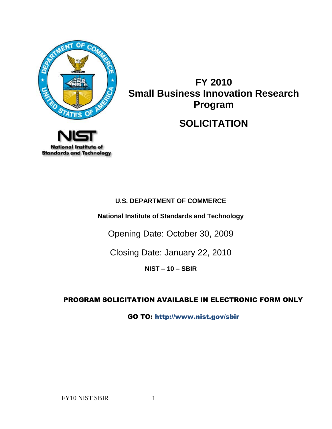

# **FY 2010 Small Business Innovation Research Program**

## **SOLICITATION**



## **U.S. DEPARTMENT OF COMMERCE**

**National Institute of Standards and Technology**

Opening Date: October 30, 2009

Closing Date: January 22, 2010

**NIST – 10 – SBIR**

## PROGRAM SOLICITATION AVAILABLE IN ELECTRONIC FORM ONLY

GO TO: http://www.nist.gov/sbir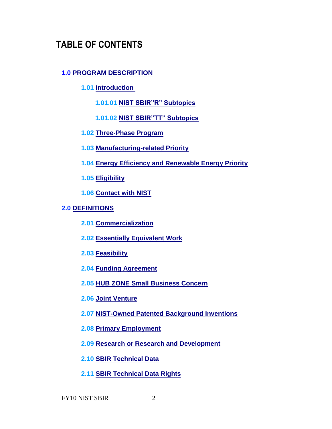## **TABLE OF CONTENTS**

## **1.0 [PROGRAM DESCRIPTION](#page-5-0)**

- **1.01 [Introduction](#page-5-1)** 
	- **1.01.01 [NIST SBIR"R" Subtopics](#page-5-2)**
	- **1.01.02 [NIST SBIR"TT" Subtopics](#page-6-0)**
- **1.02 [Three-Phase Program](#page-7-0)**
- **1.03 [Manufacturing-related Priority](#page-8-0)**
- **1.04 [Energy Efficiency and Renewable Energy Priority](#page-8-1)**
- **1.05 [Eligibility](#page-8-2)**
- **1.06 [Contact with NIST](#page-9-0)**

#### **2.0 [DEFINITIONS](#page-10-0)**

- **2.01 [Commercialization](#page-10-1)**
- **2.02 [Essentially Equivalent Work](#page-11-0)**
- **2.03 [Feasibility](#page-11-1)**
- **2.04 [Funding Agreement](#page-11-2)**
- **2.05 [HUB ZONE Small Business Concern](#page-11-3)**
- **2.06 [Joint Venture](#page-11-4)**
- **2.07 [NIST-Owned Patented Background Inventions](#page-11-5)**
- **2.08 [Primary Employment](#page-12-0)**
- **2.09 [Research or Research and Development](#page-12-1)**
- **2.10 [SBIR Technical Data](#page-12-2)**
- **2.11 [SBIR Technical Data Rights](#page-12-3)**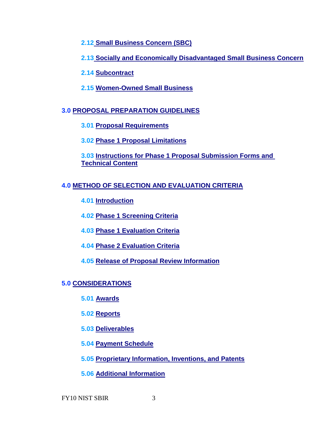**2.12 [Small Business Concern \(SBC\)](#page-12-4)**

**2.13 [Socially and Economically Disadvantaged Small Business Concern](#page-13-0)**

**2.14 [Subcontract](#page-13-1)**

**2.15 [Women-Owned Small Business](#page-13-2)**

## **3.0 [PROPOSAL PREPARATION GUIDELINES](#page-14-0)**

**3.01 [Proposal Requirements](#page-14-1)**

**3.02 [Phase 1 Proposal Limitations](#page-15-0)**

**3.03 [Instructions for Phase 1 Proposal Submission Forms and](#page-15-1)  [Technical Content](#page-15-1)**

## **4.0 [METHOD OF SELECTION AND EVALUATION CRITERIA](#page-21-0)**

**4.01 [Introduction](#page-21-1)**

**4.02 [Phase 1 Screening Criteria](#page-21-2)**

**4.03 [Phase 1 Evaluation Criteria](#page-22-0)**

**4.04 [Phase 2 Evaluation Criteria](#page-23-0)**

**4.05 [Release of Proposal Review Information](#page-23-1)**

## **5.0 [CONSIDERATIONS](#page-23-2)**

**5.01 [Awards](#page-24-0)**

**5.02 [Reports](#page-26-0)**

**5.03 [Deliverables](#page-27-0)**

**5.04 [Payment Schedule](#page-27-1)**

**5.05 [Proprietary Information, Inventions, and Patents](#page-27-2)**

**5.06 [Additional Information](#page-30-0)**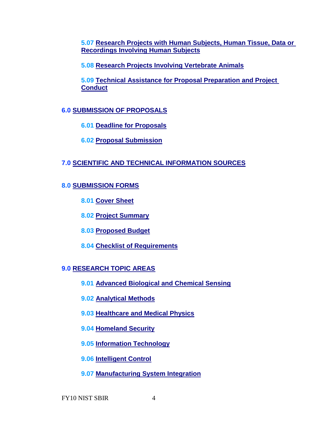**5.07 [Research Projects with Human Subjects, Human Tissue, Data or](#page-31-0)  Recordings [Involving Human Subjects](#page-31-0)**

**5.08 [Research Projects Involving Vertebrate Animals](#page-32-0)**

**5.09 Technical Assistance for [Proposal Preparation and Project](#page-32-1)  [Conduct](#page-32-1)**

**6.0 [SUBMISSION OF PROPOSALS](#page-32-2)**

**6.01 [Deadline for Proposals](#page-33-0)**

**6.02 [Proposal Submission](#page-33-1)**

## **7.0 SCIENTIFIC AND TECHNICAL INFORMATION SOURCES**

## **8.0 [SUBMISSION FORMS](#page-34-0)**

**8.01 [Cover Sheet](#page-35-0)**

**8.02 [Project Summary](#page-35-1)**

**8.03 [Proposed Budget](#page-35-2)**

**8.04 [Checklist of Requirements](#page-35-3)**

## **9.0 [RESEARCH TOPIC AREAS](#page-36-0)**

 **9.01 [Advanced Biological and Chemical Sensing](#page-36-1)**

**9.02 [Analytical Methods](#page-40-0)**

**9.03 [Healthcare and Medical Physics](#page-44-0)**

**9.04 [Homeland Security](#page-48-0)**

**9.05 [Information Technology](#page-50-0)**

**9.06 [Intelligent Control](#page-54-0)**

**9.07 [Manufacturing System Integration](#page-56-0)**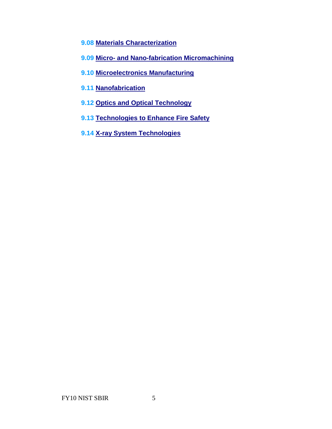- **9.08 [Materials Characterization](#page-64-0)**
- **9.09 Micro- [and Nano-fabrication Micromachining](#page-74-0)**
- **9.10 [Microelectronics Manufacturing](#page-81-0)**
- **9.11 [Nanofabrication](#page-85-0)**
- **9.12 [Optics and Optical Technology](#page-89-0)**
- **9.13 [Technologies to Enhance Fire Safety](#page-102-0)**
- **9.14 [X-ray System Technologies](#page-103-0)**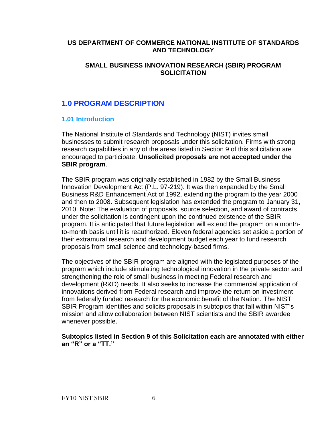#### **US DEPARTMENT OF COMMERCE NATIONAL INSTITUTE OF STANDARDS AND TECHNOLOGY**

#### **SMALL BUSINESS INNOVATION RESEARCH (SBIR) PROGRAM SOLICITATION**

## <span id="page-5-0"></span>**1.0 PROGRAM DESCRIPTION**

#### <span id="page-5-1"></span>**1.01 Introduction**

The National Institute of Standards and Technology (NIST) invites small businesses to submit research proposals under this solicitation. Firms with strong research capabilities in any of the areas listed in Section 9 of this solicitation are encouraged to participate. **Unsolicited proposals are not accepted under the SBIR program**.

The SBIR program was originally established in 1982 by the Small Business Innovation Development Act (P.L. 97-219). It was then expanded by the Small Business R&D Enhancement Act of 1992, extending the program to the year 2000 and then to 2008. Subsequent legislation has extended the program to January 31, 2010. Note: The evaluation of proposals, source selection, and award of contracts under the solicitation is contingent upon the continued existence of the SBIR program. It is anticipated that future legislation will extend the program on a monthto-month basis until it is reauthorized. Eleven federal agencies set aside a portion of their extramural research and development budget each year to fund research proposals from small science and technology-based firms.

The objectives of the SBIR program are aligned with the legislated purposes of the program which include stimulating technological innovation in the private sector and strengthening the role of small business in meeting Federal research and development (R&D) needs. It also seeks to increase the commercial application of innovations derived from Federal research and improve the return on investment from federally funded research for the economic benefit of the Nation. The NIST SBIR Program identifies and solicits proposals in subtopics that fall within NIST's mission and allow collaboration between NIST scientists and the SBIR awardee whenever possible.

<span id="page-5-2"></span>**Subtopics listed in Section 9 of this Solicitation each are annotated with either an "R" or a "TT."**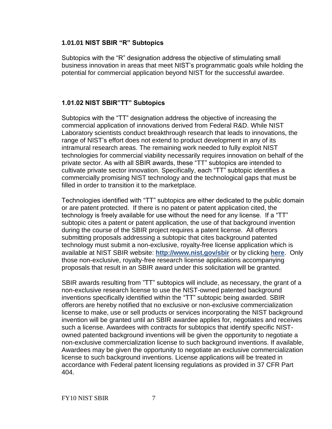#### **1.01.01 NIST SBIR "R" Subtopics**

Subtopics with the "R" designation address the objective of stimulating small business innovation in areas that meet NIST's programmatic goals while holding the potential for commercial application beyond NIST for the successful awardee.

#### <span id="page-6-0"></span>**1.01.02 NIST SBIR"TT" Subtopics**

Subtopics with the "TT" designation address the objective of increasing the commercial application of innovations derived from Federal R&D. While NIST Laboratory scientists conduct breakthrough research that leads to innovations, the range of NIST's effort does not extend to product development in any of its intramural research areas. The remaining work needed to fully exploit NIST technologies for commercial viability necessarily requires innovation on behalf of the private sector. As with all SBIR awards, these "TT" subtopics are intended to cultivate private sector innovation. Specifically, each "TT" subtopic identifies a commercially promising NIST technology and the technological gaps that must be filled in order to transition it to the marketplace.

Technologies identified with "TT" subtopics are either dedicated to the public domain or are patent protected. If there is no patent or patent application cited, the technology is freely available for use without the need for any license. If a "TT" subtopic cites a patent or patent application, the use of that background invention during the course of the SBIR project requires a patent license. All offerors submitting proposals addressing a subtopic that cites background patented technology must submit a non-exclusive, royalty-free license application which is available at NIST SBIR website: **<http://www.nist.gov/sbir>** or by clicking **[here](http://tsapps.nist.gov/TS_SBIR/NonExclusiveRoyaltyFreePatentLicenseSBIR.pdf)**. Only those non-exclusive, royalty-free research license applications accompanying proposals that result in an SBIR award under this solicitation will be granted.

SBIR awards resulting from "TT" subtopics will include, as necessary, the grant of a non-exclusive research license to use the NIST-owned patented background inventions specifically identified within the "TT" subtopic being awarded. SBIR offerors are hereby notified that no exclusive or non-exclusive commercialization license to make, use or sell products or services incorporating the NIST background invention will be granted until an SBIR awardee applies for, negotiates and receives such a license. Awardees with contracts for subtopics that identify specific NISTowned patented background inventions will be given the opportunity to negotiate a non-exclusive commercialization license to such background inventions. If available, Awardees may be given the opportunity to negotiate an exclusive commercialization license to such background inventions. License applications will be treated in accordance with Federal patent licensing regulations as provided in 37 CFR Part 404.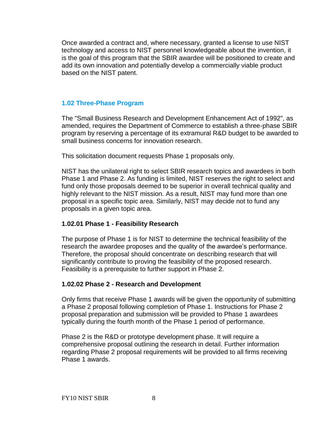Once awarded a contract and, where necessary, granted a license to use NIST technology and access to NIST personnel knowledgeable about the invention, it is the goal of this program that the SBIR awardee will be positioned to create and add its own innovation and potentially develop a commercially viable product based on the NIST patent.

#### <span id="page-7-0"></span>**1.02 Three-Phase Program**

The "Small Business Research and Development Enhancement Act of 1992", as amended, requires the Department of Commerce to establish a three-phase SBIR program by reserving a percentage of its extramural R&D budget to be awarded to small business concerns for innovation research.

This solicitation document requests Phase 1 proposals only.

NIST has the unilateral right to select SBIR research topics and awardees in both Phase 1 and Phase 2. As funding is limited, NIST reserves the right to select and fund only those proposals deemed to be superior in overall technical quality and highly relevant to the NIST mission. As a result, NIST may fund more than one proposal in a specific topic area. Similarly, NIST may decide not to fund any proposals in a given topic area.

#### **1.02.01 Phase 1 - Feasibility Research**

The purpose of Phase 1 is for NIST to determine the technical feasibility of the research the awardee proposes and the quality of the awardee's performance. Therefore, the proposal should concentrate on describing research that will significantly contribute to proving the feasibility of the proposed research. Feasibility is a prerequisite to further support in Phase 2.

#### **1.02.02 Phase 2 - Research and Development**

Only firms that receive Phase 1 awards will be given the opportunity of submitting a Phase 2 proposal following completion of Phase 1. Instructions for Phase 2 proposal preparation and submission will be provided to Phase 1 awardees typically during the fourth month of the Phase 1 period of performance.

Phase 2 is the R&D or prototype development phase. It will require a comprehensive proposal outlining the research in detail. Further information regarding Phase 2 proposal requirements will be provided to all firms receiving Phase 1 awards.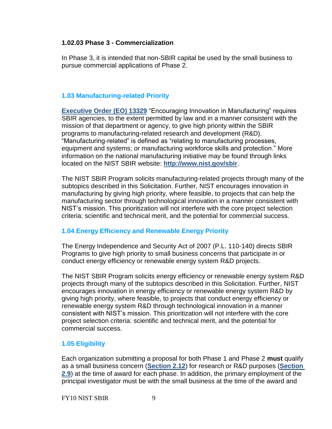#### **1.02.03 Phase 3 - Commercialization**

In Phase 3, it is intended that non-SBIR capital be used by the small business to pursue commercial applications of Phase 2.

## <span id="page-8-0"></span>**1.03 Manufacturing-related Priority**

**[Executive Order \(EO\) 13329](http://tsapps.nist.gov/ts_sbir/EO13329.pdf) "Encouraging Innovation in Manufacturing" requires** SBIR agencies, to the extent permitted by law and in a manner consistent with the mission of that department or agency, to give high priority within the SBIR programs to manufacturing-related research and development (R&D). ―Manufacturing-related‖ is defined as ―relating to manufacturing processes, equipment and systems; or manufacturing workforce skills and protection." More information on the national manufacturing initiative may be found through links located on the NIST SBIR website: **<http://www.nist.gov/sbir>**.

The NIST SBIR Program solicits manufacturing-related projects through many of the subtopics described in this Solicitation. Further, NIST encourages innovation in manufacturing by giving high priority, where feasible, to projects that can help the manufacturing sector through technological innovation in a manner consistent with NIST's mission. This prioritization will not interfere with the core project selection criteria: scientific and technical merit, and the potential for commercial success.

## <span id="page-8-1"></span>**1.04 Energy Efficiency and Renewable Energy Priority**

The Energy Independence and Security Act of 2007 (P.L. 110-140) directs SBIR Programs to give high priority to small business concerns that participate in or conduct energy efficiency or renewable energy system R&D projects.

The NIST SBIR Program solicits energy efficiency or renewable energy system R&D projects through many of the subtopics described in this Solicitation. Further, NIST encourages innovation in energy efficiency or renewable energy system R&D by giving high priority, where feasible, to projects that conduct energy efficiency or renewable energy system R&D through technological innovation in a manner consistent with NIST's mission. This prioritization will not interfere with the core project selection criteria: scientific and technical merit, and the potential for commercial success.

## <span id="page-8-2"></span>**1.05 Eligibility**

Each organization submitting a proposal for both Phase 1 and Phase 2 **must** qualify as a small business concern (**[Section 2.12](#page-12-4)**) for research or R&D purposes (**[Section](#page-12-1)  [2.9](#page-12-1)**) at the time of award for each phase. In addition, the primary employment of the principal investigator must be with the small business at the time of the award and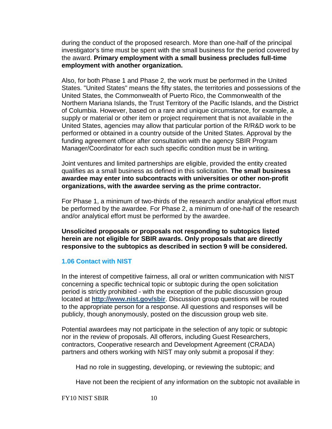during the conduct of the proposed research. More than one-half of the principal investigator's time must be spent with the small business for the period covered by the award. **Primary employment with a small business precludes full-time employment with another organization.** 

Also, for both Phase 1 and Phase 2, the work must be performed in the United States. "United States" means the fifty states, the territories and possessions of the United States, the Commonwealth of Puerto Rico, the Commonwealth of the Northern Mariana Islands, the Trust Territory of the Pacific Islands, and the District of Columbia. However, based on a rare and unique circumstance, for example, a supply or material or other item or project requirement that is not available in the United States, agencies may allow that particular portion of the R/R&D work to be performed or obtained in a country outside of the United States. Approval by the funding agreement officer after consultation with the agency SBIR Program Manager/Coordinator for each such specific condition must be in writing.

Joint ventures and limited partnerships are eligible, provided the entity created qualifies as a small business as defined in this solicitation. **The small business awardee may enter into subcontracts with universities or other non-profit organizations, with the awardee serving as the prime contractor.** 

For Phase 1, a minimum of two-thirds of the research and/or analytical effort must be performed by the awardee. For Phase 2, a minimum of one-half of the research and/or analytical effort must be performed by the awardee.

**Unsolicited proposals or proposals not responding to subtopics listed herein are not eligible for SBIR awards. Only proposals that are directly responsive to the subtopics as described in section 9 will be considered.**

#### <span id="page-9-0"></span>**1.06 Contact with NIST**

In the interest of competitive fairness, all oral or written communication with NIST concerning a specific technical topic or subtopic during the open solicitation period is strictly prohibited - with the exception of the public discussion group located at **<http://www.nist.gov/sbir>**. Discussion group questions will be routed to the appropriate person for a response. All questions and responses will be publicly, though anonymously, posted on the discussion group web site.

Potential awardees may not participate in the selection of any topic or subtopic nor in the review of proposals. All offerors, including Guest Researchers, contractors, Cooperative research and Development Agreement (CRADA) partners and others working with NIST may only submit a proposal if they:

Had no role in suggesting, developing, or reviewing the subtopic; and

Have not been the recipient of any information on the subtopic not available in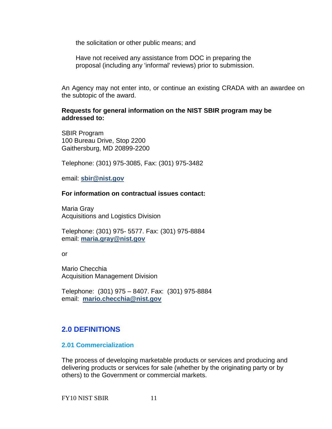the solicitation or other public means; and

Have not received any assistance from DOC in preparing the proposal (including any 'informal' reviews) prior to submission.

An Agency may not enter into, or continue an existing CRADA with an awardee on the subtopic of the award.

**Requests for general information on the NIST SBIR program may be addressed to:** 

SBIR Program 100 Bureau Drive, Stop 2200 Gaithersburg, MD 20899-2200

Telephone: (301) 975-3085, Fax: (301) 975-3482

email: **[sbir@nist.gov](mailto:sbir@nist.gov)**

#### **For information on contractual issues contact:**

Maria Gray Acquisitions and Logistics Division

Telephone: (301) 975- 5577. Fax: (301) 975-8884 email: **[maria.gray@nist.gov](mailto:maria.gray@nist.gov)**

or

Mario Checchia Acquisition Management Division

Telephone: (301) 975 – 8407. Fax: (301) 975-8884 email: **[mario.checchia@nist.gov](mailto:mario.checchia@nist.gov)**

## <span id="page-10-0"></span>**2.0 DEFINITIONS**

#### <span id="page-10-1"></span>**2.01 Commercialization**

The process of developing marketable products or services and producing and delivering products or services for sale (whether by the originating party or by others) to the Government or commercial markets.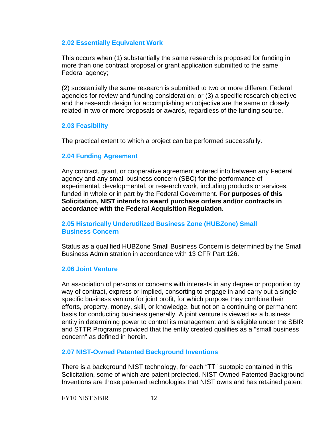#### <span id="page-11-0"></span>**2.02 Essentially Equivalent Work**

This occurs when (1) substantially the same research is proposed for funding in more than one contract proposal or grant application submitted to the same Federal agency;

(2) substantially the same research is submitted to two or more different Federal agencies for review and funding consideration; or (3) a specific research objective and the research design for accomplishing an objective are the same or closely related in two or more proposals or awards, regardless of the funding source.

#### <span id="page-11-1"></span>**2.03 Feasibility**

The practical extent to which a project can be performed successfully.

## <span id="page-11-2"></span>**2.04 Funding Agreement**

Any contract, grant, or cooperative agreement entered into between any Federal agency and any small business concern (SBC) for the performance of experimental, developmental, or research work, including products or services, funded in whole or in part by the Federal Government. **For purposes of this Solicitation, NIST intends to award purchase orders and/or contracts in accordance with the Federal Acquisition Regulation.** 

#### <span id="page-11-3"></span>**2.05 Historically Underutilized Business Zone (HUBZone) Small Business Concern**

Status as a qualified HUBZone Small Business Concern is determined by the Small Business Administration in accordance with 13 CFR Part 126.

#### <span id="page-11-4"></span>**2.06 Joint Venture**

An association of persons or concerns with interests in any degree or proportion by way of contract, express or implied, consorting to engage in and carry out a single specific business venture for joint profit, for which purpose they combine their efforts, property, money, skill, or knowledge, but not on a continuing or permanent basis for conducting business generally. A joint venture is viewed as a business entity in determining power to control its management and is eligible under the SBIR and STTR Programs provided that the entity created qualifies as a "small business concern" as defined in herein.

#### <span id="page-11-5"></span>**2.07 NIST-Owned Patented Background Inventions**

There is a background NIST technology, for each "TT" subtopic contained in this Solicitation, some of which are patent protected. NIST-Owned Patented Background Inventions are those patented technologies that NIST owns and has retained patent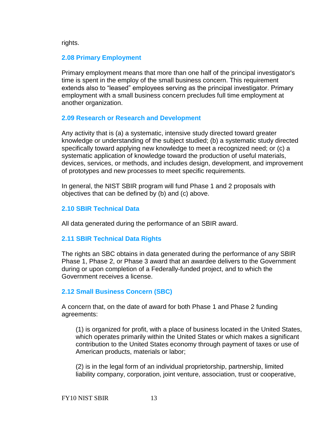rights.

#### <span id="page-12-0"></span>**2.08 Primary Employment**

Primary employment means that more than one half of the principal investigator's time is spent in the employ of the small business concern. This requirement extends also to "leased" employees serving as the principal investigator. Primary employment with a small business concern precludes full time employment at another organization.

#### <span id="page-12-1"></span>**2.09 Research or Research and Development**

Any activity that is (a) a systematic, intensive study directed toward greater knowledge or understanding of the subject studied; (b) a systematic study directed specifically toward applying new knowledge to meet a recognized need; or (c) a systematic application of knowledge toward the production of useful materials, devices, services, or methods, and includes design, development, and improvement of prototypes and new processes to meet specific requirements.

In general, the NIST SBIR program will fund Phase 1 and 2 proposals with objectives that can be defined by (b) and (c) above.

## <span id="page-12-2"></span>**2.10 SBIR Technical Data**

All data generated during the performance of an SBIR award.

## <span id="page-12-3"></span>**2.11 SBIR Technical Data Rights**

The rights an SBC obtains in data generated during the performance of any SBIR Phase 1, Phase 2, or Phase 3 award that an awardee delivers to the Government during or upon completion of a Federally-funded project, and to which the Government receives a license.

## <span id="page-12-4"></span>**2.12 Small Business Concern (SBC)**

A concern that, on the date of award for both Phase 1 and Phase 2 funding agreements:

(1) is organized for profit, with a place of business located in the United States, which operates primarily within the United States or which makes a significant contribution to the United States economy through payment of taxes or use of American products, materials or labor;

(2) is in the legal form of an individual proprietorship, partnership, limited liability company, corporation, joint venture, association, trust or cooperative,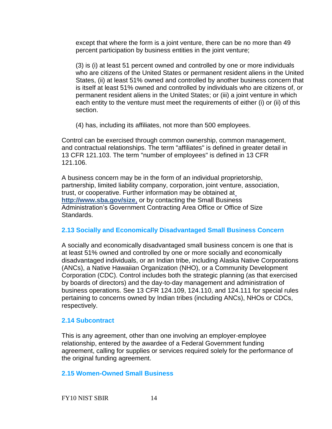except that where the form is a joint venture, there can be no more than 49 percent participation by business entities in the joint venture;

(3) is (i) at least 51 percent owned and controlled by one or more individuals who are citizens of the United States or permanent resident aliens in the United States, (ii) at least 51% owned and controlled by another business concern that is itself at least 51% owned and controlled by individuals who are citizens of, or permanent resident aliens in the United States; or (iii) a joint venture in which each entity to the venture must meet the requirements of either (i) or (ii) of this section.

(4) has, including its affiliates, not more than 500 employees.

Control can be exercised through common ownership, common management, and contractual relationships. The term "affiliates" is defined in greater detail in 13 CFR 121.103. The term "number of employees" is defined in 13 CFR 121.106.

A business concern may be in the form of an individual proprietorship, partnership, limited liability company, corporation, joint venture, association, trust, or cooperative. Further information may be obtained a[t](http://www.sba.gov/size,) **[http://www.sba.gov/size](http://www.sba.gov/size,)**, or by contacting the Small Business Administration's Government Contracting Area Office or Office of Size Standards.

## <span id="page-13-0"></span>**2.13 Socially and Economically Disadvantaged Small Business Concern**

A socially and economically disadvantaged small business concern is one that is at least 51% owned and controlled by one or more socially and economically disadvantaged individuals, or an Indian tribe, including Alaska Native Corporations (ANCs), a Native Hawaiian Organization (NHO), or a Community Development Corporation (CDC). Control includes both the strategic planning (as that exercised by boards of directors) and the day-to-day management and administration of business operations. See 13 CFR 124.109, 124.110, and 124.111 for special rules pertaining to concerns owned by Indian tribes (including ANCs), NHOs or CDCs, respectively.

## <span id="page-13-1"></span>**2.14 Subcontract**

This is any agreement, other than one involving an employer-employee relationship, entered by the awardee of a Federal Government funding agreement, calling for supplies or services required solely for the performance of the original funding agreement.

## <span id="page-13-2"></span>**2.15 Women-Owned Small Business**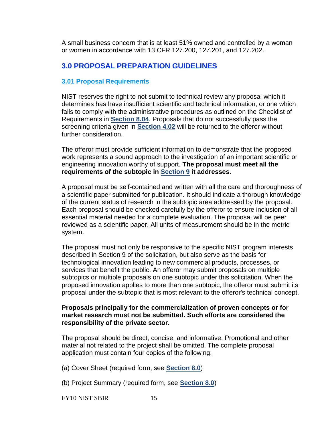A small business concern that is at least 51% owned and controlled by a woman or women in accordance with 13 CFR 127.200, 127.201, and 127.202.

## <span id="page-14-0"></span>**3.0 PROPOSAL PREPARATION GUIDELINES**

#### <span id="page-14-1"></span>**3.01 Proposal Requirements**

NIST reserves the right to not submit to technical review any proposal which it determines has have insufficient scientific and technical information, or one which fails to comply with the administrative procedures as outlined on the Checklist of Requirements in **[Section 8.04](#page-35-3)**. Proposals that do not successfully pass the screening criteria given in **[Section 4.02](#page-21-2)** will be returned to the offeror without further consideration.

The offeror must provide sufficient information to demonstrate that the proposed work represents a sound approach to the investigation of an important scientific or engineering innovation worthy of support. **The proposal must meet all the requirements of the subtopic in [Section 9](#page-36-0) it addresses**.

A proposal must be self-contained and written with all the care and thoroughness of a scientific paper submitted for publication. It should indicate a thorough knowledge of the current status of research in the subtopic area addressed by the proposal. Each proposal should be checked carefully by the offeror to ensure inclusion of all essential material needed for a complete evaluation. The proposal will be peer reviewed as a scientific paper. All units of measurement should be in the metric system.

The proposal must not only be responsive to the specific NIST program interests described in Section 9 of the solicitation, but also serve as the basis for technological innovation leading to new commercial products, processes, or services that benefit the public. An offeror may submit proposals on multiple subtopics or multiple proposals on one subtopic under this solicitation. When the proposed innovation applies to more than one subtopic, the offeror must submit its proposal under the subtopic that is most relevant to the offeror's technical concept.

#### **Proposals principally for the commercialization of proven concepts or for market research must not be submitted. Such efforts are considered the responsibility of the private sector.**

The proposal should be direct, concise, and informative. Promotional and other material not related to the project shall be omitted. The complete proposal application must contain four copies of the following:

(a) Cover Sheet (required form, see **[Section 8.0](#page-34-0)**)

(b) Project Summary (required form, see **[Section 8.0](#page-34-0)**)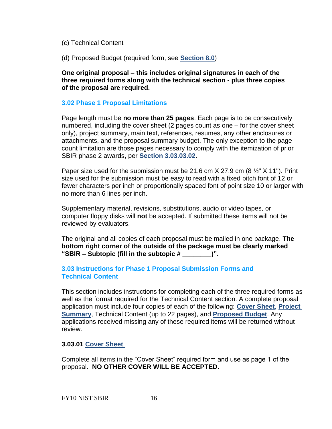- (c) Technical Content
- (d) Proposed Budget (required form, see **[Section 8.0](#page-34-0)**)

**One original proposal – this includes original signatures in each of the three required forms along with the technical section - plus three copies of the proposal are required.** 

#### <span id="page-15-0"></span>**3.02 Phase 1 Proposal Limitations**

Page length must be **no more than 25 pages**. Each page is to be consecutively numbered, including the cover sheet (2 pages count as one – for the cover sheet only), project summary, main text, references, resumes, any other enclosures or attachments, and the proposal summary budget. The only exception to the page count limitation are those pages necessary to comply with the itemization of prior SBIR phase 2 awards, per **[Section 3.03.03.02](#page-19-0)**.

Paper size used for the submission must be 21.6 cm  $X$  27.9 cm (8  $\frac{1}{2}$ " X 11"). Print size used for the submission must be easy to read with a fixed pitch font of 12 or fewer characters per inch or proportionally spaced font of point size 10 or larger with no more than 6 lines per inch.

Supplementary material, revisions, substitutions, audio or video tapes, or computer floppy disks will **not** be accepted. If submitted these items will not be reviewed by evaluators.

The original and all copies of each proposal must be mailed in one package. **The bottom right corner of the outside of the package must be clearly marked "SBIR – Subtopic (fill in the subtopic # \_\_\_\_\_\_\_\_)".**

#### <span id="page-15-1"></span>**3.03 Instructions for Phase 1 Proposal Submission Forms and Technical Content**

This section includes instructions for completing each of the three required forms as well as the format required for the Technical Content section. A complete proposal [application must include four copies of each of the following:](http://tsapps.nist.gov/ts_sbir/cover_10.pdf) **Cover Sheet**, **[Project](http://tsapps.nist.gov/ts_sbir/cover_10.pdf)  Summary**, Technical Content (up to 22 pages), and **[Proposed Budget](http://tsapps.nist.gov/ts_sbir/budget_10.pdf)**. Any applications received missing any of these required items will be returned without review.

#### **3.03.01 [Cover Sheet](http://tsapps.nist.gov/ts_sbir/cover_10.pdf)**

Complete all items in the "Cover Sheet" required form and use as page 1 of the proposal. **NO OTHER COVER WILL BE ACCEPTED.**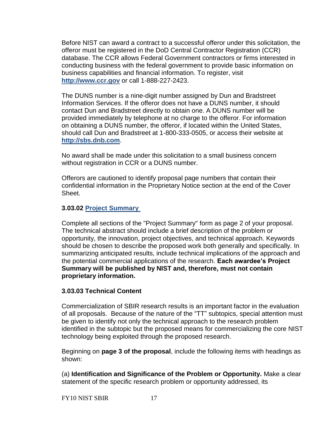Before NIST can award a contract to a successful offeror under this solicitation, the offeror must be registered in the DoD Central Contractor Registration (CCR) database. The CCR allows Federal Government contractors or firms interested in conducting business with the federal government to provide basic information on business capabilities and financial information. To register, visit **[http://www.ccr.gov](http://www.ccr.gov/)** or call 1-888-227-2423.

The DUNS number is a nine-digit number assigned by Dun and Bradstreet Information Services. If the offeror does not have a DUNS number, it should contact Dun and Bradstreet directly to obtain one. A DUNS number will be provided immediately by telephone at no charge to the offeror. For information on obtaining a DUNS number, the offeror, if located within the United States, should call Dun and Bradstreet at 1-800-333-0505, or access their website at **[http://sbs.dnb.com](http://sbs.dnb.com/)**.

No award shall be made under this solicitation to a small business concern without registration in CCR or a DUNS number.

Offerors are cautioned to identify proposal page numbers that contain their confidential information in the Proprietary Notice section at the end of the Cover Sheet.

#### **3.03.02 [Project Summary](http://tsapps.nist.gov/ts_sbir/project_summary_10.pdf)**

Complete all sections of the "Project Summary" form as page 2 of your proposal. The technical abstract should include a brief description of the problem or opportunity, the innovation, project objectives, and technical approach. Keywords should be chosen to describe the proposed work both generally and specifically. In summarizing anticipated results, include technical implications of the approach and the potential commercial applications of the research. **Each awardee's Project Summary will be published by NIST and, therefore, must not contain proprietary information.** 

#### <span id="page-16-0"></span>**3.03.03 Technical Content**

Commercialization of SBIR research results is an important factor in the evaluation of all proposals. Because of the nature of the "TT" subtopics, special attention must be given to identify not only the technical approach to the research problem identified in the subtopic but the proposed means for commercializing the core NIST technology being exploited through the proposed research.

Beginning on **page 3 of the proposal**, include the following items with headings as shown:

(a) **Identification and Significance of the Problem or Opportunity.** Make a clear statement of the specific research problem or opportunity addressed, its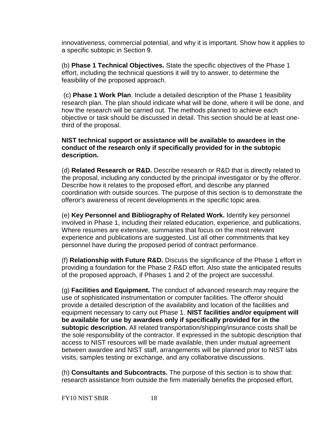innovativeness, commercial potential, and why it is important. Show how it applies to a specific subtopic in Section 9.

(b) **Phase 1 Technical Objectives.** State the specific objectives of the Phase 1 effort, including the technical questions it will try to answer, to determine the feasibility of the proposed approach.

(c) **Phase 1 Work Plan**. Include a detailed description of the Phase 1 feasibility research plan. The plan should indicate what will be done, where it will be done, and how the research will be carried out. The methods planned to achieve each objective or task should be discussed in detail. This section should be at least onethird of the proposal.

#### **NIST technical support or assistance will be available to awardees in the conduct of the research only if specifically provided for in the subtopic description.**

(d) **Related Research or R&D.** Describe research or R&D that is directly related to the proposal, including any conducted by the principal investigator or by the offeror. Describe how it relates to the proposed effort, and describe any planned coordination with outside sources. The purpose of this section is to demonstrate the offeror's awareness of recent developments in the specific topic area.

(e) **Key Personnel and Bibliography of Related Work.** Identify key personnel involved in Phase 1, including their related education, experience, and publications. Where resumes are extensive, summaries that focus on the most relevant experience and publications are suggested. List all other commitments that key personnel have during the proposed period of contract performance.

(f) **Relationship with Future R&D.** Discuss the significance of the Phase 1 effort in providing a foundation for the Phase 2 R&D effort. Also state the anticipated results of the proposed approach, if Phases 1 and 2 of the project are successful.

(g) **Facilities and Equipment.** The conduct of advanced research may require the use of sophisticated instrumentation or computer facilities. The offeror should provide a detailed description of the availability and location of the facilities and equipment necessary to carry out Phase 1. **NIST facilities and/or equipment will be available for use by awardees only if specifically provided for in the subtopic description.** All related transportation/shipping/insurance costs shall be the sole responsibility of the contractor. If expressed in the subtopic description that access to NIST resources will be made available, then under mutual agreement between awardee and NIST staff, arrangements will be planned prior to NIST labs visits, samples testing or exchange, and any collaborative discussions.

(h) **Consultants and Subcontracts.** The purpose of this section is to show that: research assistance from outside the firm materially benefits the proposed effort,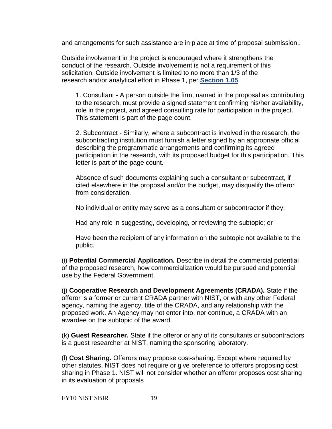and arrangements for such assistance are in place at time of proposal submission..

Outside involvement in the project is encouraged where it strengthens the conduct of the research. Outside involvement is not a requirement of this solicitation. Outside involvement is limited to no more than 1/3 of the research and/or analytical effort in Phase 1, per **[Section 1.05](#page-8-2)**.

1. Consultant - A person outside the firm, named in the proposal as contributing to the research, must provide a signed statement confirming his/her availability, role in the project, and agreed consulting rate for participation in the project. This statement is part of the page count.

2. Subcontract - Similarly, where a subcontract is involved in the research, the subcontracting institution must furnish a letter signed by an appropriate official describing the programmatic arrangements and confirming its agreed participation in the research, with its proposed budget for this participation. This letter is part of the page count.

Absence of such documents explaining such a consultant or subcontract, if cited elsewhere in the proposal and/or the budget, may disqualify the offeror from consideration.

No individual or entity may serve as a consultant or subcontractor if they:

Had any role in suggesting, developing, or reviewing the subtopic; or

Have been the recipient of any information on the subtopic not available to the public.

(i) **Potential Commercial Application.** Describe in detail the commercial potential of the proposed research, how commercialization would be pursued and potential use by the Federal Government.

(j) **Cooperative Research and Development Agreements (CRADA).** State if the offeror is a former or current CRADA partner with NIST, or with any other Federal agency, naming the agency, title of the CRADA, and any relationship with the proposed work. An Agency may not enter into, nor continue, a CRADA with an awardee on the subtopic of the award.

(k) **Guest Researcher.** State if the offeror or any of its consultants or subcontractors is a guest researcher at NIST, naming the sponsoring laboratory.

(l) **Cost Sharing.** Offerors may propose cost-sharing. Except where required by other statutes, NIST does not require or give preference to offerors proposing cost sharing in Phase 1. NIST will not consider whether an offeror proposes cost sharing in its evaluation of proposals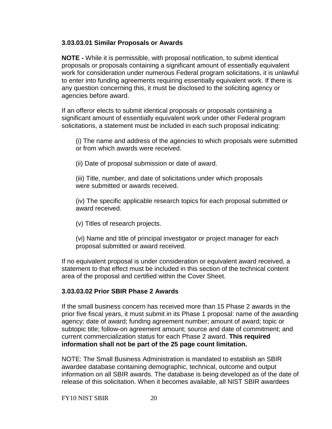#### **3.03.03.01 Similar Proposals or Awards**

**NOTE -** While it is permissible, with proposal notification, to submit identical proposals or proposals containing a significant amount of essentially equivalent work for consideration under numerous Federal program solicitations, it is unlawful to enter into funding agreements requiring essentially equivalent work. If there is any question concerning this, it must be disclosed to the soliciting agency or agencies before award.

If an offeror elects to submit identical proposals or proposals containing a significant amount of essentially equivalent work under other Federal program solicitations, a statement must be included in each such proposal indicating:

(i) The name and address of the agencies to which proposals were submitted or from which awards were received.

(ii) Date of proposal submission or date of award.

(iii) Title, number, and date of solicitations under which proposals were submitted or awards received.

(iv) The specific applicable research topics for each proposal submitted or award received.

(v) Titles of research projects.

(vi) Name and title of principal investigator or project manager for each proposal submitted or award received.

If no equivalent proposal is under consideration or equivalent award received, a statement to that effect must be included in this section of the technical content area of the proposal and certified within the Cover Sheet.

## <span id="page-19-0"></span>**3.03.03.02 Prior SBIR Phase 2 Awards**

If the small business concern has received more than 15 Phase 2 awards in the prior five fiscal years, it must submit in its Phase 1 proposal: name of the awarding agency; date of award; funding agreement number; amount of award; topic or subtopic title; follow-on agreement amount; source and date of commitment; and current commercialization status for each Phase 2 award. **This required information shall not be part of the 25 page count limitation.** 

NOTE: The Small Business Administration is mandated to establish an SBIR awardee database containing demographic, technical, outcome and output information on all SBIR awards. The database is being developed as of the date of release of this solicitation. When it becomes available, all NIST SBIR awardees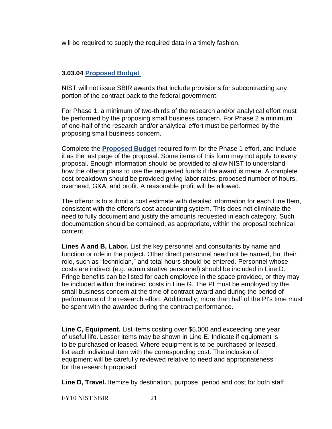will be required to supply the required data in a timely fashion.

#### **3.03.04 [Proposed Budget](http://tsapps.nist.gov/ts_sbir/budget_10.pdf)**

NIST will not issue SBIR awards that include provisions for subcontracting any portion of the contract back to the federal government.

For Phase 1, a minimum of two-thirds of the research and/or analytical effort must be performed by the proposing small business concern. For Phase 2 a minimum of one-half of the research and/or analytical effort must be performed by the proposing small business concern.

Complete the **[Proposed Budget](http://tsapps.nist.gov/ts_sbir/budget_10.pdf)** required form for the Phase 1 effort, and include it as the last page of the proposal. Some items of this form may not apply to every proposal. Enough information should be provided to allow NIST to understand how the offeror plans to use the requested funds if the award is made. A complete cost breakdown should be provided giving labor rates, proposed number of hours, overhead, G&A, and profit. A reasonable profit will be allowed.

The offeror is to submit a cost estimate with detailed information for each Line Item, consistent with the offeror's cost accounting system. This does not eliminate the need to fully document and justify the amounts requested in each category. Such documentation should be contained, as appropriate, within the proposal technical content.

**Lines A and B, Labor.** List the key personnel and consultants by name and function or role in the project. Other direct personnel need not be named, but their role, such as "technician," and total hours should be entered. Personnel whose costs are indirect (e.g. administrative personnel) should be included in Line D. Fringe benefits can be listed for each employee in the space provided, or they may be included within the indirect costs in Line G. The PI must be employed by the small business concern at the time of contract award and during the period of performance of the research effort. Additionally, more than half of the PI's time must be spent with the awardee during the contract performance.

**Line C, Equipment.** List items costing over \$5,000 and exceeding one year of useful life. Lesser items may be shown in Line E. Indicate if equipment is to be purchased or leased. Where equipment is to be purchased or leased, list each individual item with the corresponding cost. The inclusion of equipment will be carefully reviewed relative to need and appropriateness for the research proposed.

Line D, Travel. Itemize by destination, purpose, period and cost for both staff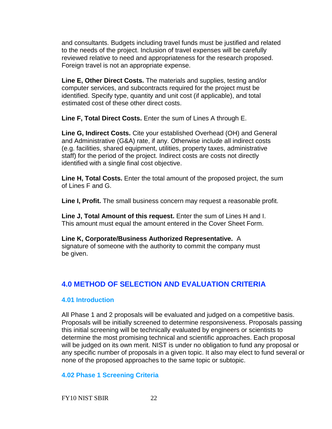and consultants. Budgets including travel funds must be justified and related to the needs of the project. Inclusion of travel expenses will be carefully reviewed relative to need and appropriateness for the research proposed. Foreign travel is not an appropriate expense.

**Line E, Other Direct Costs.** The materials and supplies, testing and/or computer services, and subcontracts required for the project must be identified. Specify type, quantity and unit cost (if applicable), and total estimated cost of these other direct costs.

**Line F, Total Direct Costs.** Enter the sum of Lines A through E.

**Line G, Indirect Costs.** Cite your established Overhead (OH) and General and Administrative (G&A) rate, if any. Otherwise include all indirect costs (e.g. facilities, shared equipment, utilities, property taxes, administrative staff) for the period of the project. Indirect costs are costs not directly identified with a single final cost objective.

**Line H, Total Costs.** Enter the total amount of the proposed project, the sum of Lines F and G.

**Line I, Profit.** The small business concern may request a reasonable profit.

**Line J, Total Amount of this request.** Enter the sum of Lines H and I. This amount must equal the amount entered in the Cover Sheet Form.

**Line K, Corporate/Business Authorized Representative.** A signature of someone with the authority to commit the company must be given.

## <span id="page-21-0"></span>**4.0 METHOD OF SELECTION AND EVALUATION CRITERIA**

## <span id="page-21-1"></span>**4.01 Introduction**

All Phase 1 and 2 proposals will be evaluated and judged on a competitive basis. Proposals will be initially screened to determine responsiveness. Proposals passing this initial screening will be technically evaluated by engineers or scientists to determine the most promising technical and scientific approaches. Each proposal will be judged on its own merit. NIST is under no obligation to fund any proposal or any specific number of proposals in a given topic. It also may elect to fund several or none of the proposed approaches to the same topic or subtopic.

## <span id="page-21-2"></span>**4.02 Phase 1 Screening Criteria**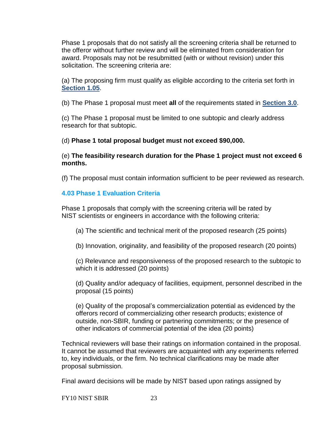Phase 1 proposals that do not satisfy all the screening criteria shall be returned to the offeror without further review and will be eliminated from consideration for award. Proposals may not be resubmitted (with or without revision) under this solicitation. The screening criteria are:

(a) The proposing firm must qualify as eligible according to the criteria set forth in **[Section 1.05](#page-8-2)**.

(b) The Phase 1 proposal must meet **all** of the requirements stated in **[Section 3.0](#page-14-0)**.

(c) The Phase 1 proposal must be limited to one subtopic and clearly address research for that subtopic.

(d) **Phase 1 total proposal budget must not exceed \$90,000.**

(e) **The feasibility research duration for the Phase 1 project must not exceed 6 months.** 

(f) The proposal must contain information sufficient to be peer reviewed as research.

## <span id="page-22-0"></span>**4.03 Phase 1 Evaluation Criteria**

Phase 1 proposals that comply with the screening criteria will be rated by NIST scientists or engineers in accordance with the following criteria:

- (a) The scientific and technical merit of the proposed research (25 points)
- (b) Innovation, originality, and feasibility of the proposed research (20 points)

(c) Relevance and responsiveness of the proposed research to the subtopic to which it is addressed (20 points)

(d) Quality and/or adequacy of facilities, equipment, personnel described in the proposal (15 points)

(e) Quality of the proposal's commercialization potential as evidenced by the offerors record of commercializing other research products; existence of outside, non-SBIR, funding or partnering commitments; or the presence of other indicators of commercial potential of the idea (20 points)

Technical reviewers will base their ratings on information contained in the proposal. It cannot be assumed that reviewers are acquainted with any experiments referred to, key individuals, or the firm. No technical clarifications may be made after proposal submission.

Final award decisions will be made by NIST based upon ratings assigned by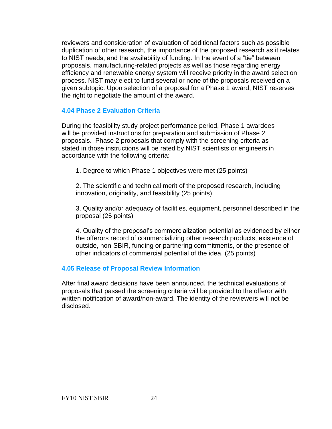reviewers and consideration of evaluation of additional factors such as possible duplication of other research, the importance of the proposed research as it relates to NIST needs, and the availability of funding. In the event of a "tie" between proposals, manufacturing-related projects as well as those regarding energy efficiency and renewable energy system will receive priority in the award selection process. NIST may elect to fund several or none of the proposals received on a given subtopic. Upon selection of a proposal for a Phase 1 award, NIST reserves the right to negotiate the amount of the award.

#### <span id="page-23-0"></span>**4.04 Phase 2 Evaluation Criteria**

During the feasibility study project performance period, Phase 1 awardees will be provided instructions for preparation and submission of Phase 2 proposals. Phase 2 proposals that comply with the screening criteria as stated in those instructions will be rated by NIST scientists or engineers in accordance with the following criteria:

1. Degree to which Phase 1 objectives were met (25 points)

2. The scientific and technical merit of the proposed research, including innovation, originality, and feasibility (25 points)

3. Quality and/or adequacy of facilities, equipment, personnel described in the proposal (25 points)

4. Quality of the proposal's commercialization potential as evidenced by either the offerors record of commercializing other research products, existence of outside, non-SBIR, funding or partnering commitments, or the presence of other indicators of commercial potential of the idea. (25 points)

#### <span id="page-23-1"></span>**4.05 Release of Proposal Review Information**

<span id="page-23-2"></span>After final award decisions have been announced, the technical evaluations of proposals that passed the screening criteria will be provided to the offeror with written notification of award/non-award. The identity of the reviewers will not be disclosed.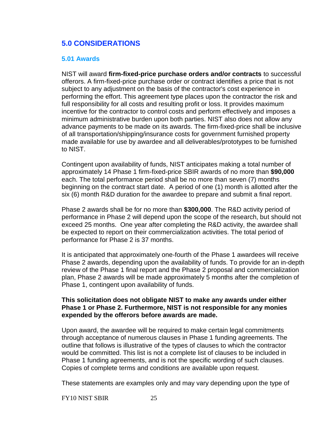## **5.0 CONSIDERATIONS**

#### <span id="page-24-0"></span>**5.01 Awards**

NIST will award **firm-fixed-price purchase orders and/or contracts** to successful offerors. A firm-fixed-price purchase order or contract identifies a price that is not subject to any adjustment on the basis of the contractor's cost experience in performing the effort. This agreement type places upon the contractor the risk and full responsibility for all costs and resulting profit or loss. It provides maximum incentive for the contractor to control costs and perform effectively and imposes a minimum administrative burden upon both parties. NIST also does not allow any advance payments to be made on its awards. The firm-fixed-price shall be inclusive of all transportation/shipping/insurance costs for government furnished property made available for use by awardee and all deliverables/prototypes to be furnished to NIST.

Contingent upon availability of funds, NIST anticipates making a total number of approximately 14 Phase 1 firm-fixed-price SBIR awards of no more than **\$90,000** each. The total performance period shall be no more than seven (7) months beginning on the contract start date. A period of one (1) month is allotted after the six (6) month R&D duration for the awardee to prepare and submit a final report.

Phase 2 awards shall be for no more than **\$300,000**. The R&D activity period of performance in Phase 2 will depend upon the scope of the research, but should not exceed 25 months. One year after completing the R&D activity, the awardee shall be expected to report on their commercialization activities. The total period of performance for Phase 2 is 37 months.

It is anticipated that approximately one-fourth of the Phase 1 awardees will receive Phase 2 awards, depending upon the availability of funds. To provide for an in-depth review of the Phase 1 final report and the Phase 2 proposal and commercialization plan, Phase 2 awards will be made approximately 5 months after the completion of Phase 1, contingent upon availability of funds.

#### **This solicitation does not obligate NIST to make any awards under either Phase 1 or Phase 2. Furthermore, NIST is not responsible for any monies expended by the offerors before awards are made.**

Upon award, the awardee will be required to make certain legal commitments through acceptance of numerous clauses in Phase 1 funding agreements. The outline that follows is illustrative of the types of clauses to which the contractor would be committed. This list is not a complete list of clauses to be included in Phase 1 funding agreements, and is not the specific wording of such clauses. Copies of complete terms and conditions are available upon request.

These statements are examples only and may vary depending upon the type of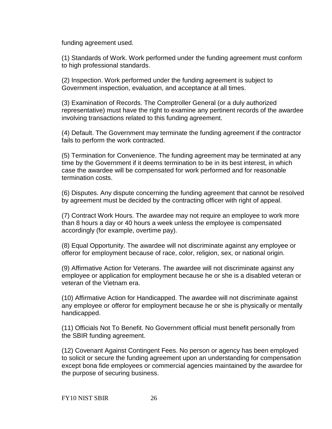funding agreement used.

(1) Standards of Work. Work performed under the funding agreement must conform to high professional standards.

(2) Inspection. Work performed under the funding agreement is subject to Government inspection, evaluation, and acceptance at all times.

(3) Examination of Records. The Comptroller General (or a duly authorized representative) must have the right to examine any pertinent records of the awardee involving transactions related to this funding agreement.

(4) Default. The Government may terminate the funding agreement if the contractor fails to perform the work contracted.

(5) Termination for Convenience. The funding agreement may be terminated at any time by the Government if it deems termination to be in its best interest, in which case the awardee will be compensated for work performed and for reasonable termination costs.

(6) Disputes. Any dispute concerning the funding agreement that cannot be resolved by agreement must be decided by the contracting officer with right of appeal.

(7) Contract Work Hours. The awardee may not require an employee to work more than 8 hours a day or 40 hours a week unless the employee is compensated accordingly (for example, overtime pay).

(8) Equal Opportunity. The awardee will not discriminate against any employee or offeror for employment because of race, color, religion, sex, or national origin.

(9) Affirmative Action for Veterans. The awardee will not discriminate against any employee or application for employment because he or she is a disabled veteran or veteran of the Vietnam era.

(10) Affirmative Action for Handicapped. The awardee will not discriminate against any employee or offeror for employment because he or she is physically or mentally handicapped.

(11) Officials Not To Benefit. No Government official must benefit personally from the SBIR funding agreement.

(12) Covenant Against Contingent Fees. No person or agency has been employed to solicit or secure the funding agreement upon an understanding for compensation except bona fide employees or commercial agencies maintained by the awardee for the purpose of securing business.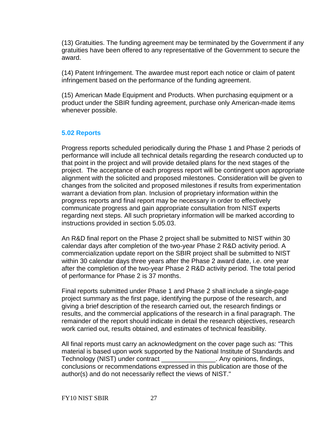(13) Gratuities. The funding agreement may be terminated by the Government if any gratuities have been offered to any representative of the Government to secure the award.

(14) Patent Infringement. The awardee must report each notice or claim of patent infringement based on the performance of the funding agreement.

(15) American Made Equipment and Products. When purchasing equipment or a product under the SBIR funding agreement, purchase only American-made items whenever possible.

## <span id="page-26-0"></span>**5.02 Reports**

Progress reports scheduled periodically during the Phase 1 and Phase 2 periods of performance will include all technical details regarding the research conducted up to that point in the project and will provide detailed plans for the next stages of the project. The acceptance of each progress report will be contingent upon appropriate alignment with the solicited and proposed milestones. Consideration will be given to changes from the solicited and proposed milestones if results from experimentation warrant a deviation from plan. Inclusion of proprietary information within the progress reports and final report may be necessary in order to effectively communicate progress and gain appropriate consultation from NIST experts regarding next steps. All such proprietary information will be marked according to instructions provided in section 5.05.03.

An R&D final report on the Phase 2 project shall be submitted to NIST within 30 calendar days after completion of the two-year Phase 2 R&D activity period. A commercialization update report on the SBIR project shall be submitted to NIST within 30 calendar days three years after the Phase 2 award date, i.e. one year after the completion of the two-year Phase 2 R&D activity period. The total period of performance for Phase 2 is 37 months.

Final reports submitted under Phase 1 and Phase 2 shall include a single-page project summary as the first page, identifying the purpose of the research, and giving a brief description of the research carried out, the research findings or results, and the commercial applications of the research in a final paragraph. The remainder of the report should indicate in detail the research objectives, research work carried out, results obtained, and estimates of technical feasibility.

All final reports must carry an acknowledgment on the cover page such as: "This material is based upon work supported by the National Institute of Standards and Technology (NIST) under contract \_\_\_\_\_\_\_\_\_\_\_\_\_\_\_. Any opinions, findings, conclusions or recommendations expressed in this publication are those of the author(s) and do not necessarily reflect the views of NIST."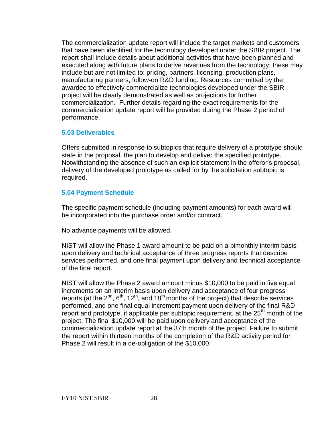The commercialization update report will include the target markets and customers that have been identified for the technology developed under the SBIR project. The report shall include details about additional activities that have been planned and executed along with future plans to derive revenues from the technology; these may include but are not limited to: pricing, partners, licensing, production plans, manufacturing partners, follow-on R&D funding. Resources committed by the awardee to effectively commercialize technologies developed under the SBIR project will be clearly demonstrated as well as projections for further commercialization. Further details regarding the exact requirements for the commercialization update report will be provided during the Phase 2 period of performance.

#### <span id="page-27-0"></span>**5.03 Deliverables**

Offers submitted in response to subtopics that require delivery of a prototype should state in the proposal, the plan to develop and deliver the specified prototype. Notwithstanding the absence of such an explicit statement in the offeror's proposal, delivery of the developed prototype as called for by the solicitation subtopic is required.

#### <span id="page-27-1"></span>**5.04 Payment Schedule**

The specific payment schedule (including payment amounts) for each award will be incorporated into the purchase order and/or contract.

No advance payments will be allowed.

NIST will allow the Phase 1 award amount to be paid on a bimonthly interim basis upon delivery and technical acceptance of three progress reports that describe services performed, and one final payment upon delivery and technical acceptance of the final report.

<span id="page-27-2"></span>NIST will allow the Phase 2 award amount minus \$10,000 to be paid in five equal increments on an interim basis upon delivery and acceptance of four progress reports (at the  $2^{nd}$ ,  $6^{th}$ ,  $12^{th}$ , and  $18^{th}$  months of the project) that describe services performed, and one final equal increment payment upon delivery of the final R&D report and prototype, if applicable per subtopic requirement, at the  $25<sup>th</sup>$  month of the project. The final \$10,000 will be paid upon delivery and acceptance of the commercialization update report at the 37th month of the project. Failure to submit the report within thirteen months of the completion of the R&D activity period for Phase 2 will result in a de-obligation of the \$10,000.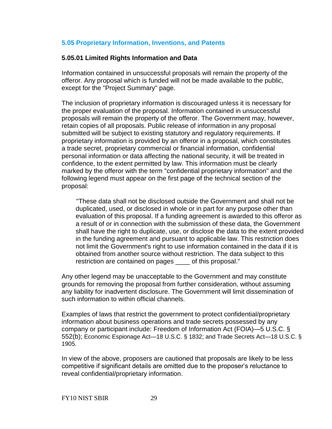#### **5.05 Proprietary Information, Inventions, and Patents**

#### **5.05.01 Limited Rights Information and Data**

Information contained in unsuccessful proposals will remain the property of the offeror. Any proposal which is funded will not be made available to the public, except for the "Project Summary" page.

The inclusion of proprietary information is discouraged unless it is necessary for the proper evaluation of the proposal. Information contained in unsuccessful proposals will remain the property of the offeror. The Government may, however, retain copies of all proposals. Public release of information in any proposal submitted will be subject to existing statutory and regulatory requirements. If proprietary information is provided by an offeror in a proposal, which constitutes a trade secret, proprietary commercial or financial information, confidential personal information or data affecting the national security, it will be treated in confidence, to the extent permitted by law. This information must be clearly marked by the offeror with the term "confidential proprietary information" and the following legend must appear on the first page of the technical section of the proposal:

"These data shall not be disclosed outside the Government and shall not be duplicated, used, or disclosed in whole or in part for any purpose other than evaluation of this proposal. If a funding agreement is awarded to this offeror as a result of or in connection with the submission of these data, the Government shall have the right to duplicate, use, or disclose the data to the extent provided in the funding agreement and pursuant to applicable law. This restriction does not limit the Government's right to use information contained in the data if it is obtained from another source without restriction. The data subject to this restriction are contained on pages \_\_\_\_ of this proposal."

Any other legend may be unacceptable to the Government and may constitute grounds for removing the proposal from further consideration, without assuming any liability for inadvertent disclosure. The Government will limit dissemination of such information to within official channels.

Examples of laws that restrict the government to protect confidential/proprietary information about business operations and trade secrets possessed by any company or participant include: Freedom of Information Act (FOIA)—5 U.S.C. § 552(b); Economic Espionage Act—18 U.S.C. § 1832; and Trade Secrets Act—18 U.S.C. § 1905.

In view of the above, proposers are cautioned that proposals are likely to be less competitive if significant details are omitted due to the proposer's reluctance to reveal confidential/proprietary information.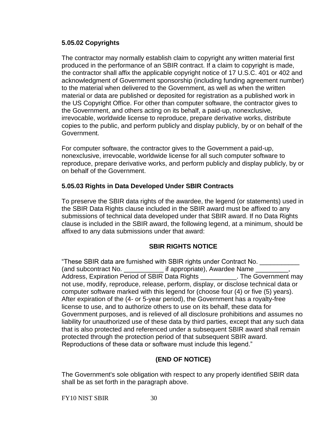#### **5.05.02 Copyrights**

The contractor may normally establish claim to copyright any written material first produced in the performance of an SBIR contract. If a claim to copyright is made, the contractor shall affix the applicable copyright notice of 17 U.S.C. 401 or 402 and acknowledgment of Government sponsorship (including funding agreement number) to the material when delivered to the Government, as well as when the written material or data are published or deposited for registration as a published work in the US Copyright Office. For other than computer software, the contractor gives to the Government, and others acting on its behalf, a paid-up, nonexclusive, irrevocable, worldwide license to reproduce, prepare derivative works, distribute copies to the public, and perform publicly and display publicly, by or on behalf of the Government.

For computer software, the contractor gives to the Government a paid-up, nonexclusive, irrevocable, worldwide license for all such computer software to reproduce, prepare derivative works, and perform publicly and display publicly, by or on behalf of the Government.

## **5.05.03 Rights in Data Developed Under SBIR Contracts**

To preserve the SBIR data rights of the awardee, the legend (or statements) used in the SBIR Data Rights clause included in the SBIR award must be affixed to any submissions of technical data developed under that SBIR award. If no Data Rights clause is included in the SBIR award, the following legend, at a minimum, should be affixed to any data submissions under that award:

## **SBIR RIGHTS NOTICE**

"These SBIR data are furnished with SBIR rights under Contract No. \_\_\_\_\_\_\_\_\_\_ (and subcontract No. \_\_\_\_\_\_\_\_\_\_\_\_\_\_ if appropriate), Awardee Name \_\_\_\_\_\_\_ Address, Expiration Period of SBIR Data Rights \_\_\_\_\_\_\_\_\_\_. The Government may not use, modify, reproduce, release, perform, display, or disclose technical data or computer software marked with this legend for (choose four (4) or five (5) years). After expiration of the (4- or 5-year period), the Government has a royalty-free license to use, and to authorize others to use on its behalf, these data for Government purposes, and is relieved of all disclosure prohibitions and assumes no liability for unauthorized use of these data by third parties, except that any such data that is also protected and referenced under a subsequent SBIR award shall remain protected through the protection period of that subsequent SBIR award. Reproductions of these data or software must include this legend."

## **(END OF NOTICE)**

The Government's sole obligation with respect to any properly identified SBIR data shall be as set forth in the paragraph above.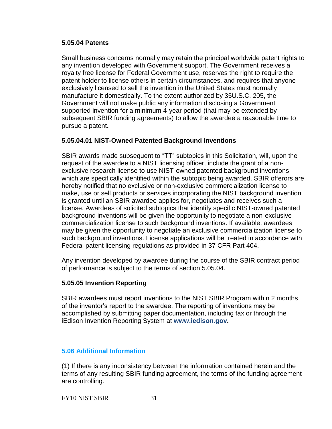#### **5.05.04 Patents**

Small business concerns normally may retain the principal worldwide patent rights to any invention developed with Government support. The Government receives a royalty free license for Federal Government use, reserves the right to require the patent holder to license others in certain circumstances, and requires that anyone exclusively licensed to sell the invention in the United States must normally manufacture it domestically. To the extent authorized by 35U.S.C. 205, the Government will not make public any information disclosing a Government supported invention for a minimum 4-year period (that may be extended by subsequent SBIR funding agreements) to allow the awardee a reasonable time to pursue a patent**.** 

#### **5.05.04.01 NIST-Owned Patented Background Inventions**

SBIR awards made subsequent to "TT" subtopics in this Solicitation, will, upon the request of the awardee to a NIST licensing officer, include the grant of a nonexclusive research license to use NIST-owned patented background inventions which are specifically identified within the subtopic being awarded. SBIR offerors are hereby notified that no exclusive or non-exclusive commercialization license to make, use or sell products or services incorporating the NIST background invention is granted until an SBIR awardee applies for, negotiates and receives such a license. Awardees of solicited subtopics that identify specific NIST-owned patented background inventions will be given the opportunity to negotiate a non-exclusive commercialization license to such background inventions. If available, awardees may be given the opportunity to negotiate an exclusive commercialization license to such background inventions. License applications will be treated in accordance with Federal patent licensing regulations as provided in 37 CFR Part 404.

Any invention developed by awardee during the course of the SBIR contract period of performance is subject to the terms of section 5.05.04.

#### **5.05.05 Invention Reporting**

SBIR awardees must report inventions to the NIST SBIR Program within 2 months of the inventor's report to the awardee. The reporting of inventions may be accomplished by submitting paper documentation, including fax or through the iEdison Invention Reporting System at **[www.iedison.gov.](http://www.iedison.gov/)**

#### <span id="page-30-0"></span>**5.06 Additional Information**

(1) If there is any inconsistency between the information contained herein and the terms of any resulting SBIR funding agreement, the terms of the funding agreement are controlling.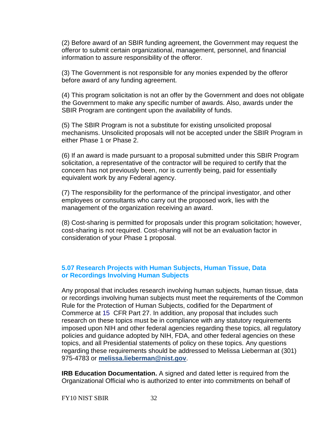(2) Before award of an SBIR funding agreement, the Government may request the offeror to submit certain organizational, management, personnel, and financial information to assure responsibility of the offeror.

(3) The Government is not responsible for any monies expended by the offeror before award of any funding agreement.

(4) This program solicitation is not an offer by the Government and does not obligate the Government to make any specific number of awards. Also, awards under the SBIR Program are contingent upon the availability of funds.

(5) The SBIR Program is not a substitute for existing unsolicited proposal mechanisms. Unsolicited proposals will not be accepted under the SBIR Program in either Phase 1 or Phase 2.

(6) If an award is made pursuant to a proposal submitted under this SBIR Program solicitation, a representative of the contractor will be required to certify that the concern has not previously been, nor is currently being, paid for essentially equivalent work by any Federal agency.

(7) The responsibility for the performance of the principal investigator, and other employees or consultants who carry out the proposed work, lies with the management of the organization receiving an award.

(8) Cost-sharing is permitted for proposals under this program solicitation; however, cost-sharing is not required. Cost-sharing will not be an evaluation factor in consideration of your Phase 1 proposal.

## <span id="page-31-0"></span>**5.07 Research Projects with Human Subjects, Human Tissue, Data or Recordings Involving Human Subjects**

Any proposal that includes research involving human subjects, human tissue, data or recordings involving human subjects must meet the requirements of the Common Rule for the Protection of Human Subjects, codified for the Department of Commerce at [15 CFR Part 27. In addition, any proposal that includes such](http://www.nist.gov/cgi-bin/exit_nist.cgi?url=http://www.access.gpo.gov/nara/cfr/waisidx_99/15cfr27_99.html)  research on these topics must be in compliance with any statutory requirements imposed upon NIH and other federal agencies regarding these topics, all regulatory policies and guidance adopted by NIH, FDA, and other federal agencies on these topics, and all Presidential statements of policy on these topics. Any questions regarding these requirements should be addressed to Melissa Lieberman at (301) 975-4783 or **[melissa.lieberman@nist.gov](mailto:melissa.lieberman@nist.gov)**.

**IRB Education Documentation.** A signed and dated letter is required from the Organizational Official who is authorized to enter into commitments on behalf of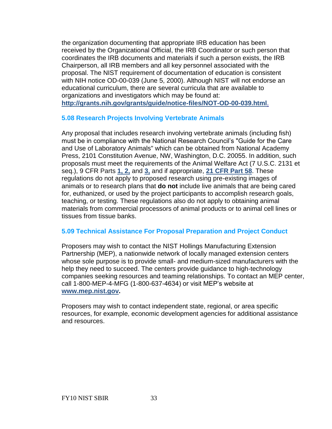the organization documenting that appropriate IRB education has been received by the Organizational Official, the IRB Coordinator or such person that coordinates the IRB documents and materials if such a person exists, the IRB Chairperson, all IRB members and all key personnel associated with the proposal. The NIST requirement of documentation of education is consistent with NIH notice OD-00-039 (June 5, 2000). Although NIST will not endorse an educational curriculum, there are several curricula that are available to organizations and investigators which may be found at: **<http://grants.nih.gov/grants/guide/notice-files/NOT-OD-00-039.html>**.

#### <span id="page-32-0"></span>**5.08 Research Projects Involving Vertebrate Animals**

Any proposal that includes research involving vertebrate animals (including fish) must be in compliance with the National Research Council's "Guide for the Care and Use of Laboratory Animals" which can be obtained from National Academy Press, 2101 Constitution Avenue, NW, Washington, D.C. 20055. In addition, such proposals must meet the requirements of the Animal Welfare Act (7 U.S.C. 2131 et seq.), 9 CFR Parts **[1, 2,](http://www.access.gpo.gov/nara/cfr/waisidx_01/9cfr1_01.html)** and **[3,](http://www.access.gpo.gov/nara/cfr/waisidx_01/9cfr3_01.html)** and if appropriate, **[21 CFR Part 58](http://www.access.gpo.gov/nara/cfr/waisidx_01/21cfr58_01.html)**. These regulations do not apply to proposed research using pre-existing images of animals or to research plans that **do not** include live animals that are being cared for, euthanized, or used by the project participants to accomplish research goals, teaching, or testing. These regulations also do not apply to obtaining animal materials from commercial processors of animal products or to animal cell lines or tissues from tissue banks.

## <span id="page-32-1"></span>**5.09 Technical Assistance For Proposal Preparation and Project Conduct**

Proposers may wish to contact the NIST Hollings Manufacturing Extension Partnership (MEP), a nationwide network of locally managed extension centers whose sole purpose is to provide small- and medium-sized manufacturers with the help they need to succeed. The centers provide guidance to high-technology companies seeking resources and teaming relationships. To contact an MEP center, call 1-800-MEP-4-MFG (1-800-637-4634) or visit MEP's website at **[www.mep.nist.gov.](http://www.mep.nist.gov/)**

<span id="page-32-2"></span>Proposers may wish to contact independent state, regional, or area specific resources, for example, economic development agencies for additional assistance and resources.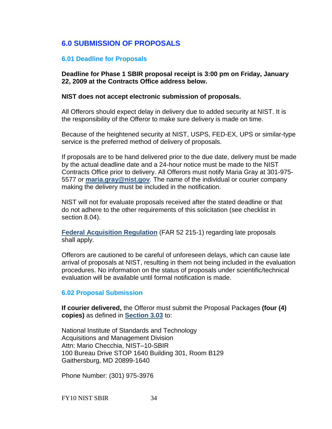## **6.0 SUBMISSION OF PROPOSALS**

#### <span id="page-33-0"></span>**6.01 Deadline for Proposals**

**Deadline for Phase 1 SBIR proposal receipt is 3:00 pm on Friday, January 22, 2009 at the Contracts Office address below.** 

#### **NIST does not accept electronic submission of proposals.**

All Offerors should expect delay in delivery due to added security at NIST. It is the responsibility of the Offeror to make sure delivery is made on time.

Because of the heightened security at NIST, USPS, FED-EX, UPS or similar-type service is the preferred method of delivery of proposals.

If proposals are to be hand delivered prior to the due date, delivery must be made by the actual deadline date and a 24-hour notice must be made to the NIST Contracts Office prior to delivery. All Offerors must notify Maria Gray at 301-975- 5577 or **[maria.gray@nist.gov](mailto:maria.gray@nist.gov)**. The name of the individual or courier company making the delivery must be included in the notification.

NIST will not for evaluate proposals received after the stated deadline or that do not adhere to the other requirements of this solicitation (see checklist in section 8.04).

**[Federal Acquisition Regulation](http://www.arnet.gov/far/loadmainre.html)** (FAR 52 215-1) regarding late proposals shall apply.

Offerors are cautioned to be careful of unforeseen delays, which can cause late arrival of proposals at NIST, resulting in them not being included in the evaluation procedures. No information on the status of proposals under scientific/technical evaluation will be available until formal notification is made.

#### <span id="page-33-1"></span>**6.02 Proposal Submission**

**If courier delivered,** the Offeror must submit the Proposal Packages **(four (4) copies)** as defined in **[Section 3.03](#page-15-1)** to:

National Institute of Standards and Technology Acquisitions and Management Division Attn: Mario Checchia, NIST–10-SBIR 100 Bureau Drive STOP 1640 Building 301, Room B129 Gaithersburg, MD 20899-1640

Phone Number: (301) 975-3976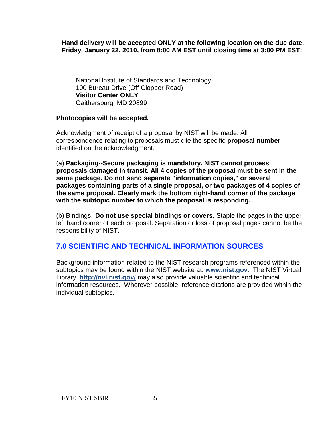#### **Hand delivery will be accepted ONLY at the following location on the due date, Friday, January 22, 2010, from 8:00 AM EST until closing time at 3:00 PM EST:**

National Institute of Standards and Technology 100 Bureau Drive (Off Clopper Road) **Visitor Center ONLY** Gaithersburg, MD 20899

#### **Photocopies will be accepted.**

Acknowledgment of receipt of a proposal by NIST will be made. All correspondence relating to proposals must cite the specific **proposal number** identified on the acknowledgment.

(a) **Packaging--Secure packaging is mandatory. NIST cannot process proposals damaged in transit. All 4 copies of the proposal must be sent in the same package. Do not send separate "information copies," or several packages containing parts of a single proposal, or two packages of 4 copies of the same proposal. Clearly mark the bottom right-hand corner of the package with the subtopic number to which the proposal is responding.**

(b) Bindings--**Do not use special bindings or covers.** Staple the pages in the upper left hand corner of each proposal. Separation or loss of proposal pages cannot be the responsibility of NIST.

## **7.0 SCIENTIFIC AND TECHNICAL INFORMATION SOURCES**

<span id="page-34-0"></span>Background information related to the NIST research programs referenced within the subtopics may be found within the NIST website at: **[www.nist.gov](http://www.nist.gov/)**. The NIST Virtual Library, **<http://nvl.nist.gov/>** may also provide valuable scientific and technical information resources. Wherever possible, reference citations are provided within the individual subtopics.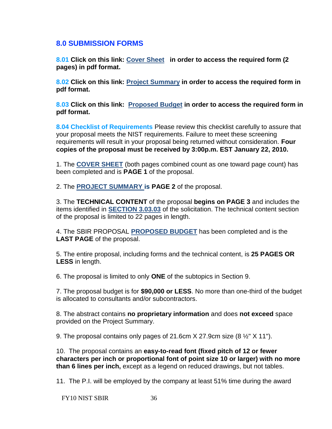## **8.0 SUBMISSION FORMS**

<span id="page-35-0"></span>**8.01 Click on this link: [Cover Sheet](http://tsapps.nist.gov/ts_sbir/cover_10.pdf) in order to access the required form (2 pages) in pdf format.** 

<span id="page-35-1"></span>**8.02 Click on this link: [Project Summary](http://tsapps.nist.gov/ts_sbir/project_summary_10.pdf) in order to access the required form in pdf format.** 

<span id="page-35-2"></span>**8.03 Click on this link: [Proposed Budget](http://tsapps.nist.gov/ts_sbir/budget_10.pdf) in order to access the required form in pdf format.**

<span id="page-35-3"></span>**8.04 Checklist of Requirements** Please review this checklist carefully to assure that your proposal meets the NIST requirements. Failure to meet these screening requirements will result in your proposal being returned without consideration. **Four copies of the proposal must be received by 3:00p.m. EST January 22, 2010.** 

1. The **[COVER SHEET](http://tsapps.nist.gov/ts_sbir/cover_10.pdf)** (both pages combined count as one toward page count) has been completed and is **PAGE 1** of the proposal.

2. The **[PROJECT SUMMARY i](http://tsapps.nist.gov/ts_sbir/project_summary_10.pdf)s PAGE 2** of the proposal.

3. The **TECHNICAL CONTENT** of the proposal **begins on PAGE 3** and includes the items identified in **[SECTION 3.03.03](#page-16-0)** of the solicitation. The technical content section of the proposal is limited to 22 pages in length.

4. The SBIR PROPOSAL **[PROPOSED BUDGET](http://tsapps.nist.gov/ts_sbir/budget_10.pdf)** has been completed and is the **LAST PAGE** of the proposal.

5. The entire proposal, including forms and the technical content, is **25 PAGES OR LESS** in length.

6. The proposal is limited to only **ONE** of the subtopics in Section 9.

7. The proposal budget is for **\$90,000 or LESS**. No more than one-third of the budget is allocated to consultants and/or subcontractors.

8. The abstract contains **no proprietary information** and does **not exceed** space provided on the Project Summary.

9. The proposal contains only pages of 21.6cm X 27.9cm size (8 ½" X 11").

10. The proposal contains an **easy-to-read font (fixed pitch of 12 or fewer characters per inch or proportional font of point size 10 or larger) with no more than 6 lines per inch,** except as a legend on reduced drawings, but not tables.

11. The P.I. will be employed by the company at least 51% time during the award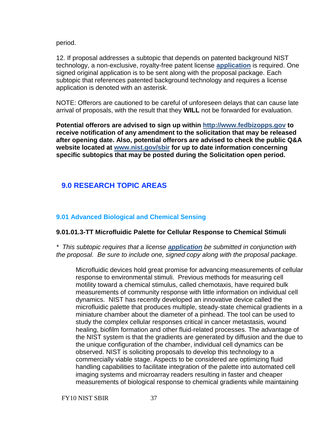period.

12. If proposal addresses a subtopic that depends on patented background NIST technology, a non-exclusive, royalty-free patent license **[application](http://tsapps.nist.gov/ts_sbir/NonExclusiveRoyaltyFreePatentLicenseSBIR.pdf)** is required. One signed original application is to be sent along with the proposal package. Each subtopic that references patented background technology and requires a license application is denoted with an asterisk.

NOTE: Offerors are cautioned to be careful of unforeseen delays that can cause late arrival of proposals, with the result that they **WILL** not be forwarded for evaluation.

**Potential offerors are advised to sign up within [http://www.fedbizopps.gov](http://www.fedbizopps.gov/) to receive notification of any amendment to the solicitation that may be released after opening date. Also, potential offerors are advised to check the public Q&A website located at [www.nist.gov/sbir](http://www.nist.gov/sbir) for up to date information concerning specific subtopics that may be posted during the Solicitation open period.** 

# **9.0 RESEARCH TOPIC AREAS**

# <span id="page-36-0"></span>**9.01 [Advanced Biological and Chemical Sensing](#page-36-0)**

# **9.01.01.3-TT Microfluidic Palette for Cellular Response to Chemical Stimuli**

*\* This subtopic requires that a license [application](http://tsapps.nist.gov/ts_sbir/NonExclusiveRoyaltyFreePatentLicenseSBIR.pdf) be submitted in conjunction with the proposal. Be sure to include one, signed copy along with the proposal package.*

Microfluidic devices hold great promise for advancing measurements of cellular response to environmental stimuli. Previous methods for measuring cell motility toward a chemical stimulus, called chemotaxis, have required bulk measurements of community response with little information on individual cell dynamics. NIST has recently developed an innovative device called the microfluidic palette that produces multiple, steady-state chemical gradients in a miniature chamber about the diameter of a pinhead. The tool can be used to study the complex cellular responses critical in cancer metastasis, wound healing, biofilm formation and other fluid-related processes. The advantage of the NIST system is that the gradients are generated by diffusion and the due to the unique configuration of the chamber, individual cell dynamics can be observed. NIST is soliciting proposals to develop this technology to a commercially viable stage. Aspects to be considered are optimizing fluid handling capabilities to facilitate integration of the palette into automated cell imaging systems and microarray readers resulting in faster and cheaper measurements of biological response to chemical gradients while maintaining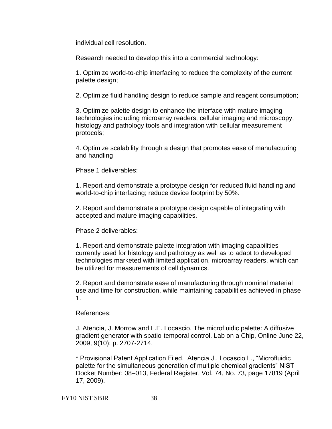individual cell resolution.

Research needed to develop this into a commercial technology:

1. Optimize world-to-chip interfacing to reduce the complexity of the current palette design;

2. Optimize fluid handling design to reduce sample and reagent consumption;

3. Optimize palette design to enhance the interface with mature imaging technologies including microarray readers, cellular imaging and microscopy, histology and pathology tools and integration with cellular measurement protocols;

4. Optimize scalability through a design that promotes ease of manufacturing and handling

Phase 1 deliverables:

1. Report and demonstrate a prototype design for reduced fluid handling and world-to-chip interfacing; reduce device footprint by 50%.

2. Report and demonstrate a prototype design capable of integrating with accepted and mature imaging capabilities.

Phase 2 deliverables:

1. Report and demonstrate palette integration with imaging capabilities currently used for histology and pathology as well as to adapt to developed technologies marketed with limited application, microarray readers, which can be utilized for measurements of cell dynamics.

2. Report and demonstrate ease of manufacturing through nominal material use and time for construction, while maintaining capabilities achieved in phase 1.

### References:

J. Atencia, J. Morrow and L.E. Locascio. The microfluidic palette: A diffusive gradient generator with spatio-temporal control. Lab on a Chip, Online June 22, 2009, 9(10): p. 2707-2714.

\* Provisional Patent Application Filed. Atencia J., Locascio L., ―Microfluidic palette for the simultaneous generation of multiple chemical gradients" NIST Docket Number: 08–013, Federal Register, Vol. 74, No. 73, page 17819 (April 17, 2009).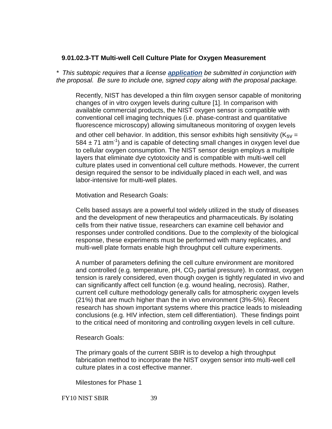# **9.01.02.3-TT Multi-well Cell Culture Plate for Oxygen Measurement**

*\* This subtopic requires that a license [application](http://tsapps.nist.gov/ts_sbir/NonExclusiveRoyaltyFreePatentLicenseSBIR.pdf) be submitted in conjunction with the proposal. Be sure to include one, signed copy along with the proposal package.*

Recently, NIST has developed a thin film oxygen sensor capable of monitoring changes of in vitro oxygen levels during culture [1]. In comparison with available commercial products, the NIST oxygen sensor is compatible with conventional cell imaging techniques (i.e. phase-contrast and quantitative fluorescence microscopy) allowing simultaneous monitoring of oxygen levels and other cell behavior. In addition, this sensor exhibits high sensitivity ( $K_{SV}$  = 584  $\pm$  71 atm<sup>-1</sup>) and is capable of detecting small changes in oxygen level due to cellular oxygen consumption. The NIST sensor design employs a multiple layers that eliminate dye cytotoxicity and is compatible with multi-well cell culture plates used in conventional cell culture methods. However, the current design required the sensor to be individually placed in each well, and was labor-intensive for multi-well plates.

Motivation and Research Goals:

Cells based assays are a powerful tool widely utilized in the study of diseases and the development of new therapeutics and pharmaceuticals. By isolating cells from their native tissue, researchers can examine cell behavior and responses under controlled conditions. Due to the complexity of the biological response, these experiments must be performed with many replicates, and multi-well plate formats enable high throughput cell culture experiments.

A number of parameters defining the cell culture environment are monitored and controlled (e.g. temperature,  $pH$ ,  $CO<sub>2</sub>$  partial pressure). In contrast, oxygen tension is rarely considered, even though oxygen is tightly regulated in vivo and can significantly affect cell function (e.g. wound healing, necrosis). Rather, current cell culture methodology generally calls for atmospheric oxygen levels (21%) that are much higher than the in vivo environment (3%-5%). Recent research has shown important systems where this practice leads to misleading conclusions (e.g. HIV infection, stem cell differentiation). These findings point to the critical need of monitoring and controlling oxygen levels in cell culture.

Research Goals:

The primary goals of the current SBIR is to develop a high throughput fabrication method to incorporate the NIST oxygen sensor into multi-well cell culture plates in a cost effective manner.

Milestones for Phase 1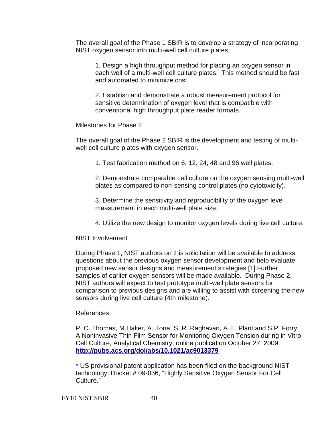The overall goal of the Phase 1 SBIR is to develop a strategy of incorporating NIST oxygen sensor into multi-well cell culture plates.

1. Design a high throughput method for placing an oxygen sensor in each well of a multi-well cell culture plates. This method should be fast and automated to minimize cost.

2. Establish and demonstrate a robust measurement protocol for sensitive determination of oxygen level that is compatible with conventional high throughput plate reader formats.

Milestones for Phase 2

The overall goal of the Phase 2 SBIR is the development and testing of multiwell cell culture plates with oxygen sensor.

1. Test fabrication method on 6, 12, 24, 48 and 96 well plates.

2. Demonstrate comparable cell culture on the oxygen sensing multi-well plates as compared to non-sensing control plates (no cytotoxicity).

3. Determine the sensitivity and reproducibility of the oxygen level measurement in each multi-well plate size.

4. Utilize the new design to monitor oxygen levels during live cell culture.

NIST Involvement

During Phase 1, NIST authors on this solicitation will be available to address questions about the previous oxygen sensor development and help evaluate proposed new sensor designs and measurement strategies.[1] Further, samples of earlier oxygen sensors will be made available. During Phase 2, NIST authors will expect to test prototype multi-well plate sensors for comparison to previous designs and are willing to assist with screening the new sensors during live cell culture (4th milestone).

# References:

P. C. Thomas, M.Halter, A. Tona, S. R. Raghavan, A. L. Plant and S.P. Forry. A Noninvasive Thin Film Sensor for Monitoring Oxygen Tension during in Vitro Cell Culture, Analytical Chemistry, online publication October 27, 2009. **<http://pubs.acs.org/doi/abs/10.1021/ac9013379>**

\* US provisional patent application has been filed on the background NIST technology, Docket # 09-036, "Highly Sensitive Oxygen Sensor For Cell Culture."

FY10 NIST SBIR 40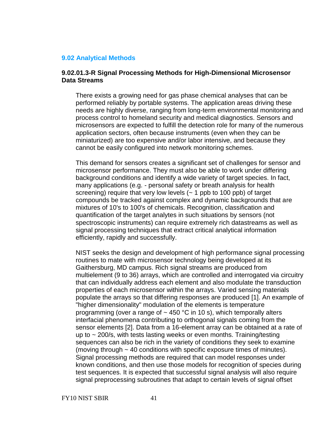### <span id="page-40-0"></span>**9.02 [Analytical Methods](#page-40-0)**

### **9.02.01.3-R Signal Processing Methods for High-Dimensional Microsensor Data Streams**

There exists a growing need for gas phase chemical analyses that can be performed reliably by portable systems. The application areas driving these needs are highly diverse, ranging from long-term environmental monitoring and process control to homeland security and medical diagnostics. Sensors and microsensors are expected to fulfill the detection role for many of the numerous application sectors, often because instruments (even when they can be miniaturized) are too expensive and/or labor intensive, and because they cannot be easily configured into network monitoring schemes.

This demand for sensors creates a significant set of challenges for sensor and microsensor performance. They must also be able to work under differing background conditions and identify a wide variety of target species. In fact, many applications (e.g. - personal safety or breath analysis for health screening) require that very low levels  $(-1)$  ppb to 100 ppb) of target compounds be tracked against complex and dynamic backgrounds that are mixtures of 10's to 100's of chemicals. Recognition, classification and quantification of the target analytes in such situations by sensors (not spectroscopic instruments) can require extremely rich datastreams as well as signal processing techniques that extract critical analytical information efficiently, rapidly and successfully.

NIST seeks the design and development of high performance signal processing routines to mate with microsensor technology being developed at its Gaithersburg, MD campus. Rich signal streams are produced from multielement (9 to 36) arrays, which are controlled and interrogated via circuitry that can individually address each element and also modulate the transduction properties of each microsensor within the arrays. Varied sensing materials populate the arrays so that differing responses are produced [1]. An example of "higher dimensionality" modulation of the elements is temperature programming (over a range of  $\sim$  450 °C in 10 s), which temporally alters interfacial phenomena contributing to orthogonal signals coming from the sensor elements [2]. Data from a 16-element array can be obtained at a rate of up to  $\sim$  200/s, with tests lasting weeks or even months. Training/testing sequences can also be rich in the variety of conditions they seek to examine (moving through ~ 40 conditions with specific exposure times of minutes). Signal processing methods are required that can model responses under known conditions, and then use those models for recognition of species during test sequences. It is expected that successful signal analysis will also require signal preprocessing subroutines that adapt to certain levels of signal offset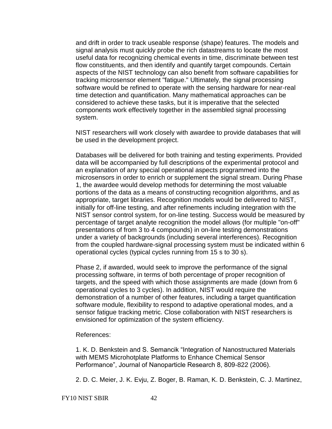and drift in order to track useable response (shape) features. The models and signal analysis must quickly probe the rich datastreams to locate the most useful data for recognizing chemical events in time, discriminate between test flow constituents, and then identify and quantify target compounds. Certain aspects of the NIST technology can also benefit from software capabilities for tracking microsensor element "fatigue." Ultimately, the signal processing software would be refined to operate with the sensing hardware for near-real time detection and quantification. Many mathematical approaches can be considered to achieve these tasks, but it is imperative that the selected components work effectively together in the assembled signal processing system.

NIST researchers will work closely with awardee to provide databases that will be used in the development project.

Databases will be delivered for both training and testing experiments. Provided data will be accompanied by full descriptions of the experimental protocol and an explanation of any special operational aspects programmed into the microsensors in order to enrich or supplement the signal stream. During Phase 1, the awardee would develop methods for determining the most valuable portions of the data as a means of constructing recognition algorithms, and as appropriate, target libraries. Recognition models would be delivered to NIST, initially for off-line testing, and after refinements including integration with the NIST sensor control system, for on-line testing. Success would be measured by percentage of target analyte recognition the model allows (for multiple "on-off" presentations of from 3 to 4 compounds) in on-line testing demonstrations under a variety of backgrounds (including several interferences). Recognition from the coupled hardware-signal processing system must be indicated within 6 operational cycles (typical cycles running from 15 s to 30 s).

Phase 2, if awarded, would seek to improve the performance of the signal processing software, in terms of both percentage of proper recognition of targets, and the speed with which those assignments are made (down from 6 operational cycles to 3 cycles). In addition, NIST would require the demonstration of a number of other features, including a target quantification software module, flexibility to respond to adaptive operational modes, and a sensor fatigue tracking metric. Close collaboration with NIST researchers is envisioned for optimization of the system efficiency.

References:

1. K. D. Benkstein and S. Semancik "Integration of Nanostructured Materials with MEMS Microhotplate Platforms to Enhance Chemical Sensor Performance", Journal of Nanoparticle Research 8, 809-822 (2006).

2. D. C. Meier, J. K. Evju, Z. Boger, B. Raman, K. D. Benkstein, C. J. Martinez,

FY10 NIST SBIR 42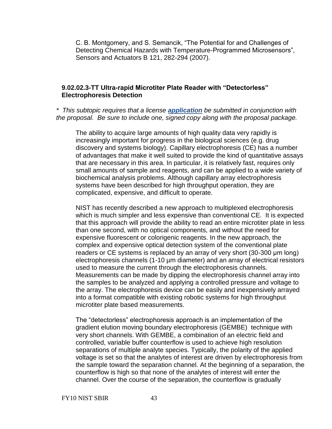C. B. Montgomery, and S. Semancik, "The Potential for and Challenges of Detecting Chemical Hazards with Temperature-Programmed Microsensors", Sensors and Actuators B 121, 282-294 (2007).

# **9.02.02.3-TT Ultra-rapid Microtiter Plate Reader with "Detectorless" Electrophoresis Detection**

*\* This subtopic requires that a license [application](http://tsapps.nist.gov/ts_sbir/NonExclusiveRoyaltyFreePatentLicenseSBIR.pdf) be submitted in conjunction with the proposal. Be sure to include one, signed copy along with the proposal package.*

The ability to acquire large amounts of high quality data very rapidly is increasingly important for progress in the biological sciences (e.g. drug discovery and systems biology). Capillary electrophoresis (CE) has a number of advantages that make it well suited to provide the kind of quantitative assays that are necessary in this area. In particular, it is relatively fast, requires only small amounts of sample and reagents, and can be applied to a wide variety of biochemical analysis problems. Although capillary array electrophoresis systems have been described for high throughput operation, they are complicated, expensive, and difficult to operate.

NIST has recently described a new approach to multiplexed electrophoresis which is much simpler and less expensive than conventional CE. It is expected that this approach will provide the ability to read an entire microtiter plate in less than one second, with no optical components, and without the need for expensive fluorescent or colorigenic reagents. In the new approach, the complex and expensive optical detection system of the conventional plate readers or CE systems is replaced by an array of very short (30-300 μm long) electrophoresis channels (1-10 µm diameter) and an array of electrical resistors used to measure the current through the electrophoresis channels. Measurements can be made by dipping the electrophoresis channel array into the samples to be analyzed and applying a controlled pressure and voltage to the array. The electrophoresis device can be easily and inexpensively arrayed into a format compatible with existing robotic systems for high throughput microtiter plate based measurements.

The "detectorless" electrophoresis approach is an implementation of the gradient elution moving boundary electrophoresis (GEMBE) technique with very short channels. With GEMBE, a combination of an electric field and controlled, variable buffer counterflow is used to achieve high resolution separations of multiple analyte species. Typically, the polarity of the applied voltage is set so that the analytes of interest are driven by electrophoresis from the sample toward the separation channel. At the beginning of a separation, the counterflow is high so that none of the analytes of interest will enter the channel. Over the course of the separation, the counterflow is gradually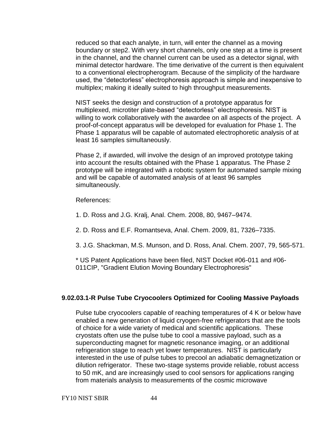reduced so that each analyte, in turn, will enter the channel as a moving boundary or step2. With very short channels, only one step at a time is present in the channel, and the channel current can be used as a detector signal, with minimal detector hardware. The time derivative of the current is then equivalent to a conventional electropherogram. Because of the simplicity of the hardware used, the "detectorless" electrophoresis approach is simple and inexpensive to multiplex; making it ideally suited to high throughput measurements.

NIST seeks the design and construction of a prototype apparatus for multiplexed, microtiter plate-based "detectorless" electrophoresis. NIST is willing to work collaboratively with the awardee on all aspects of the project. A proof-of-concept apparatus will be developed for evaluation for Phase 1. The Phase 1 apparatus will be capable of automated electrophoretic analysis of at least 16 samples simultaneously.

Phase 2, if awarded, will involve the design of an improved prototype taking into account the results obtained with the Phase 1 apparatus. The Phase 2 prototype will be integrated with a robotic system for automated sample mixing and will be capable of automated analysis of at least 96 samples simultaneously.

References:

1. D. Ross and J.G. Kralj, Anal. Chem. 2008, 80, 9467–9474.

2. D. Ross and E.F. Romantseva, Anal. Chem. 2009, 81, 7326–7335.

3. J.G. Shackman, M.S. Munson, and D. Ross, Anal. Chem. 2007, 79, 565-571.

\* US Patent Applications have been filed, NIST Docket #06-011 and #06- 011CIP, "Gradient Elution Moving Boundary Electrophoresis"

# **9.02.03.1-R Pulse Tube Cryocoolers Optimized for Cooling Massive Payloads**

Pulse tube cryocoolers capable of reaching temperatures of 4 K or below have enabled a new generation of liquid cryogen-free refrigerators that are the tools of choice for a wide variety of medical and scientific applications. These cryostats often use the pulse tube to cool a massive payload, such as a superconducting magnet for magnetic resonance imaging, or an additional refrigeration stage to reach yet lower temperatures. NIST is particularly interested in the use of pulse tubes to precool an adiabatic demagnetization or dilution refrigerator. These two-stage systems provide reliable, robust access to 50 mK, and are increasingly used to cool sensors for applications ranging from materials analysis to measurements of the cosmic microwave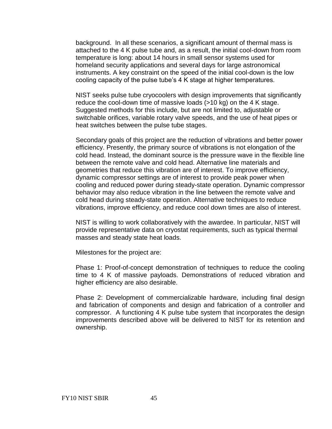background. In all these scenarios, a significant amount of thermal mass is attached to the 4 K pulse tube and, as a result, the initial cool-down from room temperature is long: about 14 hours in small sensor systems used for homeland security applications and several days for large astronomical instruments. A key constraint on the speed of the initial cool-down is the low cooling capacity of the pulse tube's 4 K stage at higher temperatures.

NIST seeks pulse tube cryocoolers with design improvements that significantly reduce the cool-down time of massive loads (>10 kg) on the 4 K stage. Suggested methods for this include, but are not limited to, adjustable or switchable orifices, variable rotary valve speeds, and the use of heat pipes or heat switches between the pulse tube stages.

Secondary goals of this project are the reduction of vibrations and better power efficiency. Presently, the primary source of vibrations is not elongation of the cold head. Instead, the dominant source is the pressure wave in the flexible line between the remote valve and cold head. Alternative line materials and geometries that reduce this vibration are of interest. To improve efficiency, dynamic compressor settings are of interest to provide peak power when cooling and reduced power during steady-state operation. Dynamic compressor behavior may also reduce vibration in the line between the remote valve and cold head during steady-state operation. Alternative techniques to reduce vibrations, improve efficiency, and reduce cool down times are also of interest.

NIST is willing to work collaboratively with the awardee. In particular, NIST will provide representative data on cryostat requirements, such as typical thermal masses and steady state heat loads.

Milestones for the project are:

Phase 1: Proof-of-concept demonstration of techniques to reduce the cooling time to 4 K of massive payloads. Demonstrations of reduced vibration and higher efficiency are also desirable.

Phase 2: Development of commercializable hardware, including final design and fabrication of components and design and fabrication of a controller and compressor. A functioning 4 K pulse tube system that incorporates the design improvements described above will be delivered to NIST for its retention and ownership.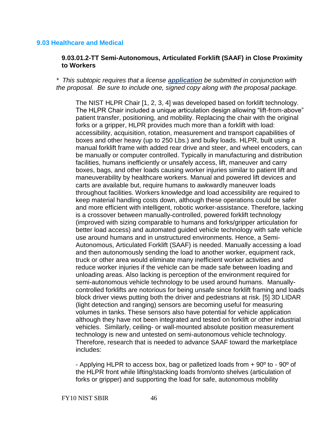### **9.03 Healthcare and Medical**

### **9.03.01.2-TT Semi-Autonomous, Articulated Forklift (SAAF) in Close Proximity to Workers**

*\* This subtopic requires that a license [application](http://tsapps.nist.gov/ts_sbir/NonExclusiveRoyaltyFreePatentLicenseSBIR.pdf) be submitted in conjunction with the proposal. Be sure to include one, signed copy along with the proposal package.*

The NIST HLPR Chair [1, 2, 3, 4] was developed based on forklift technology. The HLPR Chair included a unique articulation design allowing "lift-from-above" patient transfer, positioning, and mobility. Replacing the chair with the original forks or a gripper, HLPR provides much more than a forklift with load: accessibility, acquisition, rotation, measurement and transport capabilities of boxes and other heavy (up to 250 Lbs.) and bulky loads. HLPR, built using a manual forklift frame with added rear drive and steer, and wheel encoders, can be manually or computer controlled. Typically in manufacturing and distribution facilities, humans inefficiently or unsafely access, lift, maneuver and carry boxes, bags, and other loads causing worker injuries similar to patient lift and maneuverability by healthcare workers. Manual and powered lift devices and carts are available but, require humans to awkwardly maneuver loads throughout facilities. Workers knowledge and load accessibility are required to keep material handling costs down, although these operations could be safer and more efficient with intelligent, robotic worker-assistance. Therefore, lacking is a crossover between manually-controlled, powered forklift technology (improved with sizing comparable to humans and forks/gripper articulation for better load access) and automated guided vehicle technology with safe vehicle use around humans and in unstructured environments. Hence, a Semi-Autonomous, Articulated Forklift (SAAF) is needed. Manually accessing a load and then autonomously sending the load to another worker, equipment rack, truck or other area would eliminate many inefficient worker activities and reduce worker injuries if the vehicle can be made safe between loading and unloading areas. Also lacking is perception of the environment required for semi-autonomous vehicle technology to be used around humans. Manuallycontrolled forklifts are notorious for being unsafe since forklift framing and loads block driver views putting both the driver and pedestrians at risk. [5] 3D LIDAR (light detection and ranging) sensors are becoming useful for measuring volumes in tanks. These sensors also have potential for vehicle application although they have not been integrated and tested on forklift or other industrial vehicles. Similarly, ceiling- or wall-mounted absolute position measurement technology is new and untested on semi-autonomous vehicle technology. Therefore, research that is needed to advance SAAF toward the marketplace includes:

- Applying HLPR to access box, bag or palletized loads from + 90º to - 90º of the HLPR front while lifting/stacking loads from/onto shelves (articulation of forks or gripper) and supporting the load for safe, autonomous mobility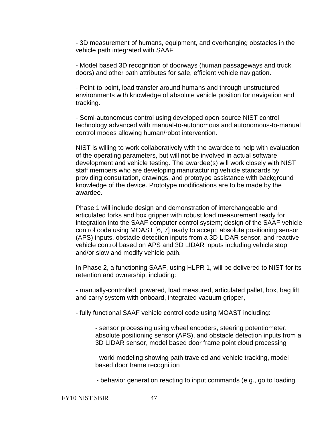- 3D measurement of humans, equipment, and overhanging obstacles in the vehicle path integrated with SAAF

- Model based 3D recognition of doorways (human passageways and truck doors) and other path attributes for safe, efficient vehicle navigation.

- Point-to-point, load transfer around humans and through unstructured environments with knowledge of absolute vehicle position for navigation and tracking.

- Semi-autonomous control using developed open-source NIST control technology advanced with manual-to-autonomous and autonomous-to-manual control modes allowing human/robot intervention.

NIST is willing to work collaboratively with the awardee to help with evaluation of the operating parameters, but will not be involved in actual software development and vehicle testing. The awardee(s) will work closely with NIST staff members who are developing manufacturing vehicle standards by providing consultation, drawings, and prototype assistance with background knowledge of the device. Prototype modifications are to be made by the awardee.

Phase 1 will include design and demonstration of interchangeable and articulated forks and box gripper with robust load measurement ready for integration into the SAAF computer control system; design of the SAAF vehicle control code using MOAST [6, 7] ready to accept: absolute positioning sensor (APS) inputs, obstacle detection inputs from a 3D LIDAR sensor, and reactive vehicle control based on APS and 3D LIDAR inputs including vehicle stop and/or slow and modify vehicle path.

In Phase 2, a functioning SAAF, using HLPR 1, will be delivered to NIST for its retention and ownership, including:

- manually-controlled, powered, load measured, articulated pallet, box, bag lift and carry system with onboard, integrated vacuum gripper,

- fully functional SAAF vehicle control code using MOAST including:

- sensor processing using wheel encoders, steering potentiometer, absolute positioning sensor (APS), and obstacle detection inputs from a 3D LIDAR sensor, model based door frame point cloud processing

- world modeling showing path traveled and vehicle tracking, model based door frame recognition

- behavior generation reacting to input commands (e.g., go to loading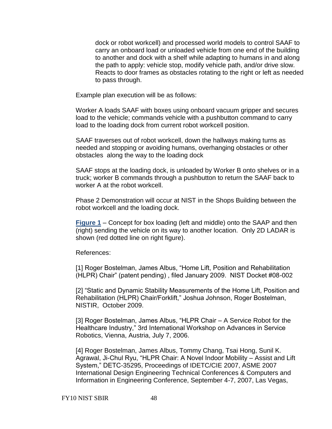dock or robot workcell) and processed world models to control SAAF to carry an onboard load or unloaded vehicle from one end of the building to another and dock with a shelf while adapting to humans in and along the path to apply: vehicle stop, modify vehicle path, and/or drive slow. Reacts to door frames as obstacles rotating to the right or left as needed to pass through.

Example plan execution will be as follows:

Worker A loads SAAF with boxes using onboard vacuum gripper and secures load to the vehicle; commands vehicle with a pushbutton command to carry load to the loading dock from current robot workcell position.

SAAF traverses out of robot workcell, down the hallways making turns as needed and stopping or avoiding humans, overhanging obstacles or other obstacles along the way to the loading dock

SAAF stops at the loading dock, is unloaded by Worker B onto shelves or in a truck; worker B commands through a pushbutton to return the SAAF back to worker A at the robot workcell.

Phase 2 Demonstration will occur at NIST in the Shops Building between the robot workcell and the loading dock.

**[Figure 1](http://tsapps.nist.gov/ts_sbir/figure_1_9_03_01_2_TT.docx)** – Concept for box loading (left and middle) onto the SAAP and then (right) sending the vehicle on its way to another location. Only 2D LADAR is shown (red dotted line on right figure).

References:

[1] Roger Bostelman, James Albus, "Home Lift, Position and Rehabilitation (HLPR) Chair" (patent pending), filed January 2009. NIST Docket #08-002

[2] "Static and Dynamic Stability Measurements of the Home Lift, Position and Rehabilitation (HLPR) Chair/Forklift," Joshua Johnson, Roger Bostelman, NISTIR, October 2009.

[3] Roger Bostelman, James Albus, "HLPR Chair – A Service Robot for the Healthcare Industry," 3rd International Workshop on Advances in Service Robotics, Vienna, Austria, July 7, 2006.

[4] Roger Bostelman, James Albus, Tommy Chang, Tsai Hong, Sunil K. Agrawal, Ji-Chul Ryu, "HLPR Chair: A Novel Indoor Mobility – Assist and Lift System," DETC-35295, Proceedings of IDETC/CIE 2007, ASME 2007 International Design Engineering Technical Conferences & Computers and Information in Engineering Conference, September 4-7, 2007, Las Vegas,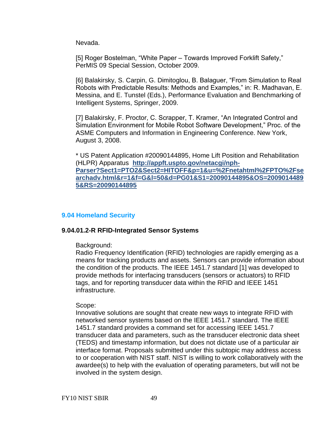Nevada.

[5] Roger Bostelman, "White Paper – Towards Improved Forklift Safety," PerMIS 09 Special Session, October 2009.

[6] Balakirsky, S. Carpin, G. Dimitoglou, B. Balaguer, "From Simulation to Real Robots with Predictable Results: Methods and Examples," in: R. Madhavan, E. Messina, and E. Tunstel (Eds.), Performance Evaluation and Benchmarking of Intelligent Systems, Springer, 2009.

[7] Balakirsky, F. Proctor, C. Scrapper, T. Kramer, "An Integrated Control and Simulation Environment for Mobile Robot Software Development," Proc. of the ASME Computers and Information in Engineering Conference. New York, August 3, 2008.

\* US Patent Application #20090144895, Home Lift Position and Rehabilitation (HLPR) Apparatus **[http://appft.uspto.gov/netacgi/nph-](http://appft.uspto.gov/netacgi/nph-Parser?Sect1=PTO2&Sect2=HITOFF&p=1&u=%2Fnetahtml%2FPTO%2Fsearchadv.html&r=1&f=G&l=50&d=PG01&S1=20090144895&OS=20090144895&RS=20090144895)[Parser?Sect1=PTO2&Sect2=HITOFF&p=1&u=%2Fnetahtml%2FPTO%2Fse](http://appft.uspto.gov/netacgi/nph-Parser?Sect1=PTO2&Sect2=HITOFF&p=1&u=%2Fnetahtml%2FPTO%2Fsearchadv.html&r=1&f=G&l=50&d=PG01&S1=20090144895&OS=20090144895&RS=20090144895) [archadv.html&r=1&f=G&l=50&d=PG01&S1=20090144895&OS=2009014489](http://appft.uspto.gov/netacgi/nph-Parser?Sect1=PTO2&Sect2=HITOFF&p=1&u=%2Fnetahtml%2FPTO%2Fsearchadv.html&r=1&f=G&l=50&d=PG01&S1=20090144895&OS=20090144895&RS=20090144895) [5&RS=20090144895](http://appft.uspto.gov/netacgi/nph-Parser?Sect1=PTO2&Sect2=HITOFF&p=1&u=%2Fnetahtml%2FPTO%2Fsearchadv.html&r=1&f=G&l=50&d=PG01&S1=20090144895&OS=20090144895&RS=20090144895)**

# **9.04 [Homeland Security](#page-54-0)**

# **9.04.01.2-R RFID-Integrated Sensor Systems**

Background:

Radio Frequency Identification (RFID) technologies are rapidly emerging as a means for tracking products and assets. Sensors can provide information about the condition of the products. The IEEE 1451.7 standard [1] was developed to provide methods for interfacing transducers (sensors or actuators) to RFID tags, and for reporting transducer data within the RFID and IEEE 1451 infrastructure.

# Scope:

Innovative solutions are sought that create new ways to integrate RFID with networked sensor systems based on the IEEE 1451.7 standard. The IEEE 1451.7 standard provides a command set for accessing IEEE 1451.7 transducer data and parameters, such as the transducer electronic data sheet (TEDS) and timestamp information, but does not dictate use of a particular air interface format. Proposals submitted under this subtopic may address access to or cooperation with NIST staff. NIST is willing to work collaboratively with the awardee(s) to help with the evaluation of operating parameters, but will not be involved in the system design.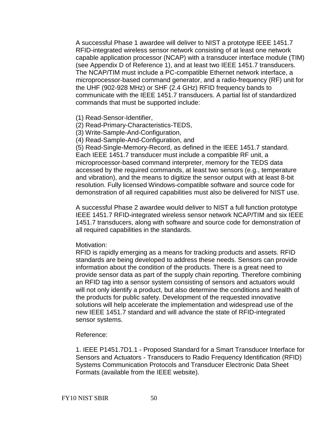A successful Phase 1 awardee will deliver to NIST a prototype IEEE 1451.7 RFID-integrated wireless sensor network consisting of at least one network capable application processor (NCAP) with a transducer interface module (TIM) (see Appendix D of Reference 1), and at least two IEEE 1451.7 transducers. The NCAP/TIM must include a PC-compatible Ethernet network interface, a microprocessor-based command generator, and a radio-frequency (RF) unit for the UHF (902-928 MHz) or SHF (2.4 GHz) RFID frequency bands to communicate with the IEEE 1451.7 transducers. A partial list of standardized commands that must be supported include:

- (1) Read-Sensor-Identifier,
- (2) Read-Primary-Characteristics-TEDS,
- (3) Write-Sample-And-Configuration,
- (4) Read-Sample-And-Configuration, and

(5) Read-Single-Memory-Record, as defined in the IEEE 1451.7 standard. Each IEEE 1451.7 transducer must include a compatible RF unit, a microprocessor-based command interpreter, memory for the TEDS data accessed by the required commands, at least two sensors (e.g., temperature and vibration), and the means to digitize the sensor output with at least 8-bit resolution. Fully licensed Windows-compatible software and source code for demonstration of all required capabilities must also be delivered for NIST use.

A successful Phase 2 awardee would deliver to NIST a full function prototype IEEE 1451.7 RFID-integrated wireless sensor network NCAP/TIM and six IEEE 1451.7 transducers, along with software and source code for demonstration of all required capabilities in the standards.

### Motivation:

RFID is rapidly emerging as a means for tracking products and assets. RFID standards are being developed to address these needs. Sensors can provide information about the condition of the products. There is a great need to provide sensor data as part of the supply chain reporting. Therefore combining an RFID tag into a sensor system consisting of sensors and actuators would will not only identify a product, but also determine the conditions and health of the products for public safety. Development of the requested innovative solutions will help accelerate the implementation and widespread use of the new IEEE 1451.7 standard and will advance the state of RFID-integrated sensor systems.

### Reference:

1. IEEE P1451.7D1.1 - Proposed Standard for a Smart Transducer Interface for Sensors and Actuators - Transducers to Radio Frequency Identification (RFID) Systems Communication Protocols and Transducer Electronic Data Sheet Formats (available from the IEEE website).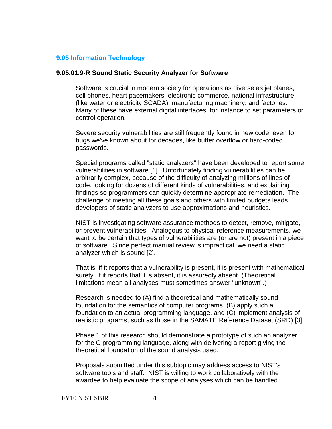### **9.05 [Information Technology](#page-56-0)**

#### **9.05.01.9-R Sound Static Security Analyzer for Software**

Software is crucial in modern society for operations as diverse as jet planes, cell phones, heart pacemakers, electronic commerce, national infrastructure (like water or electricity SCADA), manufacturing machinery, and factories. Many of these have external digital interfaces, for instance to set parameters or control operation.

Severe security vulnerabilities are still frequently found in new code, even for bugs we've known about for decades, like buffer overflow or hard-coded passwords.

Special programs called "static analyzers" have been developed to report some vulnerabilities in software [1]. Unfortunately finding vulnerabilities can be arbitrarily complex, because of the difficulty of analyzing millions of lines of code, looking for dozens of different kinds of vulnerabilities, and explaining findings so programmers can quickly determine appropriate remediation. The challenge of meeting all these goals and others with limited budgets leads developers of static analyzers to use approximations and heuristics.

NIST is investigating software assurance methods to detect, remove, mitigate, or prevent vulnerabilities. Analogous to physical reference measurements, we want to be certain that types of vulnerabilities are (or are not) present in a piece of software. Since perfect manual review is impractical, we need a static analyzer which is sound [2].

That is, if it reports that a vulnerability is present, it is present with mathematical surety. If it reports that it is absent, it is assuredly absent. (Theoretical limitations mean all analyses must sometimes answer "unknown".)

Research is needed to (A) find a theoretical and mathematically sound foundation for the semantics of computer programs, (B) apply such a foundation to an actual programming language, and (C) implement analysis of realistic programs, such as those in the SAMATE Reference Dataset (SRD) [3].

Phase 1 of this research should demonstrate a prototype of such an analyzer for the C programming language, along with delivering a report giving the theoretical foundation of the sound analysis used.

Proposals submitted under this subtopic may address access to NIST's software tools and staff. NIST is willing to work collaboratively with the awardee to help evaluate the scope of analyses which can be handled.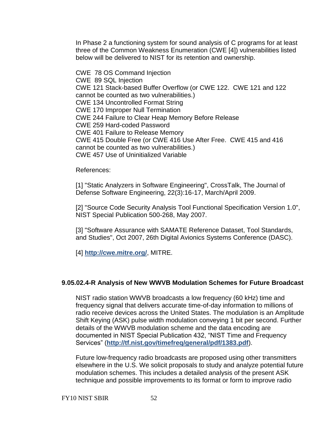In Phase 2 a functioning system for sound analysis of C programs for at least three of the Common Weakness Enumeration (CWE [4]) vulnerabilities listed below will be delivered to NIST for its retention and ownership.

CWE 78 OS Command Injection CWE 89 SQL Injection CWE 121 Stack-based Buffer Overflow (or CWE 122. CWE 121 and 122 cannot be counted as two vulnerabilities.) CWE 134 Uncontrolled Format String CWE 170 Improper Null Termination CWE 244 Failure to Clear Heap Memory Before Release CWE 259 Hard-coded Password CWE 401 Failure to Release Memory CWE 415 Double Free (or CWE 416 Use After Free. CWE 415 and 416 cannot be counted as two vulnerabilities.) CWE 457 Use of Uninitialized Variable

References:

[1] "Static Analyzers in Software Engineering", CrossTalk, The Journal of Defense Software Engineering, 22(3):16-17, March/April 2009.

[2] "Source Code Security Analysis Tool Functional Specification Version 1.0", NIST Special Publication 500-268, May 2007.

[3] "Software Assurance with SAMATE Reference Dataset, Tool Standards, and Studies", Oct 2007, 26th Digital Avionics Systems Conference (DASC).

[4] **<http://cwe.mitre.org/>**, MITRE.

# **9.05.02.4-R Analysis of New WWVB Modulation Schemes for Future Broadcast**

NIST radio station WWVB broadcasts a low frequency (60 kHz) time and frequency signal that delivers accurate time-of-day information to millions of radio receive devices across the United States. The modulation is an Amplitude Shift Keying (ASK) pulse width modulation conveying 1 bit per second. Further details of the WWVB modulation scheme and the data encoding are documented in NIST Special Publication 432, "NIST Time and Frequency Services‖ (**<http://tf.nist.gov/timefreq/general/pdf/1383.pdf>**).

Future low-frequency radio broadcasts are proposed using other transmitters elsewhere in the U.S. We solicit proposals to study and analyze potential future modulation schemes. This includes a detailed analysis of the present ASK technique and possible improvements to its format or form to improve radio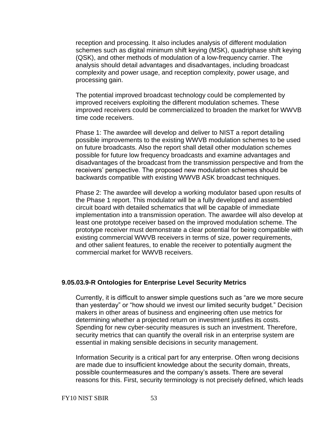reception and processing. It also includes analysis of different modulation schemes such as digital minimum shift keying (MSK), quadriphase shift keying (QSK), and other methods of modulation of a low-frequency carrier. The analysis should detail advantages and disadvantages, including broadcast complexity and power usage, and reception complexity, power usage, and processing gain.

The potential improved broadcast technology could be complemented by improved receivers exploiting the different modulation schemes. These improved receivers could be commercialized to broaden the market for WWVB time code receivers.

Phase 1: The awardee will develop and deliver to NIST a report detailing possible improvements to the existing WWVB modulation schemes to be used on future broadcasts. Also the report shall detail other modulation schemes possible for future low frequency broadcasts and examine advantages and disadvantages of the broadcast from the transmission perspective and from the receivers' perspective. The proposed new modulation schemes should be backwards compatible with existing WWVB ASK broadcast techniques.

Phase 2: The awardee will develop a working modulator based upon results of the Phase 1 report. This modulator will be a fully developed and assembled circuit board with detailed schematics that will be capable of immediate implementation into a transmission operation. The awardee will also develop at least one prototype receiver based on the improved modulation scheme. The prototype receiver must demonstrate a clear potential for being compatible with existing commercial WWVB receivers in terms of size, power requirements, and other salient features, to enable the receiver to potentially augment the commercial market for WWVB receivers.

#### **9.05.03.9-R Ontologies for Enterprise Level Security Metrics**

Currently, it is difficult to answer simple questions such as "are we more secure than yesterday" or "how should we invest our limited security budget." Decision makers in other areas of business and engineering often use metrics for determining whether a projected return on investment justifies its costs. Spending for new cyber-security measures is such an investment. Therefore, security metrics that can quantify the overall risk in an enterprise system are essential in making sensible decisions in security management.

Information Security is a critical part for any enterprise. Often wrong decisions are made due to insufficient knowledge about the security domain, threats, possible countermeasures and the company's assets. There are several reasons for this. First, security terminology is not precisely defined, which leads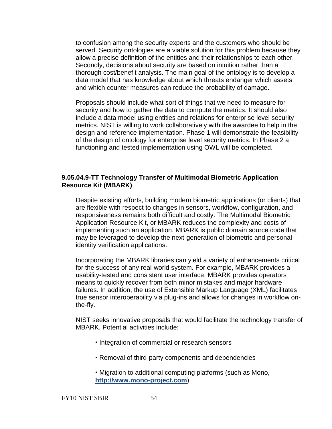to confusion among the security experts and the customers who should be served. Security ontologies are a viable solution for this problem because they allow a precise definition of the entities and their relationships to each other. Secondly, decisions about security are based on intuition rather than a thorough cost/benefit analysis. The main goal of the ontology is to develop a data model that has knowledge about which threats endanger which assets and which counter measures can reduce the probability of damage.

Proposals should include what sort of things that we need to measure for security and how to gather the data to compute the metrics. It should also include a data model using entities and relations for enterprise level security metrics. NIST is willing to work collaboratively with the awardee to help in the design and reference implementation. Phase 1 will demonstrate the feasibility of the design of ontology for enterprise level security metrics. In Phase 2 a functioning and tested implementation using OWL will be completed.

### **9.05.04.9-TT Technology Transfer of Multimodal Biometric Application Resource Kit (MBARK)**

Despite existing efforts, building modern biometric applications (or clients) that are flexible with respect to changes in sensors, workflow, configuration, and responsiveness remains both difficult and costly. The Multimodal Biometric Application Resource Kit, or MBARK reduces the complexity and costs of implementing such an application. MBARK is public domain source code that may be leveraged to develop the next-generation of biometric and personal identity verification applications.

Incorporating the MBARK libraries can yield a variety of enhancements critical for the success of any real-world system. For example, MBARK provides a usability-tested and consistent user interface. MBARK provides operators means to quickly recover from both minor mistakes and major hardware failures. In addition, the use of Extensible Markup Language (XML) facilitates true sensor interoperability via plug-ins and allows for changes in workflow onthe-fly.

NIST seeks innovative proposals that would facilitate the technology transfer of MBARK. Potential activities include:

- Integration of commercial or research sensors
- Removal of third-party components and dependencies
- Migration to additional computing platforms (such as Mono, **[http://www.mono-project.com](http://www.mono-project.com/)**)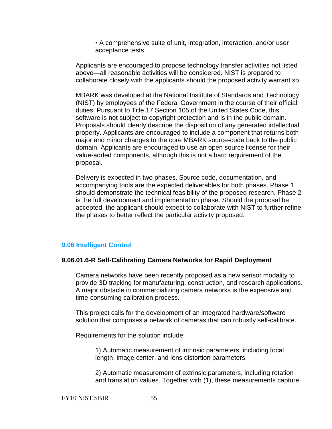• A comprehensive suite of unit, integration, interaction, and/or user acceptance tests

Applicants are encouraged to propose technology transfer activities not listed above—all reasonable activities will be considered. NIST is prepared to collaborate closely with the applicants should the proposed activity warrant so.

MBARK was developed at the National Institute of Standards and Technology (NIST) by employees of the Federal Government in the course of their official duties. Pursuant to Title 17 Section 105 of the United States Code, this software is not subject to copyright protection and is in the public domain. Proposals should clearly describe the disposition of any generated intellectual property. Applicants are encouraged to include a component that returns both major and minor changes to the core MBARK source-code back to the public domain. Applicants are encouraged to use an open source license for their value-added components, although this is not a hard requirement of the proposal.

Delivery is expected in two phases. Source code, documentation, and accompanying tools are the expected deliverables for both phases. Phase 1 should demonstrate the technical feasibility of the proposed research. Phase 2 is the full development and implementation phase. Should the proposal be accepted, the applicant should expect to collaborate with NIST to further refine the phases to better reflect the particular activity proposed.

# <span id="page-54-0"></span>**9.06 Intelligent Control**

### **9.06.01.6-R Self-Calibrating Camera Networks for Rapid Deployment**

Camera networks have been recently proposed as a new sensor modality to provide 3D tracking for manufacturing, construction, and research applications. A major obstacle in commercializing camera networks is the expensive and time-consuming calibration process.

This project calls for the development of an integrated hardware/software solution that comprises a network of cameras that can robustly self-calibrate.

Requirements for the solution include:

1) Automatic measurement of intrinsic parameters, including focal length, image center, and lens distortion parameters

2) Automatic measurement of extrinsic parameters, including rotation and translation values. Together with (1), these measurements capture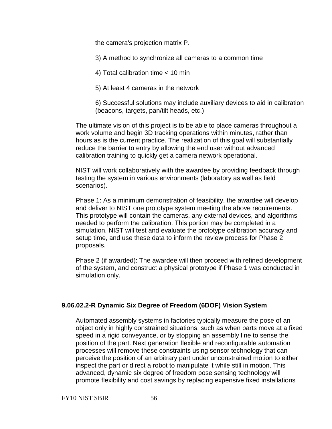the camera's projection matrix P.

3) A method to synchronize all cameras to a common time

4) Total calibration time < 10 min

5) At least 4 cameras in the network

6) Successful solutions may include auxiliary devices to aid in calibration (beacons, targets, pan/tilt heads, etc.)

The ultimate vision of this project is to be able to place cameras throughout a work volume and begin 3D tracking operations within minutes, rather than hours as is the current practice. The realization of this goal will substantially reduce the barrier to entry by allowing the end user without advanced calibration training to quickly get a camera network operational.

NIST will work collaboratively with the awardee by providing feedback through testing the system in various environments (laboratory as well as field scenarios).

Phase 1: As a minimum demonstration of feasibility, the awardee will develop and deliver to NIST one prototype system meeting the above requirements. This prototype will contain the cameras, any external devices, and algorithms needed to perform the calibration. This portion may be completed in a simulation. NIST will test and evaluate the prototype calibration accuracy and setup time, and use these data to inform the review process for Phase 2 proposals.

Phase 2 (if awarded): The awardee will then proceed with refined development of the system, and construct a physical prototype if Phase 1 was conducted in simulation only.

# **9.06.02.2-R Dynamic Six Degree of Freedom (6DOF) Vision System**

Automated assembly systems in factories typically measure the pose of an object only in highly constrained situations, such as when parts move at a fixed speed in a rigid conveyance, or by stopping an assembly line to sense the position of the part. Next generation flexible and reconfigurable automation processes will remove these constraints using sensor technology that can perceive the position of an arbitrary part under unconstrained motion to either inspect the part or direct a robot to manipulate it while still in motion. This advanced, dynamic six degree of freedom pose sensing technology will promote flexibility and cost savings by replacing expensive fixed installations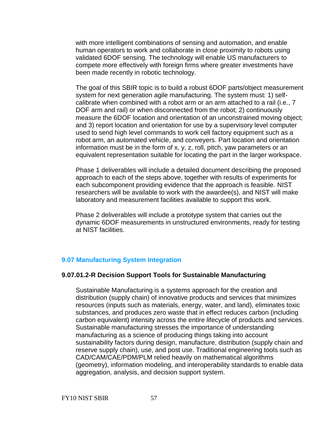with more intelligent combinations of sensing and automation, and enable human operators to work and collaborate in close proximity to robots using validated 6DOF sensing. The technology will enable US manufacturers to compete more effectively with foreign firms where greater investments have been made recently in robotic technology.

The goal of this SBIR topic is to build a robust 6DOF parts/object measurement system for next generation agile manufacturing. The system must: 1) selfcalibrate when combined with a robot arm or an arm attached to a rail (i.e., 7 DOF arm and rail) or when disconnected from the robot; 2) continuously measure the 6DOF location and orientation of an unconstrained moving object; and 3) report location and orientation for use by a supervisory level computer used to send high level commands to work cell factory equipment such as a robot arm, an automated vehicle, and conveyers. Part location and orientation information must be in the form of x, y, z, roll, pitch, yaw parameters or an equivalent representation suitable for locating the part in the larger workspace.

Phase 1 deliverables will include a detailed document describing the proposed approach to each of the steps above, together with results of experiments for each subcomponent providing evidence that the approach is feasible. NIST researchers will be available to work with the awardee(s), and NIST will make laboratory and measurement facilities available to support this work.

Phase 2 deliverables will include a prototype system that carries out the dynamic 6DOF measurements in unstructured environments, ready for testing at NIST facilities.

# <span id="page-56-0"></span>**9.07 [Manufacturing System Integration](#page-64-0)**

# **9.07.01.2-R Decision Support Tools for Sustainable Manufacturing**

Sustainable Manufacturing is a systems approach for the creation and distribution (supply chain) of innovative products and services that minimizes resources (inputs such as materials, energy, water, and land), eliminates toxic substances, and produces zero waste that in effect reduces carbon (including carbon equivalent) intensity across the entire lifecycle of products and services. Sustainable manufacturing stresses the importance of understanding manufacturing as a science of producing things taking into account sustainability factors during design, manufacture, distribution (supply chain and reserve supply chain), use, and post use. Traditional engineering tools such as CAD/CAM/CAE/PDM/PLM relied heavily on mathematical algorithms (geometry), information modeling, and interoperability standards to enable data aggregation, analysis, and decision support system.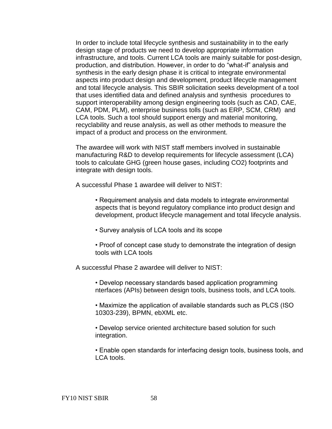In order to include total lifecycle synthesis and sustainability in to the early design stage of products we need to develop appropriate information infrastructure, and tools. Current LCA tools are mainly suitable for post-design, production, and distribution. However, in order to do "what-if" analysis and synthesis in the early design phase it is critical to integrate environmental aspects into product design and development, product lifecycle management and total lifecycle analysis. This SBIR solicitation seeks development of a tool that uses identified data and defined analysis and synthesis procedures to support interoperability among design engineering tools (such as CAD, CAE, CAM, PDM, PLM), enterprise business tolls (such as ERP, SCM, CRM) and LCA tools. Such a tool should support energy and material monitoring, recyclability and reuse analysis, as well as other methods to measure the impact of a product and process on the environment.

The awardee will work with NIST staff members involved in sustainable manufacturing R&D to develop requirements for lifecycle assessment (LCA) tools to calculate GHG (green house gases, including CO2) footprints and integrate with design tools.

A successful Phase 1 awardee will deliver to NIST:

• Requirement analysis and data models to integrate environmental aspects that is beyond regulatory compliance into product design and development, product lifecycle management and total lifecycle analysis.

- Survey analysis of LCA tools and its scope
- Proof of concept case study to demonstrate the integration of design tools with LCA tools

A successful Phase 2 awardee will deliver to NIST:

• Develop necessary standards based application programming nterfaces (APIs) between design tools, business tools, and LCA tools.

• Maximize the application of available standards such as PLCS (ISO 10303-239), BPMN, ebXML etc.

• Develop service oriented architecture based solution for such integration.

• Enable open standards for interfacing design tools, business tools, and LCA tools.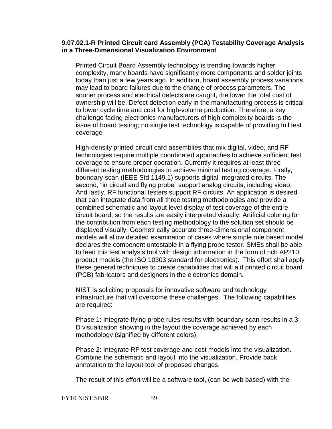### **9.07.02.1-R Printed Circuit card Assembly (PCA) Testability Coverage Analysis in a Three-Dimensional Visualization Environment**

Printed Circuit Board Assembly technology is trending towards higher complexity, many boards have significantly more components and solder joints today than just a few years ago. In addition, board assembly process variations may lead to board failures due to the change of process parameters. The sooner process and electrical defects are caught, the lower the total cost of ownership will be. Defect detection early in the manufacturing process is critical to lower cycle time and cost for high-volume production. Therefore, a key challenge facing electronics manufacturers of high complexity boards is the issue of board testing; no single test technology is capable of providing full test coverage

High-density printed circuit card assemblies that mix digital, video, and RF technologies require multiple coordinated approaches to achieve sufficient test coverage to ensure proper operation. Currently it requires at least three different testing methodologies to achieve minimal testing coverage. Firstly, boundary-scan (IEEE Std 1149.1) supports digital integrated circuits. The second, "in circuit and flying probe" support analog circuits, including video. And lastly, RF functional testers support RF circuits. An application is desired that can integrate data from all three testing methodologies and provide a combined schematic and layout level display of test coverage of the entire circuit board; so the results are easily interpreted visually. Artificial coloring for the contribution from each testing methodology to the solution set should be displayed visually. Geometrically accurate three-dimensional component models will allow detailed examination of cases where simple rule based model declares the component untestable in a flying probe tester. SMEs shall be able to feed this test analysis tool with design information in the form of rich AP210 product models (the ISO 10303 standard for electronics). This effort shall apply these general techniques to create capabilities that will aid printed circuit board (PCB) fabricators and designers in the electronics domain.

NIST is soliciting proposals for innovative software and technology infrastructure that will overcome these challenges. The following capabilities are required:

Phase 1: Integrate flying probe rules results with boundary-scan results in a 3- D visualization showing in the layout the coverage achieved by each methodology (signified by different colors).

Phase 2: Integrate RF test coverage and cost models into the visualization. Combine the schematic and layout into the visualization. Provide back annotation to the layout tool of proposed changes.

The result of this effort will be a software tool, (can be web based) with the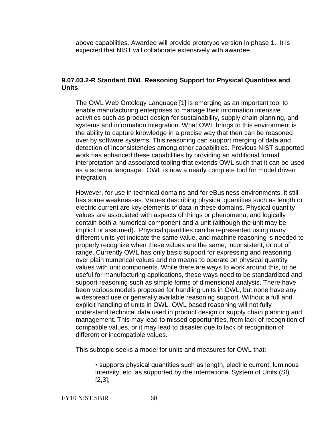above capabilities. Awardee will provide prototype version in phase 1. It is expected that NIST will collaborate extensively with awardee.

### **9.07.03.2-R Standard OWL Reasoning Support for Physical Quantities and Units**

The OWL Web Ontology Language [1] is emerging as an important tool to enable manufacturing enterprises to manage their information intensive activities such as product design for sustainability, supply chain planning, and systems and information integration. What OWL brings to this environment is the ability to capture knowledge in a precise way that then can be reasoned over by software systems. This reasoning can support merging of data and detection of inconsistencies among other capabilities. Previous NIST supported work has enhanced these capabilities by providing an additional formal interpretation and associated tooling that extends OWL such that it can be used as a schema language. OWL is now a nearly complete tool for model driven integration.

However, for use in technical domains and for eBusiness environments, it still has some weaknesses. Values describing physical quantities such as length or electric current are key elements of data in these domains. Physical quantity values are associated with aspects of things or phenomena, and logically contain both a numerical component and a unit (although the unit may be implicit or assumed). Physical quantities can be represented using many different units yet indicate the same value, and machine reasoning is needed to properly recognize when these values are the same, inconsistent, or out of range. Currently OWL has only basic support for expressing and reasoning over plain numerical values and no means to operate on physical quantity values with unit components. While there are ways to work around this, to be useful for manufacturing applications, these ways need to be standardized and support reasoning such as simple forms of dimensional analysis. There have been various models proposed for handling units in OWL, but none have any widespread use or generally available reasoning support. Without a full and explicit handling of units in OWL, OWL based reasoning will not fully understand technical data used in product design or supply chain planning and management. This may lead to missed opportunities, from lack of recognition of compatible values, or it may lead to disaster due to lack of recognition of different or incompatible values.

This subtopic seeks a model for units and measures for OWL that:

• supports physical quantities such as length, electric current, luminous intensity, etc. as supported by the International System of Units (SI) [2,3],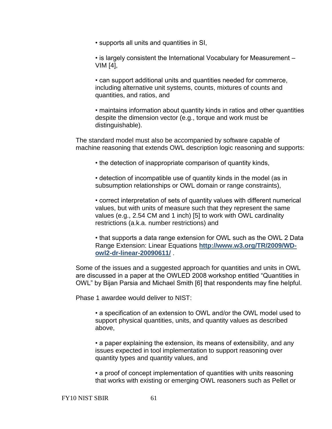• supports all units and quantities in SI,

• is largely consistent the International Vocabulary for Measurement – VIM [4],

• can support additional units and quantities needed for commerce, including alternative unit systems, counts, mixtures of counts and quantities, and ratios, and

• maintains information about quantity kinds in ratios and other quantities despite the dimension vector (e.g., torque and work must be distinguishable).

The standard model must also be accompanied by software capable of machine reasoning that extends OWL description logic reasoning and supports:

• the detection of inappropriate comparison of quantity kinds,

• detection of incompatible use of quantity kinds in the model (as in subsumption relationships or OWL domain or range constraints),

• correct interpretation of sets of quantity values with different numerical values, but with units of measure such that they represent the same values (e.g., 2.54 CM and 1 inch) [5] to work with OWL cardinality restrictions (a.k.a. number restrictions) and

• that supports a data range extension for OWL such as the OWL 2 Data Range Extension: Linear Equations **[http://www.w3.org/TR/2009/WD](http://www.w3.org/TR/2009/WD-owl2-dr-linear-20090611/)[owl2-dr-linear-20090611/](http://www.w3.org/TR/2009/WD-owl2-dr-linear-20090611/)** .

Some of the issues and a suggested approach for quantities and units in OWL are discussed in a paper at the OWLED 2008 workshop entitled "Quantities in OWL‖ by Bijan Parsia and Michael Smith [6] that respondents may fine helpful.

Phase 1 awardee would deliver to NIST:

• a specification of an extension to OWL and/or the OWL model used to support physical quantities, units, and quantity values as described above,

• a paper explaining the extension, its means of extensibility, and any issues expected in tool implementation to support reasoning over quantity types and quantity values, and

• a proof of concept implementation of quantities with units reasoning that works with existing or emerging OWL reasoners such as Pellet or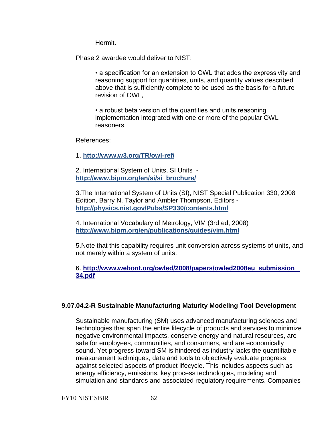Hermit.

Phase 2 awardee would deliver to NIST:

• a specification for an extension to OWL that adds the expressivity and reasoning support for quantities, units, and quantity values described above that is sufficiently complete to be used as the basis for a future revision of OWL,

• a robust beta version of the quantities and units reasoning implementation integrated with one or more of the popular OWL reasoners.

References:

1. **<http://www.w3.org/TR/owl-ref/>**

2. International System of Units, SI Units **[http://www.bipm.org/en/si/si\\_brochure/](http://www.bipm.org/en/si/si_brochure/)**

3.The International System of Units (SI), NIST Special Publication 330, 2008 Edition, Barry N. Taylor and Ambler Thompson, Editors **<http://physics.nist.gov/Pubs/SP330/contents.html>**

4. International Vocabulary of Metrology, VIM (3rd ed, 2008) **<http://www.bipm.org/en/publications/guides/vim.html>**

5.Note that this capability requires unit conversion across systems of units, and not merely within a system of units.

6. **[http://www.webont.org/owled/2008/papers/owled2008eu\\_submission\\_](http://www.webont.org/owled/2008/papers/owled2008eu_submission_%2034.pdf)  [34.pdf](http://www.webont.org/owled/2008/papers/owled2008eu_submission_%2034.pdf)**

# **9.07.04.2-R Sustainable Manufacturing Maturity Modeling Tool Development**

Sustainable manufacturing (SM) uses advanced manufacturing sciences and technologies that span the entire lifecycle of products and services to minimize negative environmental impacts, conserve energy and natural resources, are safe for employees, communities, and consumers, and are economically sound. Yet progress toward SM is hindered as industry lacks the quantifiable measurement techniques, data and tools to objectively evaluate progress against selected aspects of product lifecycle. This includes aspects such as energy efficiency, emissions, key process technologies, modeling and simulation and standards and associated regulatory requirements. Companies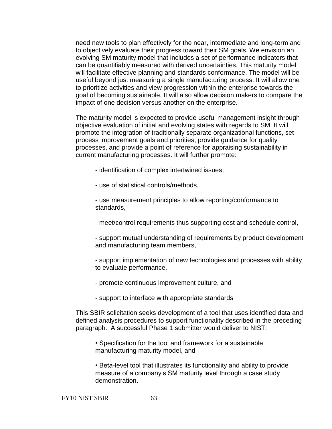need new tools to plan effectively for the near, intermediate and long-term and to objectively evaluate their progress toward their SM goals. We envision an evolving SM maturity model that includes a set of performance indicators that can be quantifiably measured with derived uncertainties. This maturity model will facilitate effective planning and standards conformance. The model will be useful beyond just measuring a single manufacturing process. It will allow one to prioritize activities and view progression within the enterprise towards the goal of becoming sustainable. It will also allow decision makers to compare the impact of one decision versus another on the enterprise.

The maturity model is expected to provide useful management insight through objective evaluation of initial and evolving states with regards to SM. It will promote the integration of traditionally separate organizational functions, set process improvement goals and priorities, provide guidance for quality processes, and provide a point of reference for appraising sustainability in current manufacturing processes. It will further promote:

- identification of complex intertwined issues,

- use of statistical controls/methods,

- use measurement principles to allow reporting/conformance to standards,

- meet/control requirements thus supporting cost and schedule control,

- support mutual understanding of requirements by product development and manufacturing team members,

- support implementation of new technologies and processes with ability to evaluate performance,

- promote continuous improvement culture, and
- support to interface with appropriate standards

This SBIR solicitation seeks development of a tool that uses identified data and defined analysis procedures to support functionality described in the preceding paragraph. A successful Phase 1 submitter would deliver to NIST:

• Specification for the tool and framework for a sustainable manufacturing maturity model, and

• Beta-level tool that illustrates its functionality and ability to provide measure of a company's SM maturity level through a case study demonstration.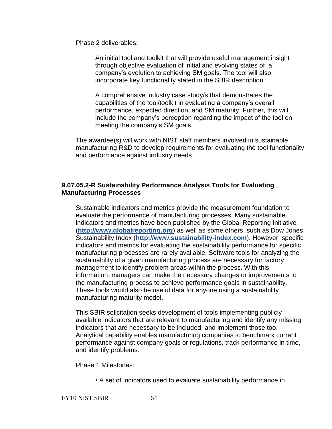Phase 2 deliverables:

An initial tool and toolkit that will provide useful management insight through objective evaluation of initial and evolving states of a company's evolution to achieving SM goals. The tool will also incorporate key functionality stated in the SBIR description.

A comprehensive industry case study/s that demonstrates the capabilities of the tool/toolkit in evaluating a company's overall performance, expected direction, and SM maturity. Further, this will include the company's perception regarding the impact of the tool on meeting the company's SM goals.

The awardee(s) will work with NIST staff members involved in sustainable manufacturing R&D to develop requirements for evaluating the tool functionality and performance against industry needs

# **9.07.05.2-R Sustainability Performance Analysis Tools for Evaluating Manufacturing Processes**

Sustainable indicators and metrics provide the measurement foundation to evaluate the performance of manufacturing processes. Many sustainable indicators and metrics have been published by the Global Reporting Initiative (**[http://www.globalreporting.org](http://www.globalreporting.org/)**) as well as some others, such as Dow Jones Sustainability Index (**[http://www.sustainability-index.com](http://www.sustainability-index.com/)**). However, specific indicators and metrics for evaluating the sustainability performance for specific manufacturing processes are rarely available. Software tools for analyzing the sustainability of a given manufacturing process are necessary for factory management to identify problem areas within the process. With this information, managers can make the necessary changes or improvements to the manufacturing process to achieve performance goals in sustainability. These tools would also be useful data for anyone using a sustainability manufacturing maturity model.

This SBIR solicitation seeks development of tools implementing publicly available indicators that are relevant to manufacturing and identify any missing indicators that are necessary to be included, and implement those too. Analytical capability enables manufacturing companies to benchmark current performance against company goals or regulations, track performance in time, and identify problems.

Phase 1 Milestones:

• A set of indicators used to evaluate sustainability performance in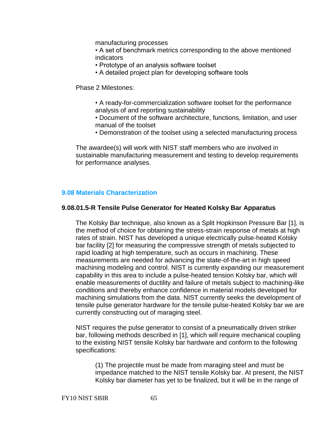manufacturing processes

• A set of benchmark metrics corresponding to the above mentioned indicators

- Prototype of an analysis software toolset
- A detailed project plan for developing software tools

Phase 2 Milestones:

- A ready-for-commercialization software toolset for the performance analysis of and reporting sustainability
- Document of the software architecture, functions, limitation, and user manual of the toolset
- Demonstration of the toolset using a selected manufacturing process

The awardee(s) will work with NIST staff members who are involved in sustainable manufacturing measurement and testing to develop requirements for performance analyses.

### <span id="page-64-0"></span>**9.08 Materials Characterization**

### **9.08.01.5-R Tensile Pulse Generator for Heated Kolsky Bar Apparatus**

The Kolsky Bar technique, also known as a Split Hopkinson Pressure Bar [1], is the method of choice for obtaining the stress-strain response of metals at high rates of strain. NIST has developed a unique electrically pulse-heated Kolsky bar facility [2] for measuring the compressive strength of metals subjected to rapid loading at high temperature, such as occurs in machining. These measurements are needed for advancing the state-of-the-art in high speed machining modeling and control. NIST is currently expanding our measurement capability in this area to include a pulse-heated tension Kolsky bar, which will enable measurements of ductility and failure of metals subject to machining-like conditions and thereby enhance confidence in material models developed for machining simulations from the data. NIST currently seeks the development of tensile pulse generator hardware for the tensile pulse-heated Kolsky bar we are currently constructing out of maraging steel.

NIST requires the pulse generator to consist of a pneumatically driven striker bar, following methods described in [1], which will require mechanical coupling to the existing NIST tensile Kolsky bar hardware and conform to the following specifications:

(1) The projectile must be made from maraging steel and must be impedance matched to the NIST tensile Kolsky bar. At present, the NIST Kolsky bar diameter has yet to be finalized, but it will be in the range of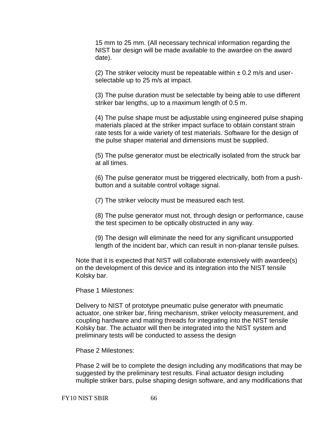15 mm to 25 mm. (All necessary technical information regarding the NIST bar design will be made available to the awardee on the award date).

(2) The striker velocity must be repeatable within  $\pm$  0.2 m/s and userselectable up to 25 m/s at impact.

(3) The pulse duration must be selectable by being able to use different striker bar lengths, up to a maximum length of 0.5 m.

(4) The pulse shape must be adjustable using engineered pulse shaping materials placed at the striker impact surface to obtain constant strain rate tests for a wide variety of test materials. Software for the design of the pulse shaper material and dimensions must be supplied.

(5) The pulse generator must be electrically isolated from the struck bar at all times.

(6) The pulse generator must be triggered electrically, both from a pushbutton and a suitable control voltage signal.

(7) The striker velocity must be measured each test.

(8) The pulse generator must not, through design or performance, cause the test specimen to be optically obstructed in any way.

(9) The design will eliminate the need for any significant unsupported length of the incident bar, which can result in non-planar tensile pulses.

Note that it is expected that NIST will collaborate extensively with awardee(s) on the development of this device and its integration into the NIST tensile Kolsky bar.

Phase 1 Milestones:

Delivery to NIST of prototype pneumatic pulse generator with pneumatic actuator, one striker bar, firing mechanism, striker velocity measurement, and coupling hardware and mating threads for integrating into the NIST tensile Kolsky bar. The actuator will then be integrated into the NIST system and preliminary tests will be conducted to assess the design

Phase 2 Milestones:

Phase 2 will be to complete the design including any modifications that may be suggested by the preliminary test results. Final actuator design including multiple striker bars, pulse shaping design software, and any modifications that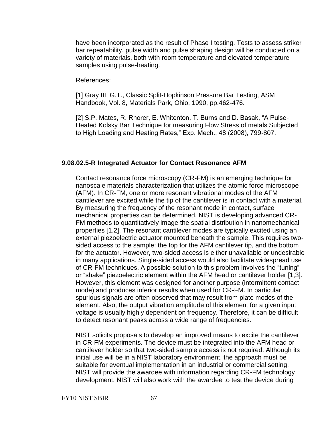have been incorporated as the result of Phase I testing. Tests to assess striker bar repeatability, pulse width and pulse shaping design will be conducted on a variety of materials, both with room temperature and elevated temperature samples using pulse-heating.

References:

[1] Gray III, G.T., Classic Split-Hopkinson Pressure Bar Testing, ASM Handbook, Vol. 8, Materials Park, Ohio, 1990, pp.462-476.

[2] S.P. Mates, R. Rhorer, E. Whitenton, T. Burns and D. Basak, "A Pulse-Heated Kolsky Bar Technique for measuring Flow Stress of metals Subjected to High Loading and Heating Rates," Exp. Mech., 48 (2008), 799-807.

### **9.08.02.5-R Integrated Actuator for Contact Resonance AFM**

Contact resonance force microscopy (CR-FM) is an emerging technique for nanoscale materials characterization that utilizes the atomic force microscope (AFM). In CR-FM, one or more resonant vibrational modes of the AFM cantilever are excited while the tip of the cantilever is in contact with a material. By measuring the frequency of the resonant mode in contact, surface mechanical properties can be determined. NIST is developing advanced CR-FM methods to quantitatively image the spatial distribution in nanomechanical properties [1,2]. The resonant cantilever modes are typically excited using an external piezoelectric actuator mounted beneath the sample. This requires twosided access to the sample: the top for the AFM cantilever tip, and the bottom for the actuator. However, two-sided access is either unavailable or undesirable in many applications. Single-sided access would also facilitate widespread use of CR-FM techniques. A possible solution to this problem involves the "tuning" or "shake" piezoelectric element within the AFM head or cantilever holder [1,3]. However, this element was designed for another purpose (intermittent contact mode) and produces inferior results when used for CR-FM. In particular, spurious signals are often observed that may result from plate modes of the element. Also, the output vibration amplitude of this element for a given input voltage is usually highly dependent on frequency. Therefore, it can be difficult to detect resonant peaks across a wide range of frequencies.

NIST solicits proposals to develop an improved means to excite the cantilever in CR-FM experiments. The device must be integrated into the AFM head or cantilever holder so that two-sided sample access is not required. Although its initial use will be in a NIST laboratory environment, the approach must be suitable for eventual implementation in an industrial or commercial setting. NIST will provide the awardee with information regarding CR-FM technology development. NIST will also work with the awardee to test the device during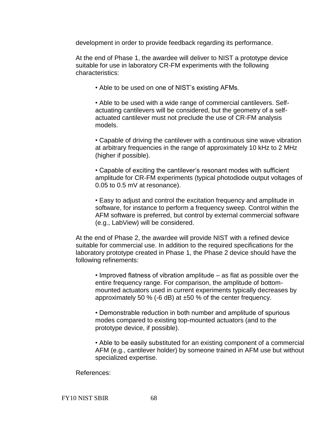development in order to provide feedback regarding its performance.

At the end of Phase 1, the awardee will deliver to NIST a prototype device suitable for use in laboratory CR-FM experiments with the following characteristics:

• Able to be used on one of NIST's existing AFMs.

• Able to be used with a wide range of commercial cantilevers. Selfactuating cantilevers will be considered, but the geometry of a selfactuated cantilever must not preclude the use of CR-FM analysis models.

• Capable of driving the cantilever with a continuous sine wave vibration at arbitrary frequencies in the range of approximately 10 kHz to 2 MHz (higher if possible).

• Capable of exciting the cantilever's resonant modes with sufficient amplitude for CR-FM experiments (typical photodiode output voltages of 0.05 to 0.5 mV at resonance).

• Easy to adjust and control the excitation frequency and amplitude in software, for instance to perform a frequency sweep. Control within the AFM software is preferred, but control by external commercial software (e.g., LabView) will be considered.

At the end of Phase 2, the awardee will provide NIST with a refined device suitable for commercial use. In addition to the required specifications for the laboratory prototype created in Phase 1, the Phase 2 device should have the following refinements:

• Improved flatness of vibration amplitude – as flat as possible over the entire frequency range. For comparison, the amplitude of bottommounted actuators used in current experiments typically decreases by approximately 50 % (-6 dB) at ±50 % of the center frequency.

• Demonstrable reduction in both number and amplitude of spurious modes compared to existing top-mounted actuators (and to the prototype device, if possible).

• Able to be easily substituted for an existing component of a commercial AFM (e.g., cantilever holder) by someone trained in AFM use but without specialized expertise.

References:

FY10 NIST SBIR 68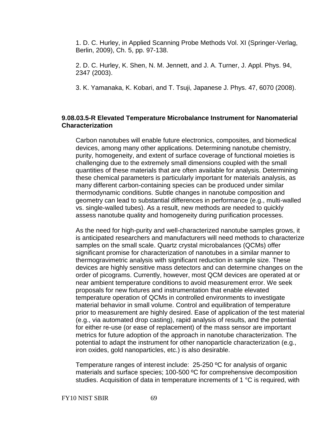1. D. C. Hurley, in Applied Scanning Probe Methods Vol. XI (Springer-Verlag, Berlin, 2009), Ch. 5, pp. 97-138.

2. D. C. Hurley, K. Shen, N. M. Jennett, and J. A. Turner, J. Appl. Phys. 94, 2347 (2003).

3. K. Yamanaka, K. Kobari, and T. Tsuji, Japanese J. Phys. 47, 6070 (2008).

# **9.08.03.5-R Elevated Temperature Microbalance Instrument for Nanomaterial Characterization**

Carbon nanotubes will enable future electronics, composites, and biomedical devices, among many other applications. Determining nanotube chemistry, purity, homogeneity, and extent of surface coverage of functional moieties is challenging due to the extremely small dimensions coupled with the small quantities of these materials that are often available for analysis. Determining these chemical parameters is particularly important for materials analysis, as many different carbon-containing species can be produced under similar thermodynamic conditions. Subtle changes in nanotube composition and geometry can lead to substantial differences in performance (e.g., multi-walled vs. single-walled tubes). As a result, new methods are needed to quickly assess nanotube quality and homogeneity during purification processes.

As the need for high-purity and well-characterized nanotube samples grows, it is anticipated researchers and manufacturers will need methods to characterize samples on the small scale. Quartz crystal microbalances (QCMs) offer significant promise for characterization of nanotubes in a similar manner to thermogravimetric analysis with significant reduction in sample size. These devices are highly sensitive mass detectors and can determine changes on the order of picograms. Currently, however, most QCM devices are operated at or near ambient temperature conditions to avoid measurement error. We seek proposals for new fixtures and instrumentation that enable elevated temperature operation of QCMs in controlled environments to investigate material behavior in small volume. Control and equilibration of temperature prior to measurement are highly desired. Ease of application of the test material (e.g., via automated drop casting), rapid analysis of results, and the potential for either re-use (or ease of replacement) of the mass sensor are important metrics for future adoption of the approach in nanotube characterization. The potential to adapt the instrument for other nanoparticle characterization (e.g., iron oxides, gold nanoparticles, etc.) is also desirable.

Temperature ranges of interest include: 25-250 ºC for analysis of organic materials and surface species; 100-500 ºC for comprehensive decomposition studies. Acquisition of data in temperature increments of 1 °C is required, with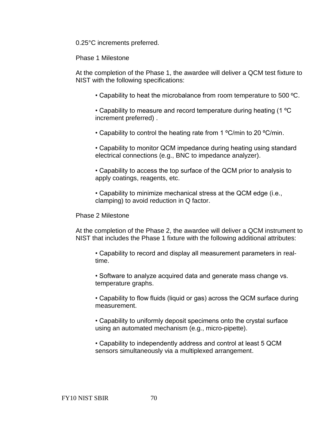0.25°C increments preferred.

Phase 1 Milestone

At the completion of the Phase 1, the awardee will deliver a QCM test fixture to NIST with the following specifications:

• Capability to heat the microbalance from room temperature to 500 ºC.

• Capability to measure and record temperature during heating (1 ºC increment preferred) .

• Capability to control the heating rate from 1 °C/min to 20 °C/min.

• Capability to monitor QCM impedance during heating using standard electrical connections (e.g., BNC to impedance analyzer).

• Capability to access the top surface of the QCM prior to analysis to apply coatings, reagents, etc.

• Capability to minimize mechanical stress at the QCM edge (i.e., clamping) to avoid reduction in Q factor.

Phase 2 Milestone

At the completion of the Phase 2, the awardee will deliver a QCM instrument to NIST that includes the Phase 1 fixture with the following additional attributes:

• Capability to record and display all measurement parameters in realtime.

• Software to analyze acquired data and generate mass change vs. temperature graphs.

• Capability to flow fluids (liquid or gas) across the QCM surface during measurement.

• Capability to uniformly deposit specimens onto the crystal surface using an automated mechanism (e.g., micro-pipette).

• Capability to independently address and control at least 5 QCM sensors simultaneously via a multiplexed arrangement.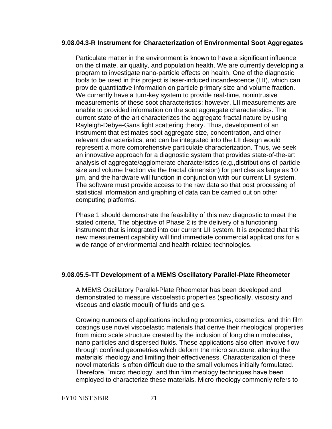### **9.08.04.3-R Instrument for Characterization of Environmental Soot Aggregates**

Particulate matter in the environment is known to have a significant influence on the climate, air quality, and population health. We are currently developing a program to investigate nano-particle effects on health. One of the diagnostic tools to be used in this project is laser-induced incandescence (LII), which can provide quantitative information on particle primary size and volume fraction. We currently have a turn-key system to provide real-time, nonintrusive measurements of these soot characteristics; however, LII measurements are unable to provided information on the soot aggregate characteristics. The current state of the art characterizes the aggregate fractal nature by using Rayleigh-Debye-Gans light scattering theory. Thus, development of an instrument that estimates soot aggregate size, concentration, and other relevant characteristics, and can be integrated into the LII design would represent a more comprehensive particulate characterization. Thus, we seek an innovative approach for a diagnostic system that provides state-of-the-art analysis of aggregate/agglomerate characteristics (e.g.,distributions of particle size and volume fraction via the fractal dimension) for particles as large as 10 µm, and the hardware will function in conjunction with our current LII system. The software must provide access to the raw data so that post processing of statistical information and graphing of data can be carried out on other computing platforms.

Phase 1 should demonstrate the feasibility of this new diagnostic to meet the stated criteria. The objective of Phase 2 is the delivery of a functioning instrument that is integrated into our current LII system. It is expected that this new measurement capability will find immediate commercial applications for a wide range of environmental and health-related technologies.

# **9.08.05.5-TT Development of a MEMS Oscillatory Parallel-Plate Rheometer**

A MEMS Oscillatory Parallel-Plate Rheometer has been developed and demonstrated to measure viscoelastic properties (specifically, viscosity and viscous and elastic moduli) of fluids and gels.

Growing numbers of applications including proteomics, cosmetics, and thin film coatings use novel viscoelastic materials that derive their rheological properties from micro scale structure created by the inclusion of long chain molecules, nano particles and dispersed fluids. These applications also often involve flow through confined geometries which deform the micro structure, altering the materials' rheology and limiting their effectiveness. Characterization of these novel materials is often difficult due to the small volumes initially formulated. Therefore, "micro rheology" and thin film rheology techniques have been employed to characterize these materials. Micro rheology commonly refers to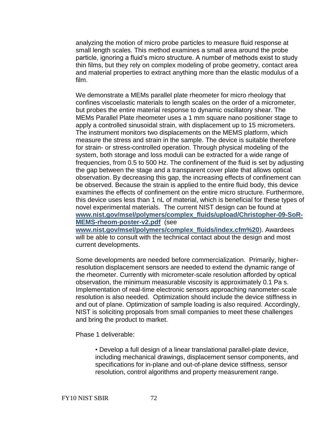analyzing the motion of micro probe particles to measure fluid response at small length scales. This method examines a small area around the probe particle, ignoring a fluid's micro structure. A number of methods exist to study thin films, but they rely on complex modeling of probe geometry, contact area and material properties to extract anything more than the elastic modulus of a film.

We demonstrate a MEMs parallel plate rheometer for micro rheology that confines viscoelastic materials to length scales on the order of a micrometer, but probes the entire material response to dynamic oscillatory shear. The MEMs Parallel Plate rheometer uses a 1 mm square nano positioner stage to apply a controlled sinusoidal strain, with displacement up to 15 micrometers. The instrument monitors two displacements on the MEMS platform, which measure the stress and strain in the sample. The device is suitable therefore for strain- or stress-controlled operation. Through physical modeling of the system, both storage and loss moduli can be extracted for a wide range of frequencies, from 0.5 to 500 Hz. The confinement of the fluid is set by adjusting the gap between the stage and a transparent cover plate that allows optical observation. By decreasing this gap, the increasing effects of confinement can be observed. Because the strain is applied to the entire fluid body, this device examines the effects of confinement on the entire micro structure. Furthermore, this device uses less than 1 nL of material, which is beneficial for these types of novel experimental materials. The current NIST design can be found at **[www.nist.gov/msel/polymers/complex\\_fluids/upload/Christopher-09-SoR-](http://www.nist.gov/msel/polymers/complex_fluids/upload/Christopher-09-SoR-MEMS-rheom-poster-v2.pdf)[MEMS-rheom-poster-v2.pdf](http://www.nist.gov/msel/polymers/complex_fluids/upload/Christopher-09-SoR-MEMS-rheom-poster-v2.pdf)** (see

**[www.nist.gov/msel/polymers/complex\\_fluids/index.cfm%20](http://www.nist.gov/msel/polymers/complex_fluids/index.cfm)**). Awardees will be able to consult with the technical contact about the design and most current developments.

Some developments are needed before commercialization. Primarily, higherresolution displacement sensors are needed to extend the dynamic range of the rheometer. Currently with micrometer-scale resolution afforded by optical observation, the minimum measurable viscosity is approximately 0.1 Pa s. Implementation of real-time electronic sensors approaching nanometer-scale resolution is also needed. Optimization should include the device stiffness in and out of plane. Optimization of sample loading is also required. Accordingly, NIST is soliciting proposals from small companies to meet these challenges and bring the product to market.

Phase 1 deliverable:

• Develop a full design of a linear translational parallel-plate device, including mechanical drawings, displacement sensor components, and specifications for in-plane and out-of-plane device stiffness, sensor resolution, control algorithms and property measurement range.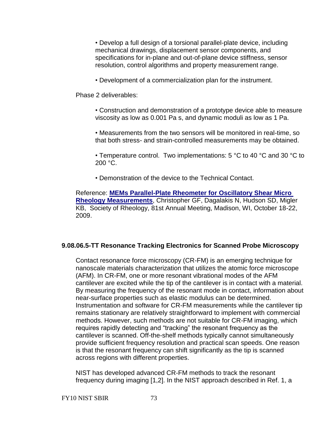• Develop a full design of a torsional parallel-plate device, including mechanical drawings, displacement sensor components, and specifications for in-plane and out-of-plane device stiffness, sensor resolution, control algorithms and property measurement range.

• Development of a commercialization plan for the instrument.

Phase 2 deliverables:

• Construction and demonstration of a prototype device able to measure viscosity as low as 0.001 Pa s, and dynamic moduli as low as 1 Pa.

• Measurements from the two sensors will be monitored in real-time, so that both stress- and strain-controlled measurements may be obtained.

• Temperature control. Two implementations: 5 °C to 40 °C and 30 °C to 200 °C.

• Demonstration of the device to the Technical Contact.

Reference: **[MEMs Parallel-Plate Rheometer for Oscillatory Shear Micro](http://www.nist.gov/msel/polymers/complex_fluids/upload/Christopher-09-SoR-MEMS-rheom-poster-v2.pdf)  [Rheology Measurements](http://www.nist.gov/msel/polymers/complex_fluids/upload/Christopher-09-SoR-MEMS-rheom-poster-v2.pdf)**, Christopher GF, Dagalakis N, Hudson SD, Migler KB, Society of Rheology, 81st Annual Meeting, Madison, WI, October 18-22, 2009.

# **9.08.06.5-TT Resonance Tracking Electronics for Scanned Probe Microscopy**

Contact resonance force microscopy (CR-FM) is an emerging technique for nanoscale materials characterization that utilizes the atomic force microscope (AFM). In CR-FM, one or more resonant vibrational modes of the AFM cantilever are excited while the tip of the cantilever is in contact with a material. By measuring the frequency of the resonant mode in contact, information about near-surface properties such as elastic modulus can be determined. Instrumentation and software for CR-FM measurements while the cantilever tip remains stationary are relatively straightforward to implement with commercial methods. However, such methods are not suitable for CR-FM imaging, which requires rapidly detecting and "tracking" the resonant frequency as the cantilever is scanned. Off-the-shelf methods typically cannot simultaneously provide sufficient frequency resolution and practical scan speeds. One reason is that the resonant frequency can shift significantly as the tip is scanned across regions with different properties.

NIST has developed advanced CR-FM methods to track the resonant frequency during imaging [1,2]. In the NIST approach described in Ref. 1, a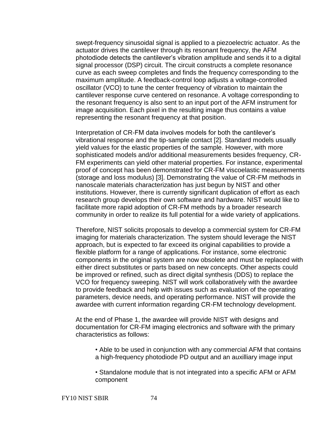swept-frequency sinusoidal signal is applied to a piezoelectric actuator. As the actuator drives the cantilever through its resonant frequency, the AFM photodiode detects the cantilever's vibration amplitude and sends it to a digital signal processor (DSP) circuit. The circuit constructs a complete resonance curve as each sweep completes and finds the frequency corresponding to the maximum amplitude. A feedback-control loop adjusts a voltage-controlled oscillator (VCO) to tune the center frequency of vibration to maintain the cantilever response curve centered on resonance. A voltage corresponding to the resonant frequency is also sent to an input port of the AFM instrument for image acquisition. Each pixel in the resulting image thus contains a value representing the resonant frequency at that position.

Interpretation of CR-FM data involves models for both the cantilever's vibrational response and the tip-sample contact [2]. Standard models usually yield values for the elastic properties of the sample. However, with more sophisticated models and/or additional measurements besides frequency, CR-FM experiments can yield other material properties. For instance, experimental proof of concept has been demonstrated for CR-FM viscoelastic measurements (storage and loss modulus) [3]. Demonstrating the value of CR-FM methods in nanoscale materials characterization has just begun by NIST and other institutions. However, there is currently significant duplication of effort as each research group develops their own software and hardware. NIST would like to facilitate more rapid adoption of CR-FM methods by a broader research community in order to realize its full potential for a wide variety of applications.

Therefore, NIST solicits proposals to develop a commercial system for CR-FM imaging for materials characterization. The system should leverage the NIST approach, but is expected to far exceed its original capabilities to provide a flexible platform for a range of applications. For instance, some electronic components in the original system are now obsolete and must be replaced with either direct substitutes or parts based on new concepts. Other aspects could be improved or refined, such as direct digital synthesis (DDS) to replace the VCO for frequency sweeping. NIST will work collaboratively with the awardee to provide feedback and help with issues such as evaluation of the operating parameters, device needs, and operating performance. NIST will provide the awardee with current information regarding CR-FM technology development.

At the end of Phase 1, the awardee will provide NIST with designs and documentation for CR-FM imaging electronics and software with the primary characteristics as follows:

- Able to be used in conjunction with any commercial AFM that contains a high-frequency photodiode PD output and an auxilliary image input
- Standalone module that is not integrated into a specific AFM or AFM component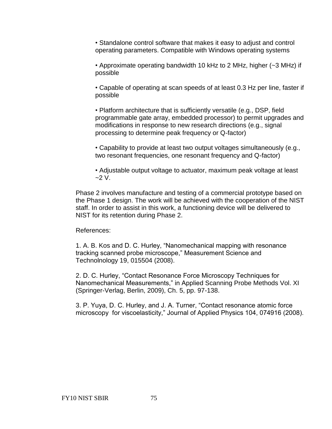• Standalone control software that makes it easy to adjust and control operating parameters. Compatible with Windows operating systems

• Approximate operating bandwidth 10 kHz to 2 MHz, higher (~3 MHz) if possible

• Capable of operating at scan speeds of at least 0.3 Hz per line, faster if possible

• Platform architecture that is sufficiently versatile (e.g., DSP, field programmable gate array, embedded processor) to permit upgrades and modifications in response to new research directions (e.g., signal processing to determine peak frequency or Q-factor)

• Capability to provide at least two output voltages simultaneously (e.g., two resonant frequencies, one resonant frequency and Q-factor)

• Adjustable output voltage to actuator, maximum peak voltage at least  $-2 V$ .

Phase 2 involves manufacture and testing of a commercial prototype based on the Phase 1 design. The work will be achieved with the cooperation of the NIST staff. In order to assist in this work, a functioning device will be delivered to NIST for its retention during Phase 2.

## References:

1. A. B. Kos and D. C. Hurley, "Nanomechanical mapping with resonance tracking scanned probe microscope," Measurement Science and Technolnology 19, 015504 (2008).

2. D. C. Hurley, "Contact Resonance Force Microscopy Techniques for Nanomechanical Measurements," in Applied Scanning Probe Methods Vol. XI (Springer-Verlag, Berlin, 2009), Ch. 5, pp. 97-138.

<span id="page-74-0"></span>3. P. Yuya, D. C. Hurley, and J. A. Turner, "Contact resonance atomic force microscopy for viscoelasticity," Journal of Applied Physics 104, 074916 (2008).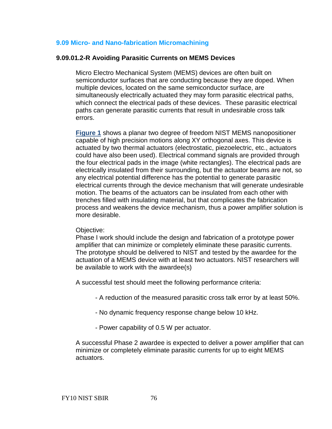## **9.09 Micro- [and Nano-fabrication Micromachining](#page-74-0)**

#### **9.09.01.2-R Avoiding Parasitic Currents on MEMS Devices**

Micro Electro Mechanical System (MEMS) devices are often built on semiconductor surfaces that are conducting because they are doped. When multiple devices, located on the same semiconductor surface, are simultaneously electrically actuated they may form parasitic electrical paths, which connect the electrical pads of these devices. These parasitic electrical paths can generate parasitic currents that result in undesirable cross talk errors.

**[Figure 1](http://tsapps.nist.gov/ts_sbir/image9_09_01_2_R.doc)** shows a planar two degree of freedom NIST MEMS nanopositioner capable of high precision motions along XY orthogonal axes. This device is actuated by two thermal actuators (electrostatic, piezoelectric, etc., actuators could have also been used). Electrical command signals are provided through the four electrical pads in the image (white rectangles). The electrical pads are electrically insulated from their surrounding, but the actuator beams are not, so any electrical potential difference has the potential to generate parasitic electrical currents through the device mechanism that will generate undesirable motion. The beams of the actuators can be insulated from each other with trenches filled with insulating material, but that complicates the fabrication process and weakens the device mechanism, thus a power amplifier solution is more desirable.

#### Objective:

Phase I work should include the design and fabrication of a prototype power amplifier that can minimize or completely eliminate these parasitic currents. The prototype should be delivered to NIST and tested by the awardee for the actuation of a MEMS device with at least two actuators. NIST researchers will be available to work with the awardee(s)

A successful test should meet the following performance criteria:

- A reduction of the measured parasitic cross talk error by at least 50%.
- No dynamic frequency response change below 10 kHz.
- Power capability of 0.5 W per actuator.

A successful Phase 2 awardee is expected to deliver a power amplifier that can minimize or completely eliminate parasitic currents for up to eight MEMS actuators.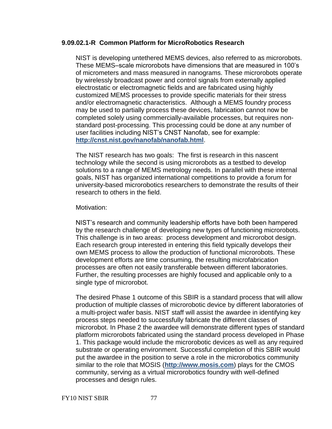### **9.09.02.1-R Common Platform for MicroRobotics Research**

NIST is developing untethered MEMS devices, also referred to as microrobots. These MEMS–scale microrobots have dimensions that are measured in 100's of micrometers and mass measured in nanograms. These microrobots operate by wirelessly broadcast power and control signals from externally applied electrostatic or electromagnetic fields and are fabricated using highly customized MEMS processes to provide specific materials for their stress and/or electromagnetic characteristics. Although a MEMS foundry process may be used to partially process these devices, fabrication cannot now be completed solely using commercially-available processes, but requires nonstandard post-processing. This processing could be done at any number of user facilities including NIST's CNST Nanofab, see for example: **<http://cnst.nist.gov/nanofab/nanofab.html>**.

The NIST research has two goals: The first is research in this nascent technology while the second is using microrobots as a testbed to develop solutions to a range of MEMS metrology needs. In parallel with these internal goals, NIST has organized international competitions to provide a forum for university-based microrobotics researchers to demonstrate the results of their research to others in the field.

#### Motivation:

NIST's research and community leadership efforts have both been hampered by the research challenge of developing new types of functioning microrobots. This challenge is in two areas: process development and microrobot design. Each research group interested in entering this field typically develops their own MEMS process to allow the production of functional microrobots. These development efforts are time consuming, the resulting microfabrication processes are often not easily transferable between different laboratories. Further, the resulting processes are highly focused and applicable only to a single type of microrobot.

The desired Phase 1 outcome of this SBIR is a standard process that will allow production of multiple classes of microrobotic device by different laboratories of a multi-project wafer basis. NIST staff will assist the awardee in identifying key process steps needed to successfully fabricate the different classes of microrobot. In Phase 2 the awardee will demonstrate different types of standard platform microrobots fabricated using the standard process developed in Phase 1. This package would include the microrobotic devices as well as any required substrate or operating environment. Successful completion of this SBIR would put the awardee in the position to serve a role in the microrobotics community similar to the role that MOSIS (**[http://www.mosis.com](http://www.mosis.com/)**) plays for the CMOS community, serving as a virtual microrobotics foundry with well-defined processes and design rules.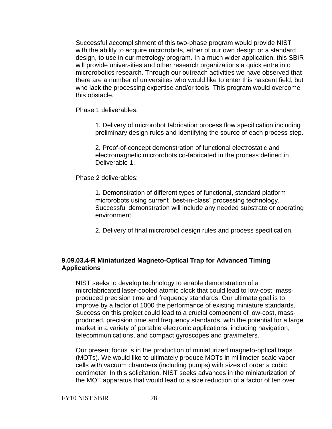Successful accomplishment of this two-phase program would provide NIST with the ability to acquire microrobots, either of our own design or a standard design, to use in our metrology program. In a much wider application, this SBIR will provide universities and other research organizations a quick entre into microrobotics research. Through our outreach activities we have observed that there are a number of universities who would like to enter this nascent field, but who lack the processing expertise and/or tools. This program would overcome this obstacle.

Phase 1 deliverables:

1. Delivery of microrobot fabrication process flow specification including preliminary design rules and identifying the source of each process step.

2. Proof-of-concept demonstration of functional electrostatic and electromagnetic microrobots co-fabricated in the process defined in Deliverable 1.

Phase 2 deliverables:

1. Demonstration of different types of functional, standard platform microrobots using current "best-in-class" processing technology. Successful demonstration will include any needed substrate or operating environment.

2. Delivery of final microrobot design rules and process specification.

# **9.09.03.4-R Miniaturized Magneto-Optical Trap for Advanced Timing Applications**

NIST seeks to develop technology to enable demonstration of a microfabricated laser-cooled atomic clock that could lead to low-cost, massproduced precision time and frequency standards. Our ultimate goal is to improve by a factor of 1000 the performance of existing miniature standards. Success on this project could lead to a crucial component of low-cost, massproduced, precision time and frequency standards, with the potential for a large market in a variety of portable electronic applications, including navigation, telecommunications, and compact gyroscopes and gravimeters.

Our present focus is in the production of miniaturized magneto-optical traps (MOTs). We would like to ultimately produce MOTs in millimeter-scale vapor cells with vacuum chambers (including pumps) with sizes of order a cubic centimeter. In this solicitation, NIST seeks advances in the miniaturization of the MOT apparatus that would lead to a size reduction of a factor of ten over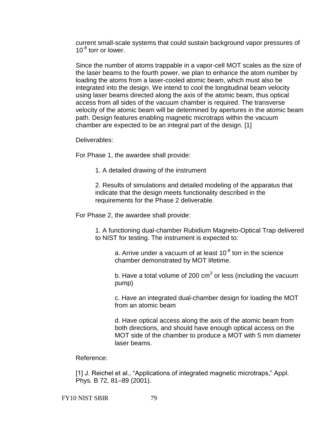current small-scale systems that could sustain background vapor pressures of 10<sup>-8</sup> torr or lower.

Since the number of atoms trappable in a vapor-cell MOT scales as the size of the laser beams to the fourth power, we plan to enhance the atom number by loading the atoms from a laser-cooled atomic beam, which must also be integrated into the design. We intend to cool the longitudinal beam velocity using laser beams directed along the axis of the atomic beam, thus optical access from all sides of the vacuum chamber is required. The transverse velocity of the atomic beam will be determined by apertures in the atomic beam path. Design features enabling magnetic microtraps within the vacuum chamber are expected to be an integral part of the design. [1]

Deliverables:

For Phase 1, the awardee shall provide:

1. A detailed drawing of the instrument

2. Results of simulations and detailed modeling of the apparatus that indicate that the design meets functionality described in the requirements for the Phase 2 deliverable.

For Phase 2, the awardee shall provide:

1. A functioning dual-chamber Rubidium Magneto-Optical Trap delivered to NIST for testing. The instrument is expected to:

a. Arrive under a vacuum of at least 10<sup>-8</sup> torr in the science chamber demonstrated by MOT lifetime.

b. Have a total volume of 200 cm<sup>3</sup> or less (including the vacuum pump)

c. Have an integrated dual-chamber design for loading the MOT from an atomic beam

d. Have optical access along the axis of the atomic beam from both directions, and should have enough optical access on the MOT side of the chamber to produce a MOT with 5 mm diameter laser beams.

Reference:

[1] J. Reichel et al., "Applications of integrated magnetic microtraps," Appl. Phys. B 72, 81–89 (2001).

FY10 NIST SBIR 79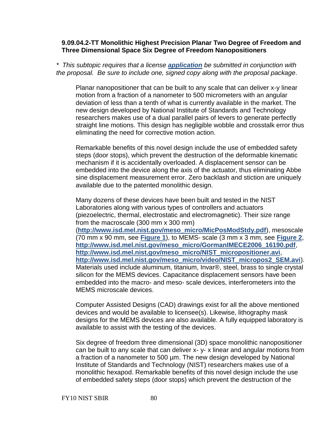### **9.09.04.2-TT Monolithic Highest Precision Planar Two Degree of Freedom and Three Dimensional Space Six Degree of Freedom Nanopositioners**

*\* This subtopic requires that a license [application](http://tsapps.nist.gov/ts_sbir/NonExclusiveRoyaltyFreePatentLicenseSBIR.pdf) be submitted in conjunction with the proposal. Be sure to include one, signed copy along with the proposal package.*

Planar nanopositioner that can be built to any scale that can deliver x-y linear motion from a fraction of a nanometer to 500 micrometers with an angular deviation of less than a tenth of what is currently available in the market. The new design developed by National Institute of Standards and Technology researchers makes use of a dual parallel pairs of levers to generate perfectly straight line motions. This design has negligible wobble and crosstalk error thus eliminating the need for corrective motion action.

Remarkable benefits of this novel design include the use of embedded safety steps (door stops), which prevent the destruction of the deformable kinematic mechanism if it is accidentally overloaded. A displacement sensor can be embedded into the device along the axis of the actuator, thus eliminating Abbe sine displacement measurement error. Zero backlash and stiction are uniquely available due to the patented monolithic design.

Many dozens of these devices have been built and tested in the NIST Laboratories along with various types of controllers and actuators (piezoelectric, thermal, electrostatic and electromagnetic). Their size range from the macroscale (300 mm x 300 mm) (**[http://www.isd.mel.nist.gov/meso\\_micro/MicPosModStdy.pdf](http://www.isd.mel.nist.gov/meso_micro/MicPosModStdy.pdf)**), mesoscale (70 mm x 90 mm, see **[Figure 1](http://tsapps.nist.gov/ts_sbir/image9_09_04_2_TT.doc)**), to MEMS- scale (3 mm x 3 mm, see **[Figure 2](http://tsapps.nist.gov/ts_sbir/image9_09_04_2_TT.doc)**, **[http://www.isd.mel.nist.gov/meso\\_micro/GormanIMECE2006\\_16190.pdf](http://www.isd.mel.nist.gov/meso_micro/GormanIMECE2006_16190.pdf)**, **[http://www.isd.mel.nist.gov/meso\\_micro/NIST\\_micropositioner.avi](http://www.isd.mel.nist.gov/meso_micro/NIST_micropositioner.avi)**, **[http://www.isd.mel.nist.gov/meso\\_micro/video/NIST\\_micropos2\\_SEM.avi](http://www.isd.mel.nist.gov/meso_micro/video/NIST_micropos2_SEM.avi)**). Materials used include aluminum, titanium, Invar®, steel, brass to single crystal silicon for the MEMS devices. Capacitance displacement sensors have been embedded into the macro- and meso- scale devices, interferometers into the MEMS microscale devices.

Computer Assisted Designs (CAD) drawings exist for all the above mentioned devices and would be available to licensee(s). Likewise, lithography mask designs for the MEMS devices are also available. A fully equipped laboratory is available to assist with the testing of the devices.

Six degree of freedom three dimensional (3D) space monolithic nanopositioner can be built to any scale that can deliver x- y- x linear and angular motions from a fraction of a nanometer to 500 µm. The new design developed by National Institute of Standards and Technology (NIST) researchers makes use of a monolithic hexapod. Remarkable benefits of this novel design include the use of embedded safety steps (door stops) which prevent the destruction of the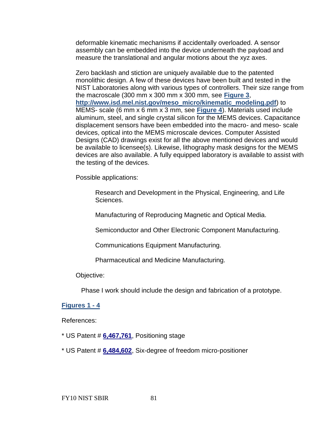deformable kinematic mechanisms if accidentally overloaded. A sensor assembly can be embedded into the device underneath the payload and measure the translational and angular motions about the xyz axes.

Zero backlash and stiction are uniquely available due to the patented monolithic design. A few of these devices have been built and tested in the NIST Laboratories along with various types of controllers. Their size range from the macroscale (300 mm x 300 mm x 300 mm, see **[Figure 3](http://tsapps.nist.gov/ts_sbir/image9_09_04_2_TT.doc)**, **[http://www.isd.mel.nist.gov/meso\\_micro/kinematic\\_modeling.pdf](http://www.isd.mel.nist.gov/meso_micro/kinematic_modeling.pdf)**) to MEMS- scale (6 mm x 6 mm x 3 mm, see **[Figure 4](http://tsapps.nist.gov/ts_sbir/image9_09_04_2_TT.doc)**). Materials used include aluminum, steel, and single crystal silicon for the MEMS devices. Capacitance displacement sensors have been embedded into the macro- and meso- scale devices, optical into the MEMS microscale devices. Computer Assisted Designs (CAD) drawings exist for all the above mentioned devices and would be available to licensee(s). Likewise, lithography mask designs for the MEMS devices are also available. A fully equipped laboratory is available to assist with the testing of the devices.

Possible applications:

Research and Development in the Physical, Engineering, and Life Sciences.

Manufacturing of Reproducing Magnetic and Optical Media.

Semiconductor and Other Electronic Component Manufacturing.

Communications Equipment Manufacturing.

Pharmaceutical and Medicine Manufacturing.

#### Objective:

Phase I work should include the design and fabrication of a prototype.

## **[Figures 1 -](http://tsapps.nist.gov/ts_sbir/image9_09_04_2_TT.doc) 4**

References:

- \* US Patent # **[6,467,761](http://patft.uspto.gov/netacgi/nph-Parser?Sect1=PTO2&Sect2=HITOFF&p=1&u=%2Fnetahtml%2FPTO%2Fsearch-bool.html&r=1&f=G&l=50&co1=AND&d=PTXT&s1=6,467,761.PN.&OS=PN/6,467,761&RS=PN/6,467,761)**, Positioning stage
- \* US Patent # **[6,484,602](http://patft.uspto.gov/netacgi/nph-Parser?Sect1=PTO2&Sect2=HITOFF&p=1&u=%2Fnetahtml%2FPTO%2Fsearch-bool.html&r=1&f=G&l=50&co1=AND&d=PTXT&s1=6,484,602.PN.&OS=PN/6,484,602&RS=PN/6,484,602)**, Six-degree of freedom micro-positioner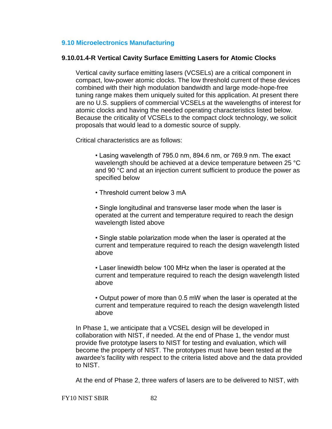## <span id="page-81-0"></span>**9.10 [Microelectronics Manufacturing](#page-81-0)**

## **9.10.01.4-R Vertical Cavity Surface Emitting Lasers for Atomic Clocks**

Vertical cavity surface emitting lasers (VCSELs) are a critical component in compact, low-power atomic clocks. The low threshold current of these devices combined with their high modulation bandwidth and large mode-hope-free tuning range makes them uniquely suited for this application. At present there are no U.S. suppliers of commercial VCSELs at the wavelengths of interest for atomic clocks and having the needed operating characteristics listed below. Because the criticality of VCSELs to the compact clock technology, we solicit proposals that would lead to a domestic source of supply.

Critical characteristics are as follows:

• Lasing wavelength of 795.0 nm, 894.6 nm, or 769.9 nm. The exact wavelength should be achieved at a device temperature between 25 °C and 90 °C and at an injection current sufficient to produce the power as specified below

• Threshold current below 3 mA

• Single longitudinal and transverse laser mode when the laser is operated at the current and temperature required to reach the design wavelength listed above

• Single stable polarization mode when the laser is operated at the current and temperature required to reach the design wavelength listed above

• Laser linewidth below 100 MHz when the laser is operated at the current and temperature required to reach the design wavelength listed above

• Output power of more than 0.5 mW when the laser is operated at the current and temperature required to reach the design wavelength listed above

In Phase 1, we anticipate that a VCSEL design will be developed in collaboration with NIST, if needed. At the end of Phase 1, the vendor must provide five prototype lasers to NIST for testing and evaluation, which will become the property of NIST. The prototypes must have been tested at the awardee's facility with respect to the criteria listed above and the data provided to NIST.

At the end of Phase 2, three wafers of lasers are to be delivered to NIST, with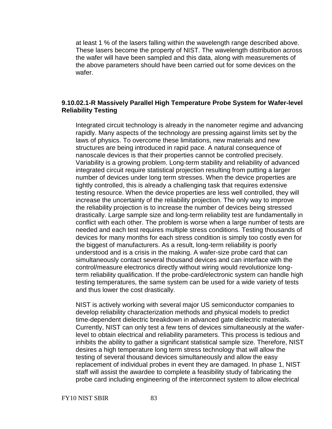at least 1 % of the lasers falling within the wavelength range described above. These lasers become the property of NIST. The wavelength distribution across the wafer will have been sampled and this data, along with measurements of the above parameters should have been carried out for some devices on the wafer.

## **9.10.02.1-R Massively Parallel High Temperature Probe System for Wafer-level Reliability Testing**

Integrated circuit technology is already in the nanometer regime and advancing rapidly. Many aspects of the technology are pressing against limits set by the laws of physics. To overcome these limitations, new materials and new structures are being introduced in rapid pace. A natural consequence of nanoscale devices is that their properties cannot be controlled precisely. Variability is a growing problem. Long-term stability and reliability of advanced integrated circuit require statistical projection resulting from putting a larger number of devices under long term stresses. When the device properties are tightly controlled, this is already a challenging task that requires extensive testing resource. When the device properties are less well controlled, they will increase the uncertainty of the reliability projection. The only way to improve the reliability projection is to increase the number of devices being stressed drastically. Large sample size and long-term reliability test are fundamentally in conflict with each other. The problem is worse when a large number of tests are needed and each test requires multiple stress conditions. Testing thousands of devices for many months for each stress condition is simply too costly even for the biggest of manufacturers. As a result, long-term reliability is poorly understood and is a crisis in the making. A wafer-size probe card that can simultaneously contact several thousand devices and can interface with the control/measure electronics directly without wiring would revolutionize longterm reliability qualification. If the probe-card/electronic system can handle high testing temperatures, the same system can be used for a wide variety of tests and thus lower the cost drastically.

NIST is actively working with several major US semiconductor companies to develop reliability characterization methods and physical models to predict time-dependent dielectric breakdown in advanced gate dielectric materials. Currently, NIST can only test a few tens of devices simultaneously at the waferlevel to obtain electrical and reliability parameters. This process is tedious and inhibits the ability to gather a significant statistical sample size. Therefore, NIST desires a high temperature long term stress technology that will allow the testing of several thousand devices simultaneously and allow the easy replacement of individual probes in event they are damaged. In phase 1, NIST staff will assist the awardee to complete a feasibility study of fabricating the probe card including engineering of the interconnect system to allow electrical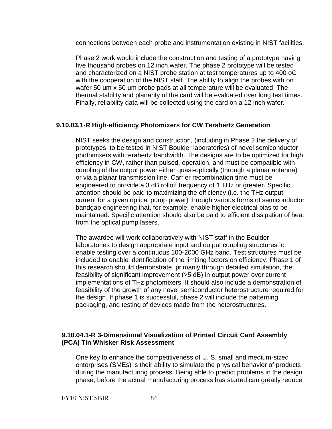connections between each probe and instrumentation existing in NIST facilities.

Phase 2 work would include the construction and testing of a prototype having five thousand probes on 12 inch wafer. The phase 2 prototype will be tested and characterized on a NIST probe station at test temperatures up to 400 oC with the cooperation of the NIST staff. The ability to align the probes with on wafer 50 um x 50 um probe pads at all temperature will be evaluated. The thermal stability and planarity of the card will be evaluated over long test times. Finally, reliability data will be collected using the card on a 12 inch wafer.

# **9.10.03.1-R High-efficiency Photomixers for CW Terahertz Generation**

NIST seeks the design and construction, (including in Phase 2 the delivery of prototypes, to be tested in NIST Boulder laboratories) of novel semiconductor photomixers with terahertz bandwidth. The designs are to be optimized for high efficiency in CW, rather than pulsed, operation, and must be compatible with coupling of the output power either quasi-optically (through a planar antenna) or via a planar transmission line. Carrier recombination time must be engineered to provide a 3 dB rolloff frequency of 1 THz or greater. Specific attention should be paid to maximizing the efficiency (i.e. the THz output current for a given optical pump power) through various forms of semiconductor bandgap engineering that, for example, enable higher electrical bias to be maintained. Specific attention should also be paid to efficient dissipation of heat from the optical pump lasers.

The awardee will work collaboratively with NIST staff in the Boulder laboratories to design appropriate input and output coupling structures to enable testing over a continuous 100-2000 GHz band. Test structures must be included to enable identification of the limiting factors on efficiency. Phase 1 of this research should demonstrate, primarily through detailed simulation, the feasibility of significant improvement (>5 dB) in output power over current implementations of THz photomixers. It should also include a demonstration of feasibility of the growth of any novel semiconductor heterostructure required for the design. If phase 1 is successful, phase 2 will include the patterning, packaging, and testing of devices made from the heterostructures.

# **9.10.04.1-R 3-Dimensional Visualization of Printed Circuit Card Assembly (PCA) Tin Whisker Risk Assessment**

One key to enhance the competitiveness of U. S. small and medium-sized enterprises (SMEs) is their ability to simulate the physical behavior of products during the manufacturing process. Being able to predict problems in the design phase, before the actual manufacturing process has started can greatly reduce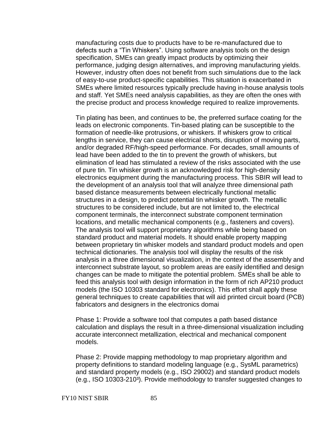manufacturing costs due to products have to be re-manufactured due to defects such a "Tin Whiskers". Using software analysis tools on the design specification, SMEs can greatly impact products by optimizing their performance, judging design alternatives, and improving manufacturing yields. However, industry often does not benefit from such simulations due to the lack of easy-to-use product-specific capabilities. This situation is exacerbated in SMEs where limited resources typically preclude having in-house analysis tools and staff. Yet SMEs need analysis capabilities, as they are often the ones with the precise product and process knowledge required to realize improvements.

Tin plating has been, and continues to be, the preferred surface coating for the leads on electronic components. Tin-based plating can be susceptible to the formation of needle-like protrusions, or whiskers. If whiskers grow to critical lengths in service, they can cause electrical shorts, disruption of moving parts, and/or degraded RF/high-speed performance. For decades, small amounts of lead have been added to the tin to prevent the growth of whiskers, but elimination of lead has stimulated a review of the risks associated with the use of pure tin. Tin whisker growth is an acknowledged risk for high-density electronics equipment during the manufacturing process. This SBIR will lead to the development of an analysis tool that will analyze three dimensional path based distance measurements between electrically functional metallic structures in a design, to predict potential tin whisker growth. The metallic structures to be considered include, but are not limited to, the electrical component terminals, the interconnect substrate component termination locations, and metallic mechanical components (e.g., fasteners and covers). The analysis tool will support proprietary algorithms while being based on standard product and material models. It should enable property mapping between proprietary tin whisker models and standard product models and open technical dictionaries. The analysis tool will display the results of the risk analysis in a three dimensional visualization, in the context of the assembly and interconnect substrate layout, so problem areas are easily identified and design changes can be made to mitigate the potential problem. SMEs shall be able to feed this analysis tool with design information in the form of rich AP210 product models (the ISO 10303 standard for electronics). This effort shall apply these general techniques to create capabilities that will aid printed circuit board (PCB) fabricators and designers in the electronics domai

Phase 1: Provide a software tool that computes a path based distance calculation and displays the result in a three-dimensional visualization including accurate interconnect metallization, electrical and mechanical component models.

Phase 2: Provide mapping methodology to map proprietary algorithm and property definitions to standard modeling language (e.g., SysML parametrics) and standard property models (e.g., ISO 29002) and standard product models (e.g., ISO 10303-210<sup>3</sup>). Provide methodology to transfer suggested changes to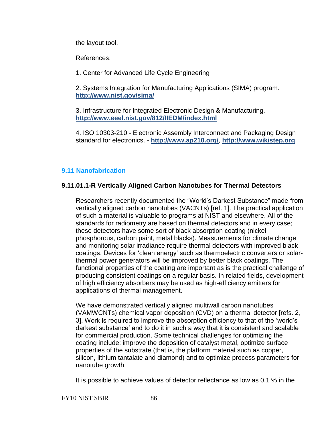the layout tool.

References:

1. Center for Advanced Life Cycle Engineering

2. Systems Integration for Manufacturing Applications (SIMA) program. **<http://www.nist.gov/sima/>**

3. Infrastructure for Integrated Electronic Design & Manufacturing. **<http://www.eeel.nist.gov/812/IIEDM/index.html>**

4. ISO 10303-210 - Electronic Assembly Interconnect and Packaging Design standard for electronics. - **<http://www.ap210.org/>**, **[http://www.wikistep.org](http://www.wikistep.org/)**

# <span id="page-85-0"></span>**9.11 [Nanofabrication](#page-85-0)**

# **9.11.01.1-R Vertically Aligned Carbon Nanotubes for Thermal Detectors**

Researchers recently documented the "World's Darkest Substance" made from vertically aligned carbon nanotubes (VACNTs) [ref. 1]. The practical application of such a material is valuable to programs at NIST and elsewhere. All of the standards for radiometry are based on thermal detectors and in every case; these detectors have some sort of black absorption coating (nickel phosphorous, carbon paint, metal blacks). Measurements for climate change and monitoring solar irradiance require thermal detectors with improved black coatings. Devices for 'clean energy' such as thermoelectric converters or solarthermal power generators will be improved by better black coatings. The functional properties of the coating are important as is the practical challenge of producing consistent coatings on a regular basis. In related fields, development of high efficiency absorbers may be used as high-efficiency emitters for applications of thermal management.

We have demonstrated vertically aligned multiwall carbon nanotubes (VAMWCNTs) chemical vapor deposition (CVD) on a thermal detector [refs. 2, 3]. Work is required to improve the absorption efficiency to that of the 'world's darkest substance' and to do it in such a way that it is consistent and scalable for commercial production. Some technical challenges for optimizing the coating include: improve the deposition of catalyst metal, optimize surface properties of the substrate (that is, the platform material such as copper, silicon, lithium tantalate and diamond) and to optimize process parameters for nanotube growth.

It is possible to achieve values of detector reflectance as low as 0.1 % in the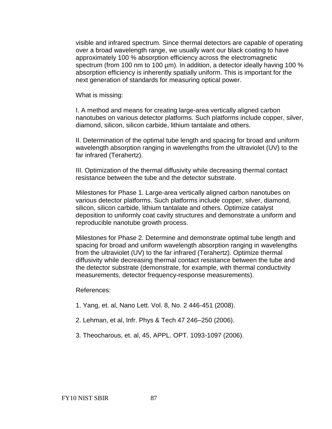visible and infrared spectrum. Since thermal detectors are capable of operating over a broad wavelength range, we usually want our black coating to have approximately 100 % absorption efficiency across the electromagnetic spectrum (from 100 nm to 100 µm). In addition, a detector ideally having 100 % absorption efficiency is inherently spatially uniform. This is important for the next generation of standards for measuring optical power.

What is missing:

I. A method and means for creating large-area vertically aligned carbon nanotubes on various detector platforms. Such platforms include copper, silver, diamond, silicon, silicon carbide, lithium tantalate and others.

II. Determination of the optimal tube length and spacing for broad and uniform wavelength absorption ranging in wavelengths from the ultraviolet (UV) to the far infrared (Terahertz).

III. Optimization of the thermal diffusivity while decreasing thermal contact resistance between the tube and the detector substrate.

Milestones for Phase 1. Large-area vertically aligned carbon nanotubes on various detector platforms. Such platforms include copper, silver, diamond, silicon, silicon carbide, lithium tantalate and others. Optimize catalyst deposition to uniformly coat cavity structures and demonstrate a uniform and reproducible nanotube growth process.

Milestones for Phase 2. Determine and demonstrate optimal tube length and spacing for broad and uniform wavelength absorption ranging in wavelengths from the ultraviolet (UV) to the far infrared (Terahertz). Optimize thermal diffusivity while decreasing thermal contact resistance between the tube and the detector substrate (demonstrate, for example, with thermal conductivity measurements, detector frequency-response measurements).

References:

- 1. Yang, et. al, Nano Lett. Vol. 8, No. 2 446-451 (2008).
- 2. Lehman, et al, Infr. Phys & Tech 47 246–250 (2006).
- 3. Theocharous, et. al, 45, APPL. OPT. 1093-1097 (2006).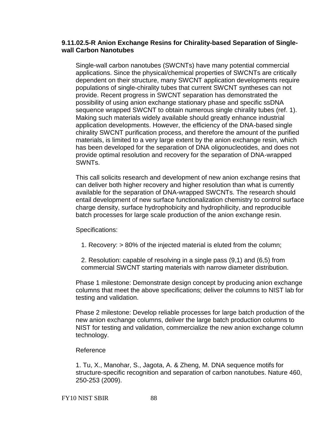## **9.11.02.5-R Anion Exchange Resins for Chirality-based Separation of Singlewall Carbon Nanotubes**

Single-wall carbon nanotubes (SWCNTs) have many potential commercial applications. Since the physical/chemical properties of SWCNTs are critically dependent on their structure, many SWCNT application developments require populations of single-chirality tubes that current SWCNT syntheses can not provide. Recent progress in SWCNT separation has demonstrated the possibility of using anion exchange stationary phase and specific ssDNA sequence wrapped SWCNT to obtain numerous single chirality tubes (ref. 1). Making such materials widely available should greatly enhance industrial application developments. However, the efficiency of the DNA-based single chirality SWCNT purification process, and therefore the amount of the purified materials, is limited to a very large extent by the anion exchange resin, which has been developed for the separation of DNA oligonucleotides, and does not provide optimal resolution and recovery for the separation of DNA-wrapped SWNTs.

This call solicits research and development of new anion exchange resins that can deliver both higher recovery and higher resolution than what is currently available for the separation of DNA-wrapped SWCNTs. The research should entail development of new surface functionalization chemistry to control surface charge density, surface hydrophobicity and hydrophilicity, and reproducible batch processes for large scale production of the anion exchange resin.

Specifications:

1. Recovery: > 80% of the injected material is eluted from the column;

2. Resolution: capable of resolving in a single pass (9,1) and (6,5) from commercial SWCNT starting materials with narrow diameter distribution.

Phase 1 milestone: Demonstrate design concept by producing anion exchange columns that meet the above specifications; deliver the columns to NIST lab for testing and validation.

Phase 2 milestone: Develop reliable processes for large batch production of the new anion exchange columns, deliver the large batch production columns to NIST for testing and validation, commercialize the new anion exchange column technology.

## Reference

1. Tu, X., Manohar, S., Jagota, A. & Zheng, M. DNA sequence motifs for structure-specific recognition and separation of carbon nanotubes. Nature 460, 250-253 (2009).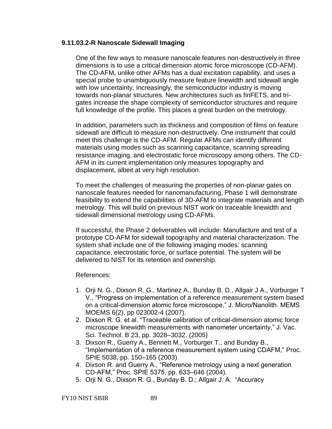## **9.11.03.2-R Nanoscale Sidewall Imaging**

One of the few ways to measure nanoscale features non-destructively in three dimensions is to use a critical dimension atomic force microscope (CD-AFM). The CD-AFM, unlike other AFMs has a dual excitation capability, and uses a special probe to unambiguously measure feature linewidth and sidewall angle with low uncertainty. Increasingly, the semiconductor industry is moving towards non-planar structures. New architectures such as finFETS, and trigates increase the shape complexity of semiconductor structures and require full knowledge of the profile. This places a great burden on the metrology.

In addition, parameters such as thickness and composition of films on feature sidewall are difficult to measure non-destructively. One instrument that could meet this challenge is the CD-AFM. Regular AFMs can identify different materials using modes such as scanning capacitance, scanning spreading resistance imaging, and electrostatic force microscopy among others. The CD-AFM in its current implementation only measures topography and displacement, albeit at very high resolution.

To meet the challenges of measuring the properties of non-planar gates on nanoscale features needed for nanomanufacturing, Phase 1 will demonstrate feasibility to extend the capabilities of 3D-AFM to integrate materials and length metrology. This will build on previous NIST work on traceable linewidth and sidewall dimensional metrology using CD-AFMs.

If successful, the Phase 2 deliverables will include: Manufacture and test of a prototype CD-AFM for sidewall topography and material characterization. The system shall include one of the following imaging modes: scanning capacitance, electrostatic force, or surface potential. The system will be delivered to NIST for its retention and ownership.

#### References:

- 1. Orji N. G., Dixson R. G., Martinez A., Bunday B. D., Allgair J A., Vorburger T V., "Progress on implementation of a reference measurement system based on a critical-dimension atomic force microscope," J. Micro/Nanolith. MEMS MOEMS 6(2), pp 023002-4 (2007).
- 2. Dixson R. G. et al. "Traceable calibration of critical-dimension atomic force microscope linewidth measurements with nanometer uncertainty," J. Vac. Sci. Technol. B 23, pp. 3028–3032. (2005)
- 3. Dixson R., Guerry A., Bennett M., Vorburger T., and Bunday B., "Implementation of a reference measurement system using CDAFM," Proc. SPIE 5038, pp. 150–165 (2003)
- 4. Dixson R. and Guerry A., "Reference metrology using a next generation CD-AFM,‖ Proc. SPIE 5375, pp. 633–646 (2004).
- 5. Orii N. G., Dixson R. G., Bunday B. D.; Allgair J. A. "Accuracy

FY10 NIST SBIR 89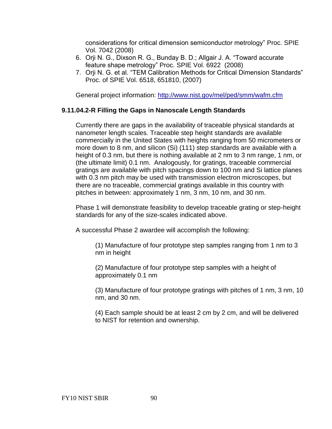considerations for critical dimension semiconductor metrology‖ Proc. SPIE Vol. 7042 (2008)

- 6. Orji N. G., Dixson R. G., Bunday B. D.; Allgair J. A. "Toward accurate feature shape metrology" Proc. SPIE Vol. 6922 (2008)
- 7. Orii N. G. et al. "TEM Calibration Methods for Critical Dimension Standards" Proc. of SPIE Vol. 6518, 651810, (2007)

General project information: <http://www.nist.gov/mel/ped/smm/wafm.cfm>

# **9.11.04.2-R Filling the Gaps in Nanoscale Length Standards**

Currently there are gaps in the availability of traceable physical standards at nanometer length scales. Traceable step height standards are available commercially in the United States with heights ranging from 50 micrometers or more down to 8 nm, and silicon (Si) (111) step standards are available with a height of 0.3 nm, but there is nothing available at 2 nm to 3 nm range, 1 nm, or (the ultimate limit) 0.1 nm. Analogously, for gratings, traceable commercial gratings are available with pitch spacings down to 100 nm and Si lattice planes with 0.3 nm pitch may be used with transmission electron microscopes, but there are no traceable, commercial gratings available in this country with pitches in between: approximately 1 nm, 3 nm, 10 nm, and 30 nm.

Phase 1 will demonstrate feasibility to develop traceable grating or step-height standards for any of the size-scales indicated above.

A successful Phase 2 awardee will accomplish the following:

(1) Manufacture of four prototype step samples ranging from 1 nm to 3 nm in height

(2) Manufacture of four prototype step samples with a height of approximately 0.1 nm

(3) Manufacture of four prototype gratings with pitches of 1 nm, 3 nm, 10 nm, and 30 nm.

<span id="page-89-0"></span>(4) Each sample should be at least 2 cm by 2 cm, and will be delivered to NIST for retention and ownership.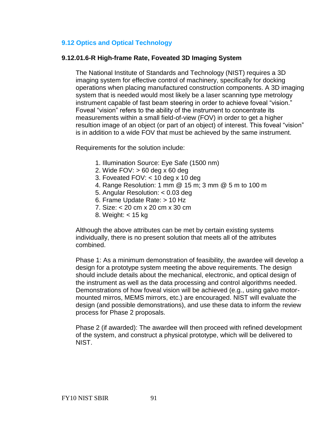# **9.12 [Optics and Optical Technology](#page-89-0)**

# **9.12.01.6-R High-frame Rate, Foveated 3D Imaging System**

The National Institute of Standards and Technology (NIST) requires a 3D imaging system for effective control of machinery, specifically for docking operations when placing manufactured construction components. A 3D imaging system that is needed would most likely be a laser scanning type metrology instrument capable of fast beam steering in order to achieve foveal "vision." Foveal "vision" refers to the ability of the instrument to concentrate its measurements within a small field-of-view (FOV) in order to get a higher resultion image of an object (or part of an object) of interest. This foveal "vision" is in addition to a wide FOV that must be achieved by the same instrument.

Requirements for the solution include:

- 1. Illumination Source: Eye Safe (1500 nm)
- 2. Wide FOV: > 60 deg x 60 deg
- 3. Foveated FOV: < 10 deg x 10 deg
- 4. Range Resolution: 1 mm @ 15 m; 3 mm @ 5 m to 100 m
- 5. Angular Resolution: < 0.03 deg
- 6. Frame Update Rate: > 10 Hz
- 7. Size: < 20 cm x 20 cm x 30 cm
- 8. Weight: < 15 kg

Although the above attributes can be met by certain existing systems individually, there is no present solution that meets all of the attributes combined.

Phase 1: As a minimum demonstration of feasibility, the awardee will develop a design for a prototype system meeting the above requirements. The design should include details about the mechanical, electronic, and optical design of the instrument as well as the data processing and control algorithms needed. Demonstrations of how foveal vision will be achieved (e.g., using galvo motormounted mirros, MEMS mirrors, etc.) are encouraged. NIST will evaluate the design (and possible demonstrations), and use these data to inform the review process for Phase 2 proposals.

Phase 2 (if awarded): The awardee will then proceed with refined development of the system, and construct a physical prototype, which will be delivered to NIST.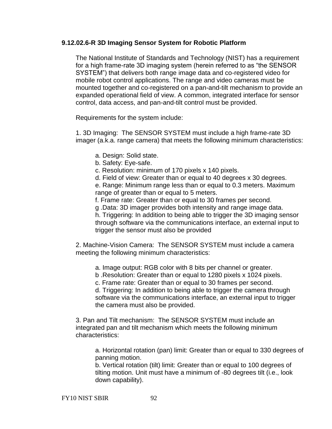## **9.12.02.6-R 3D Imaging Sensor System for Robotic Platform**

The National Institute of Standards and Technology (NIST) has a requirement for a high frame-rate 3D imaging system (herein referred to as "the SENSOR SYSTEM") that delivers both range image data and co-registered video for mobile robot control applications. The range and video cameras must be mounted together and co-registered on a pan-and-tilt mechanism to provide an expanded operational field of view. A common, integrated interface for sensor control, data access, and pan-and-tilt control must be provided.

Requirements for the system include:

1. 3D Imaging: The SENSOR SYSTEM must include a high frame-rate 3D imager (a.k.a. range camera) that meets the following minimum characteristics:

- a. Design: Solid state.
- b. Safety: Eye-safe.

c. Resolution: minimum of 170 pixels x 140 pixels.

d. Field of view: Greater than or equal to 40 degrees x 30 degrees.

e. Range: Minimum range less than or equal to 0.3 meters. Maximum range of greater than or equal to 5 meters.

f. Frame rate: Greater than or equal to 30 frames per second.

g .Data: 3D imager provides both intensity and range image data.

h. Triggering: In addition to being able to trigger the 3D imaging sensor through software via the communications interface, an external input to trigger the sensor must also be provided

2. Machine-Vision Camera: The SENSOR SYSTEM must include a camera meeting the following minimum characteristics:

a. Image output: RGB color with 8 bits per channel or greater.

b .Resolution: Greater than or equal to 1280 pixels x 1024 pixels.

c. Frame rate: Greater than or equal to 30 frames per second.

d. Triggering: In addition to being able to trigger the camera through software via the communications interface, an external input to trigger the camera must also be provided.

3. Pan and Tilt mechanism: The SENSOR SYSTEM must include an integrated pan and tilt mechanism which meets the following minimum characteristics:

a. Horizontal rotation (pan) limit: Greater than or equal to 330 degrees of panning motion.

b. Vertical rotation (tilt) limit: Greater than or equal to 100 degrees of tilting motion. Unit must have a minimum of -80 degrees tilt (i.e., look down capability).

FY10 NIST SBIR 92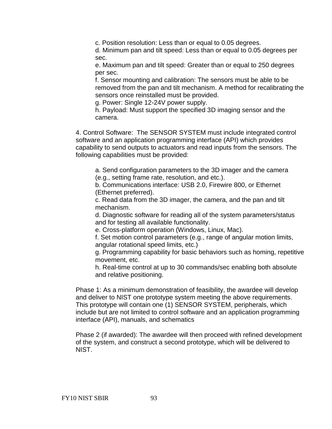c. Position resolution: Less than or equal to 0.05 degrees.

d. Minimum pan and tilt speed: Less than or equal to 0.05 degrees per sec.

e. Maximum pan and tilt speed: Greater than or equal to 250 degrees per sec.

f. Sensor mounting and calibration: The sensors must be able to be removed from the pan and tilt mechanism. A method for recalibrating the sensors once reinstalled must be provided.

g. Power: Single 12-24V power supply.

h. Payload: Must support the specified 3D imaging sensor and the camera.

4. Control Software: The SENSOR SYSTEM must include integrated control software and an application programming interface (API) which provides capability to send outputs to actuators and read inputs from the sensors. The following capabilities must be provided:

a. Send configuration parameters to the 3D imager and the camera (e.g., setting frame rate, resolution, and etc.).

b. Communications interface: USB 2.0, Firewire 800, or Ethernet (Ethernet preferred).

c. Read data from the 3D imager, the camera, and the pan and tilt mechanism.

d. Diagnostic software for reading all of the system parameters/status and for testing all available functionality.

e. Cross-platform operation (Windows, Linux, Mac).

f. Set motion control parameters (e.g., range of angular motion limits, angular rotational speed limits, etc.)

g. Programming capability for basic behaviors such as homing, repetitive movement, etc.

h. Real-time control at up to 30 commands/sec enabling both absolute and relative positioning.

Phase 1: As a minimum demonstration of feasibility, the awardee will develop and deliver to NIST one prototype system meeting the above requirements. This prototype will contain one (1) SENSOR SYSTEM, peripherals, which include but are not limited to control software and an application programming interface (API), manuals, and schematics

Phase 2 (if awarded): The awardee will then proceed with refined development of the system, and construct a second prototype, which will be delivered to NIST.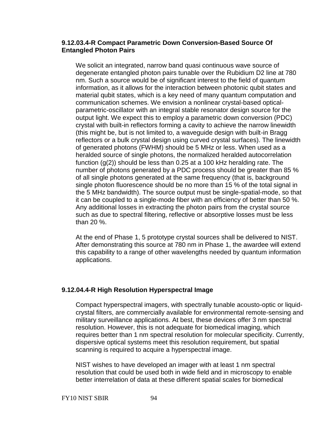## **9.12.03.4-R Compact Parametric Down Conversion-Based Source Of Entangled Photon Pairs**

We solicit an integrated, narrow band quasi continuous wave source of degenerate entangled photon pairs tunable over the Rubidium D2 line at 780 nm. Such a source would be of significant interest to the field of quantum information, as it allows for the interaction between photonic qubit states and material qubit states, which is a key need of many quantum computation and communication schemes. We envision a nonlinear crystal-based opticalparametric-oscillator with an integral stable resonator design source for the output light. We expect this to employ a parametric down conversion (PDC) crystal with built-in reflectors forming a cavity to achieve the narrow linewidth (this might be, but is not limited to, a waveguide design with built-in Bragg reflectors or a bulk crystal design using curved crystal surfaces). The linewidth of generated photons (FWHM) should be 5 MHz or less. When used as a heralded source of single photons, the normalized heralded autocorrelation function  $(g(2))$  should be less than 0.25 at a 100 kHz heralding rate. The number of photons generated by a PDC process should be greater than 85 % of all single photons generated at the same frequency (that is, background single photon fluorescence should be no more than 15 % of the total signal in the 5 MHz bandwidth). The source output must be single-spatial-mode, so that it can be coupled to a single-mode fiber with an efficiency of better than 50 %. Any additional losses in extracting the photon pairs from the crystal source such as due to spectral filtering, reflective or absorptive losses must be less than 20 %.

At the end of Phase 1, 5 prototype crystal sources shall be delivered to NIST. After demonstrating this source at 780 nm in Phase 1, the awardee will extend this capability to a range of other wavelengths needed by quantum information applications.

## **9.12.04.4-R High Resolution Hyperspectral Image**

Compact hyperspectral imagers, with spectrally tunable acousto-optic or liquidcrystal filters, are commercially available for environmental remote-sensing and military surveillance applications. At best, these devices offer 3 nm spectral resolution. However, this is not adequate for biomedical imaging, which requires better than 1 nm spectral resolution for molecular specificity. Currently, dispersive optical systems meet this resolution requirement, but spatial scanning is required to acquire a hyperspectral image.

NIST wishes to have developed an imager with at least 1 nm spectral resolution that could be used both in wide field and in microscopy to enable better interrelation of data at these different spatial scales for biomedical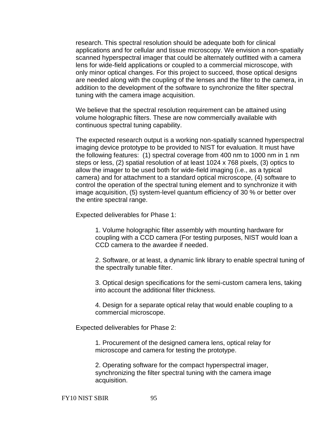research. This spectral resolution should be adequate both for clinical applications and for cellular and tissue microscopy. We envision a non-spatially scanned hyperspectral imager that could be alternately outfitted with a camera lens for wide-field applications or coupled to a commercial microscope, with only minor optical changes. For this project to succeed, those optical designs are needed along with the coupling of the lenses and the filter to the camera, in addition to the development of the software to synchronize the filter spectral tuning with the camera image acquisition.

We believe that the spectral resolution requirement can be attained using volume holographic filters. These are now commercially available with continuous spectral tuning capability.

The expected research output is a working non-spatially scanned hyperspectral imaging device prototype to be provided to NIST for evaluation. It must have the following features: (1) spectral coverage from 400 nm to 1000 nm in 1 nm steps or less, (2) spatial resolution of at least 1024 x 768 pixels, (3) optics to allow the imager to be used both for wide-field imaging (i.e., as a typical camera) and for attachment to a standard optical microscope, (4) software to control the operation of the spectral tuning element and to synchronize it with image acquisition, (5) system-level quantum efficiency of 30 % or better over the entire spectral range.

Expected deliverables for Phase 1:

1. Volume holographic filter assembly with mounting hardware for coupling with a CCD camera (For testing purposes, NIST would loan a CCD camera to the awardee if needed.

2. Software, or at least, a dynamic link library to enable spectral tuning of the spectrally tunable filter.

3. Optical design specifications for the semi-custom camera lens, taking into account the additional filter thickness.

4. Design for a separate optical relay that would enable coupling to a commercial microscope.

Expected deliverables for Phase 2:

1. Procurement of the designed camera lens, optical relay for microscope and camera for testing the prototype.

2. Operating software for the compact hyperspectral imager, synchronizing the filter spectral tuning with the camera image acquisition.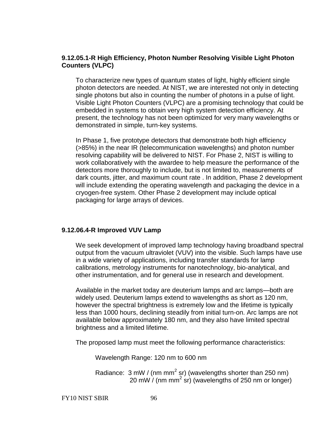## **9.12.05.1-R High Efficiency, Photon Number Resolving Visible Light Photon Counters (VLPC)**

To characterize new types of quantum states of light, highly efficient single photon detectors are needed. At NIST, we are interested not only in detecting single photons but also in counting the number of photons in a pulse of light. Visible Light Photon Counters (VLPC) are a promising technology that could be embedded in systems to obtain very high system detection efficiency. At present, the technology has not been optimized for very many wavelengths or demonstrated in simple, turn-key systems.

In Phase 1, five prototype detectors that demonstrate both high efficiency (>85%) in the near IR (telecommunication wavelengths) and photon number resolving capability will be delivered to NIST. For Phase 2, NIST is willing to work collaboratively with the awardee to help measure the performance of the detectors more thoroughly to include, but is not limited to, measurements of dark counts, jitter, and maximum count rate . In addition, Phase 2 development will include extending the operating wavelength and packaging the device in a cryogen-free system. Other Phase 2 development may include optical packaging for large arrays of devices.

# **9.12.06.4-R Improved VUV Lamp**

We seek development of improved lamp technology having broadband spectral output from the vacuum ultraviolet (VUV) into the visible. Such lamps have use in a wide variety of applications, including transfer standards for lamp calibrations, metrology instruments for nanotechnology, bio-analytical, and other instrumentation, and for general use in research and development.

Available in the market today are deuterium lamps and arc lamps—both are widely used. Deuterium lamps extend to wavelengths as short as 120 nm, however the spectral brightness is extremely low and the lifetime is typically less than 1000 hours, declining steadily from initial turn-on. Arc lamps are not available below approximately 180 nm, and they also have limited spectral brightness and a limited lifetime.

The proposed lamp must meet the following performance characteristics:

Wavelength Range: 120 nm to 600 nm

Radiance:  $3 \text{ mW}$  / (nm mm<sup>2</sup> sr) (wavelengths shorter than 250 nm) 20 mW  $/$  (nm mm<sup>2</sup> sr) (wavelengths of 250 nm or longer)

FY10 NIST SBIR 96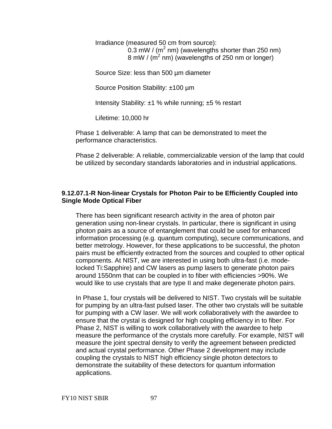Irradiance (measured 50 cm from source): 0.3 mW / ( $m^2$  nm) (wavelengths shorter than 250 nm) 8 mW / ( $m^2$  nm) (wavelengths of 250 nm or longer)

Source Size: less than 500 µm diameter

Source Position Stability: ±100 µm

Intensity Stability: ±1 % while running; ±5 % restart

Lifetime: 10,000 hr

Phase 1 deliverable: A lamp that can be demonstrated to meet the performance characteristics.

Phase 2 deliverable: A reliable, commercializable version of the lamp that could be utilized by secondary standards laboratories and in industrial applications.

## **9.12.07.1-R Non-linear Crystals for Photon Pair to be Efficiently Coupled into Single Mode Optical Fiber**

There has been significant research activity in the area of photon pair generation using non-linear crystals. In particular, there is significant in using photon pairs as a source of entanglement that could be used for enhanced information processing (e.g. quantum computing), secure communications, and better metrology. However, for these applications to be successful, the photon pairs must be efficiently extracted from the sources and coupled to other optical components. At NIST, we are interested in using both ultra-fast (i.e. modelocked Ti:Sapphire) and CW lasers as pump lasers to generate photon pairs around 1550nm that can be coupled in to fiber with efficiencies >90%. We would like to use crystals that are type II and make degenerate photon pairs.

In Phase 1, four crystals will be delivered to NIST. Two crystals will be suitable for pumping by an ultra-fast pulsed laser. The other two crystals will be suitable for pumping with a CW laser. We will work collaboratively with the awardee to ensure that the crystal is designed for high coupling efficiency in to fiber. For Phase 2, NIST is willing to work collaboratively with the awardee to help measure the performance of the crystals more carefully. For example, NIST will measure the joint spectral density to verify the agreement between predicted and actual crystal performance. Other Phase 2 development may include coupling the crystals to NIST high efficiency single photon detectors to demonstrate the suitability of these detectors for quantum information applications.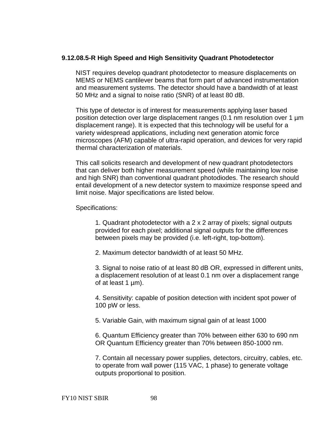## **9.12.08.5-R High Speed and High Sensitivity Quadrant Photodetector**

NIST requires develop quadrant photodetector to measure displacements on MEMS or NEMS cantilever beams that form part of advanced instrumentation and measurement systems. The detector should have a bandwidth of at least 50 MHz and a signal to noise ratio (SNR) of at least 80 dB.

This type of detector is of interest for measurements applying laser based position detection over large displacement ranges (0.1 nm resolution over 1 µm displacement range). It is expected that this technology will be useful for a variety widespread applications, including next generation atomic force microscopes (AFM) capable of ultra-rapid operation, and devices for very rapid thermal characterization of materials.

This call solicits research and development of new quadrant photodetectors that can deliver both higher measurement speed (while maintaining low noise and high SNR) than conventional quadrant photodiodes. The research should entail development of a new detector system to maximize response speed and limit noise. Major specifications are listed below.

Specifications:

1. Quadrant photodetector with a 2 x 2 array of pixels; signal outputs provided for each pixel; additional signal outputs for the differences between pixels may be provided (i.e. left-right, top-bottom).

2. Maximum detector bandwidth of at least 50 MHz.

3. Signal to noise ratio of at least 80 dB OR, expressed in different units, a displacement resolution of at least 0.1 nm over a displacement range of at least 1 µm).

4. Sensitivity: capable of position detection with incident spot power of 100 pW or less.

5. Variable Gain, with maximum signal gain of at least 1000

6. Quantum Efficiency greater than 70% between either 630 to 690 nm OR Quantum Efficiency greater than 70% between 850-1000 nm.

7. Contain all necessary power supplies, detectors, circuitry, cables, etc. to operate from wall power (115 VAC, 1 phase) to generate voltage outputs proportional to position.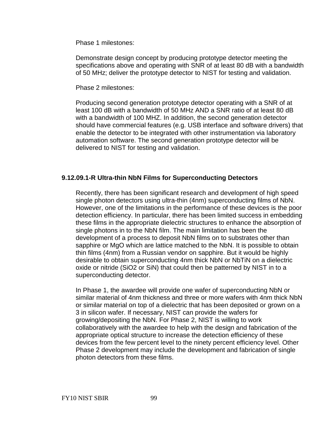Phase 1 milestones:

Demonstrate design concept by producing prototype detector meeting the specifications above and operating with SNR of at least 80 dB with a bandwidth of 50 MHz; deliver the prototype detector to NIST for testing and validation.

Phase 2 milestones:

Producing second generation prototype detector operating with a SNR of at least 100 dB with a bandwidth of 50 MHz AND a SNR ratio of at least 80 dB with a bandwidth of 100 MHZ. In addition, the second generation detector should have commercial features (e.g. USB interface and software drivers) that enable the detector to be integrated with other instrumentation via laboratory automation software. The second generation prototype detector will be delivered to NIST for testing and validation.

## **9.12.09.1-R Ultra-thin NbN Films for Superconducting Detectors**

Recently, there has been significant research and development of high speed single photon detectors using ultra-thin (4nm) superconducting films of NbN. However, one of the limitations in the performance of these devices is the poor detection efficiency. In particular, there has been limited success in embedding these films in the appropriate dielectric structures to enhance the absorption of single photons in to the NbN film. The main limitation has been the development of a process to deposit NbN films on to substrates other than sapphire or MgO which are lattice matched to the NbN. It is possible to obtain thin films (4nm) from a Russian vendor on sapphire. But it would be highly desirable to obtain superconducting 4nm thick NbN or NbTiN on a dielectric oxide or nitride (SiO2 or SiN) that could then be patterned by NIST in to a superconducting detector.

In Phase 1, the awardee will provide one wafer of superconducting NbN or similar material of 4nm thickness and three or more wafers with 4nm thick NbN or similar material on top of a dielectric that has been deposited or grown on a 3 in silicon wafer. If necessary, NIST can provide the wafers for growing/depositing the NbN. For Phase 2, NIST is willing to work collaboratively with the awardee to help with the design and fabrication of the appropriate optical structure to increase the detection efficiency of these devices from the few percent level to the ninety percent efficiency level. Other Phase 2 development may include the development and fabrication of single photon detectors from these films.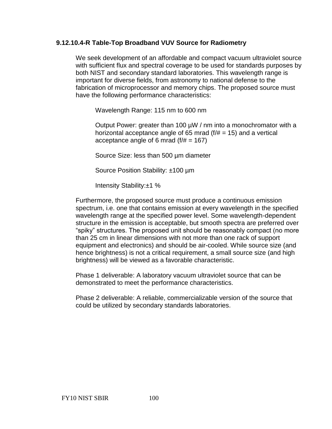## **9.12.10.4-R Table-Top Broadband VUV Source for Radiometry**

We seek development of an affordable and compact vacuum ultraviolet source with sufficient flux and spectral coverage to be used for standards purposes by both NIST and secondary standard laboratories. This wavelength range is important for diverse fields, from astronomy to national defense to the fabrication of microprocessor and memory chips. The proposed source must have the following performance characteristics:

Wavelength Range: 115 nm to 600 nm

Output Power: greater than 100 µW / nm into a monochromator with a horizontal acceptance angle of 65 mrad  $(f/\# = 15)$  and a vertical acceptance angle of 6 mrad  $(f/\# = 167)$ 

Source Size: less than 500 µm diameter

Source Position Stability: ±100 µm

Intensity Stability:±1 %

Furthermore, the proposed source must produce a continuous emission spectrum, i.e. one that contains emission at every wavelength in the specified wavelength range at the specified power level. Some wavelength-dependent structure in the emission is acceptable, but smooth spectra are preferred over "spiky" structures. The proposed unit should be reasonably compact (no more than 25 cm in linear dimensions with not more than one rack of support equipment and electronics) and should be air-cooled. While source size (and hence brightness) is not a critical requirement, a small source size (and high brightness) will be viewed as a favorable characteristic.

Phase 1 deliverable: A laboratory vacuum ultraviolet source that can be demonstrated to meet the performance characteristics.

Phase 2 deliverable: A reliable, commercializable version of the source that could be utilized by secondary standards laboratories.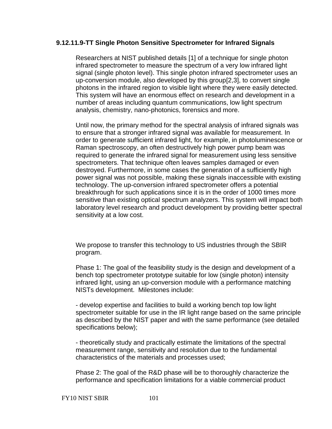### **9.12.11.9-TT Single Photon Sensitive Spectrometer for Infrared Signals**

Researchers at NIST published details [1] of a technique for single photon infrared spectrometer to measure the spectrum of a very low infrared light signal (single photon level). This single photon infrared spectrometer uses an up-conversion module, also developed by this group[2,3], to convert single photons in the infrared region to visible light where they were easily detected. This system will have an enormous effect on research and development in a number of areas including quantum communications, low light spectrum analysis, chemistry, nano-photonics, forensics and more.

Until now, the primary method for the spectral analysis of infrared signals was to ensure that a stronger infrared signal was available for measurement. In order to generate sufficient infrared light, for example, in photoluminescence or Raman spectroscopy, an often destructively high power pump beam was required to generate the infrared signal for measurement using less sensitive spectrometers. That technique often leaves samples damaged or even destroyed. Furthermore, in some cases the generation of a sufficiently high power signal was not possible, making these signals inaccessible with existing technology. The up-conversion infrared spectrometer offers a potential breakthrough for such applications since it is in the order of 1000 times more sensitive than existing optical spectrum analyzers. This system will impact both laboratory level research and product development by providing better spectral sensitivity at a low cost.

We propose to transfer this technology to US industries through the SBIR program.

Phase 1: The goal of the feasibility study is the design and development of a bench top spectrometer prototype suitable for low (single photon) intensity infrared light, using an up-conversion module with a performance matching NISTs development. Milestones include:

- develop expertise and facilities to build a working bench top low light spectrometer suitable for use in the IR light range based on the same principle as described by the NIST paper and with the same performance (see detailed specifications below);

- theoretically study and practically estimate the limitations of the spectral measurement range, sensitivity and resolution due to the fundamental characteristics of the materials and processes used;

Phase 2: The goal of the R&D phase will be to thoroughly characterize the performance and specification limitations for a viable commercial product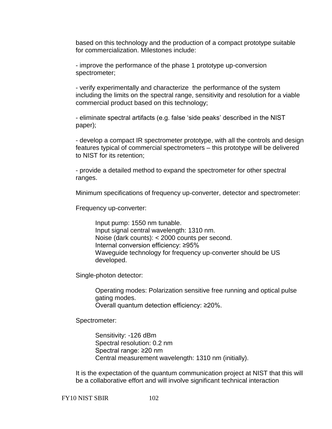based on this technology and the production of a compact prototype suitable for commercialization. Milestones include:

- improve the performance of the phase 1 prototype up-conversion spectrometer;

- verify experimentally and characterize the performance of the system including the limits on the spectral range, sensitivity and resolution for a viable commercial product based on this technology;

- eliminate spectral artifacts (e.g. false 'side peaks' described in the NIST paper);

- develop a compact IR spectrometer prototype, with all the controls and design features typical of commercial spectrometers – this prototype will be delivered to NIST for its retention;

- provide a detailed method to expand the spectrometer for other spectral ranges.

Minimum specifications of frequency up-converter, detector and spectrometer:

Frequency up-converter:

Input pump: 1550 nm tunable. Input signal central wavelength: 1310 nm. Noise (dark counts): < 2000 counts per second. Internal conversion efficiency: ≥95% Waveguide technology for frequency up-converter should be US developed.

Single-photon detector:

Operating modes: Polarization sensitive free running and optical pulse gating modes. Overall quantum detection efficiency: ≥20%.

Spectrometer:

Sensitivity: -126 dBm Spectral resolution: 0.2 nm Spectral range: ≥20 nm Central measurement wavelength: 1310 nm (initially).

It is the expectation of the quantum communication project at NIST that this will be a collaborative effort and will involve significant technical interaction

FY10 NIST SBIR 102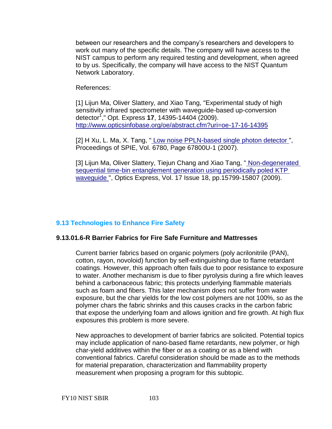between our researchers and the company's researchers and developers to work out many of the specific details. The company will have access to the NIST campus to perform any required testing and development, when agreed to by us. Specifically, the company will have access to the NIST Quantum Network Laboratory.

References:

[1] Lijun Ma, Oliver Slattery, and Xiao Tang, "Experimental study of high sensitivity infrared spectrometer with waveguide-based up-conversion detector<sup>1</sup> ," Opt. Express **17**, 14395-14404 (2009). <http://www.opticsinfobase.org/oe/abstract.cfm?uri=oe-17-16-14395>

[2] H Xu, L. Ma, X. Tang, " [Low noise PPLN-based single photon detector "](http://w3.antd.nist.gov/pubs/892-papers/%09Low-noise%20PPLN-based%20single-photon%20detector.pdf), Proceedings of SPIE, Vol. 6780, Page 67800U-1 (2007).

[3] Lijun Ma, Oliver Slattery, Tiejun Chang and Xiao Tang, "Non-degenerated [sequential time-bin entanglement generation using periodically poled KTP](http://www.opticsinfobase.org/DirectPDFAccess/57F44C55-BDB9-137E-C09056B7B43E3E0C_185209.pdf?da=1&id=185209&seq=0&CFID=34183714&CFTOKEN=29180906)  [waveguide "](http://www.opticsinfobase.org/DirectPDFAccess/57F44C55-BDB9-137E-C09056B7B43E3E0C_185209.pdf?da=1&id=185209&seq=0&CFID=34183714&CFTOKEN=29180906), Optics Express, Vol. 17 Issue 18, pp.15799-15807 (2009).

# **9.13 Technologies to Enhance Fire Safety**

## **9.13.01.6-R Barrier Fabrics for Fire Safe Furniture and Mattresses**

Current barrier fabrics based on organic polymers (poly acrilonitrile (PAN), cotton, rayon, novoloid) function by self-extinguishing due to flame retardant coatings. However, this approach often fails due to poor resistance to exposure to water. Another mechanism is due to fiber pyrolysis during a fire which leaves behind a carbonaceous fabric; this protects underlying flammable materials such as foam and fibers. This later mechanism does not suffer from water exposure, but the char yields for the low cost polymers are not 100%, so as the polymer chars the fabric shrinks and this causes cracks in the carbon fabric that expose the underlying foam and allows ignition and fire growth. At high flux exposures this problem is more severe.

New approaches to development of barrier fabrics are solicited. Potential topics may include application of nano-based flame retardants, new polymer, or high char-yield additives within the fiber or as a coating or as a blend with conventional fabrics. Careful consideration should be made as to the methods for material preparation, characterization and flammability property measurement when proposing a program for this subtopic.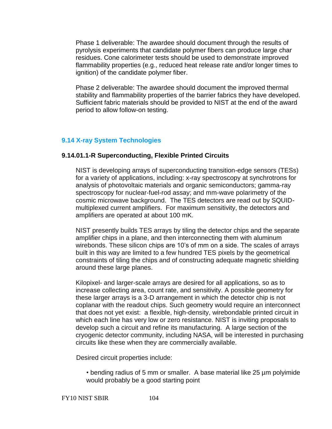Phase 1 deliverable: The awardee should document through the results of pyrolysis experiments that candidate polymer fibers can produce large char residues. Cone calorimeter tests should be used to demonstrate improved flammability properties (e.g., reduced heat release rate and/or longer times to ignition) of the candidate polymer fiber.

Phase 2 deliverable: The awardee should document the improved thermal stability and flammability properties of the barrier fabrics they have developed. Sufficient fabric materials should be provided to NIST at the end of the award period to allow follow-on testing.

# **9.14 X-ray System Technologies**

## **9.14.01.1-R Superconducting, Flexible Printed Circuits**

NIST is developing arrays of superconducting transition-edge sensors (TESs) for a variety of applications, including: x-ray spectroscopy at synchrotrons for analysis of photovoltaic materials and organic semiconductors; gamma-ray spectroscopy for nuclear-fuel-rod assay; and mm-wave polarimetry of the cosmic microwave background. The TES detectors are read out by SQUIDmultiplexed current amplifiers. For maximum sensitivity, the detectors and amplifiers are operated at about 100 mK.

NIST presently builds TES arrays by tiling the detector chips and the separate amplifier chips in a plane, and then interconnecting them with aluminum wirebonds. These silicon chips are 10's of mm on a side. The scales of arrays built in this way are limited to a few hundred TES pixels by the geometrical constraints of tiling the chips and of constructing adequate magnetic shielding around these large planes.

Kilopixel- and larger-scale arrays are desired for all applications, so as to increase collecting area, count rate, and sensitivity. A possible geometry for these larger arrays is a 3-D arrangement in which the detector chip is not coplanar with the readout chips. Such geometry would require an interconnect that does not yet exist: a flexible, high-density, wirebondable printed circuit in which each line has very low or zero resistance. NIST is inviting proposals to develop such a circuit and refine its manufacturing. A large section of the cryogenic detector community, including NASA, will be interested in purchasing circuits like these when they are commercially available.

Desired circuit properties include:

• bending radius of 5 mm or smaller. A base material like 25 µm polyimide would probably be a good starting point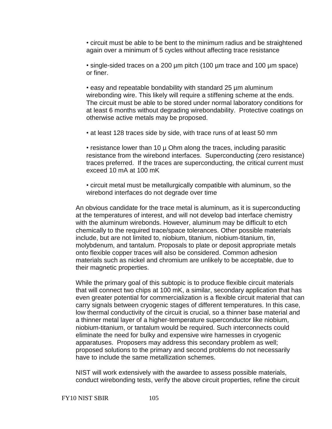• circuit must be able to be bent to the minimum radius and be straightened again over a minimum of 5 cycles without affecting trace resistance

• single-sided traces on a 200 µm pitch (100 µm trace and 100 µm space) or finer.

• easy and repeatable bondability with standard 25 µm aluminum wirebonding wire. This likely will require a stiffening scheme at the ends. The circuit must be able to be stored under normal laboratory conditions for at least 6 months without degrading wirebondability. Protective coatings on otherwise active metals may be proposed.

• at least 128 traces side by side, with trace runs of at least 50 mm

• resistance lower than 10 µ Ohm along the traces, including parasitic resistance from the wirebond interfaces. Superconducting (zero resistance) traces preferred. If the traces are superconducting, the critical current must exceed 10 mA at 100 mK

• circuit metal must be metallurgically compatible with aluminum, so the wirebond interfaces do not degrade over time

An obvious candidate for the trace metal is aluminum, as it is superconducting at the temperatures of interest, and will not develop bad interface chemistry with the aluminum wirebonds. However, aluminum may be difficult to etch chemically to the required trace/space tolerances. Other possible materials include, but are not limited to, niobium, titanium, niobium-titanium, tin, molybdenum, and tantalum. Proposals to plate or deposit appropriate metals onto flexible copper traces will also be considered. Common adhesion materials such as nickel and chromium are unlikely to be acceptable, due to their magnetic properties.

While the primary goal of this subtopic is to produce flexible circuit materials that will connect two chips at 100 mK, a similar, secondary application that has even greater potential for commercialization is a flexible circuit material that can carry signals between cryogenic stages of different temperatures. In this case, low thermal conductivity of the circuit is crucial, so a thinner base material and a thinner metal layer of a higher-temperature superconductor like niobium, niobium-titanium, or tantalum would be required. Such interconnects could eliminate the need for bulky and expensive wire harnesses in cryogenic apparatuses. Proposers may address this secondary problem as well; proposed solutions to the primary and second problems do not necessarily have to include the same metallization schemes.

NIST will work extensively with the awardee to assess possible materials, conduct wirebonding tests, verify the above circuit properties, refine the circuit